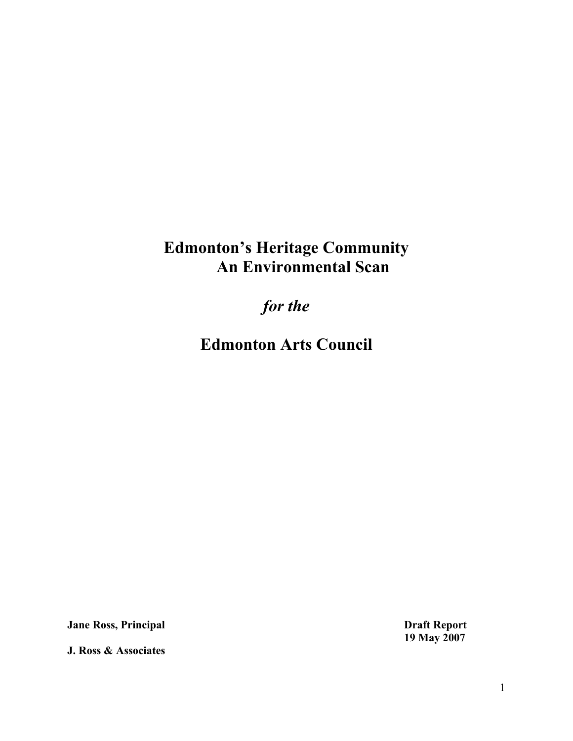# **Edmonton's Heritage Community An Environmental Scan**

*for the*

**Edmonton Arts Council**

**Jane Ross, Principal Draft Report**

**J. Ross & Associates**

**19 May 2007**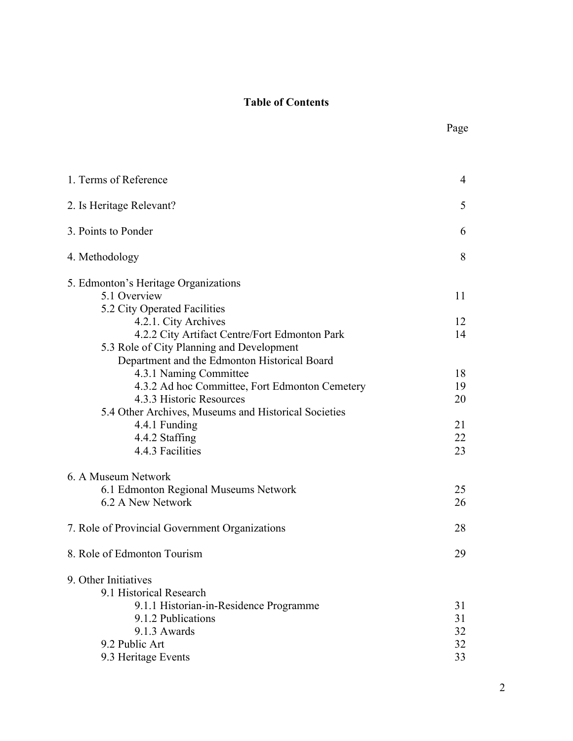# **Table of Contents**

| 5<br>2. Is Heritage Relevant?                                                              |
|--------------------------------------------------------------------------------------------|
|                                                                                            |
| 3. Points to Ponder<br>6                                                                   |
| 4. Methodology<br>8                                                                        |
| 5. Edmonton's Heritage Organizations<br>5.1 Overview<br>11<br>5.2 City Operated Facilities |
| 4.2.1. City Archives<br>12                                                                 |
| 4.2.2 City Artifact Centre/Fort Edmonton Park<br>14                                        |
| 5.3 Role of City Planning and Development                                                  |
| Department and the Edmonton Historical Board                                               |
| 4.3.1 Naming Committee<br>18                                                               |
| 4.3.2 Ad hoc Committee, Fort Edmonton Cemetery<br>19                                       |
| 4.3.3 Historic Resources<br>20                                                             |
| 5.4 Other Archives, Museums and Historical Societies                                       |
| 4.4.1 Funding<br>21                                                                        |
| 4.4.2 Staffing<br>22                                                                       |
| 4.4.3 Facilities<br>23                                                                     |
| 6. A Museum Network                                                                        |
| 6.1 Edmonton Regional Museums Network<br>25                                                |
| 6.2 A New Network<br>26                                                                    |
| 7. Role of Provincial Government Organizations<br>28                                       |
| 8. Role of Edmonton Tourism<br>29                                                          |
| 9. Other Initiatives                                                                       |
| 9.1 Historical Research                                                                    |
| 9.1.1 Historian-in-Residence Programme<br>31                                               |
| 9.1.2 Publications<br>31                                                                   |
| 9.1.3 Awards<br>32                                                                         |
| 9.2 Public Art<br>32                                                                       |
| 9.3 Heritage Events<br>33                                                                  |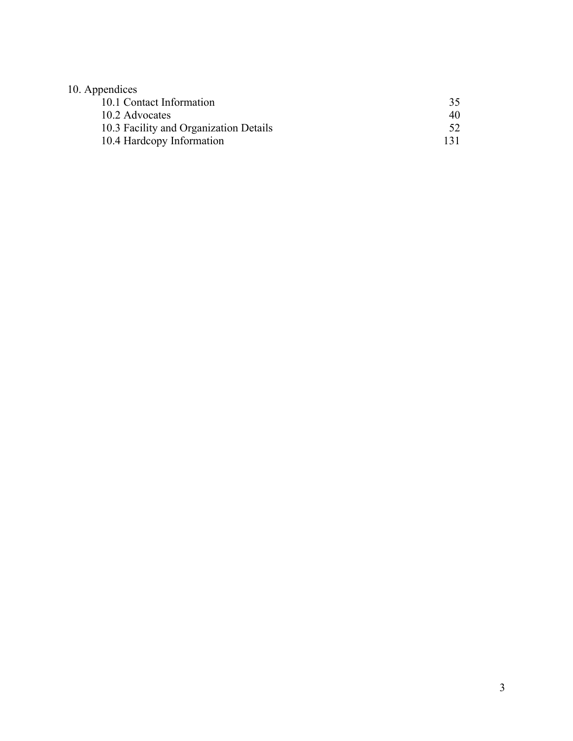# 10. Appendices

| 10.1 Contact Information               | 35  |
|----------------------------------------|-----|
| 10.2 Advocates                         | 40  |
| 10.3 Facility and Organization Details |     |
| 10.4 Hardcopy Information              | 131 |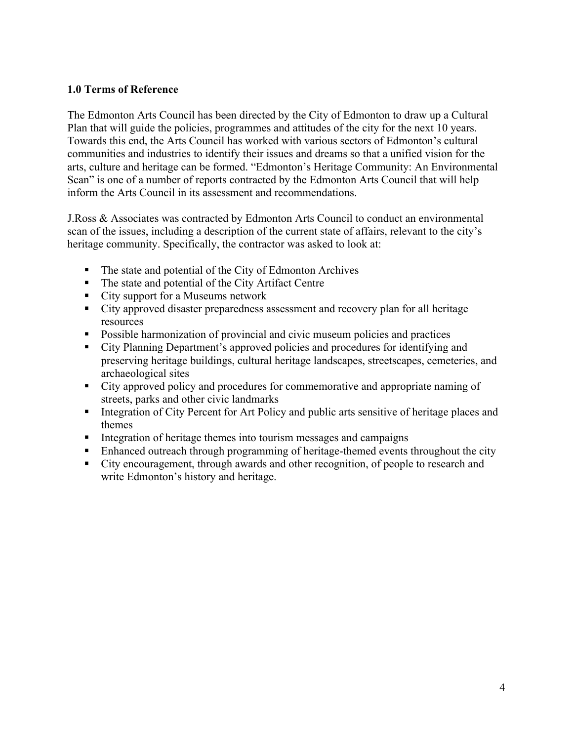## **1.0 Terms of Reference**

The Edmonton Arts Council has been directed by the City of Edmonton to draw up a Cultural Plan that will guide the policies, programmes and attitudes of the city for the next 10 years. Towards this end, the Arts Council has worked with various sectors of Edmonton's cultural communities and industries to identify their issues and dreams so that a unified vision for the arts, culture and heritage can be formed. "Edmonton's Heritage Community: An Environmental Scan" is one of a number of reports contracted by the Edmonton Arts Council that will help inform the Arts Council in its assessment and recommendations.

J.Ross & Associates was contracted by Edmonton Arts Council to conduct an environmental scan of the issues, including a description of the current state of affairs, relevant to the city's heritage community. Specifically, the contractor was asked to look at:

- The state and potential of the City of Edmonton Archives
- The state and potential of the City Artifact Centre
- City support for a Museums network
- City approved disaster preparedness assessment and recovery plan for all heritage resources
- **Possible harmonization of provincial and civic museum policies and practices**
- City Planning Department's approved policies and procedures for identifying and preserving heritage buildings, cultural heritage landscapes, streetscapes, cemeteries, and archaeological sites
- City approved policy and procedures for commemorative and appropriate naming of streets, parks and other civic landmarks
- Integration of City Percent for Art Policy and public arts sensitive of heritage places and themes
- Integration of heritage themes into tourism messages and campaigns
- Enhanced outreach through programming of heritage-themed events throughout the city
- City encouragement, through awards and other recognition, of people to research and write Edmonton's history and heritage.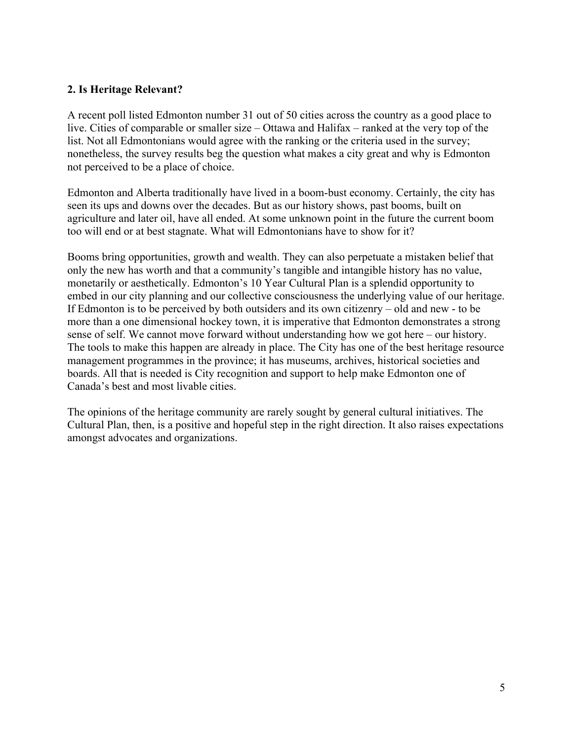## **2. Is Heritage Relevant?**

A recent poll listed Edmonton number 31 out of 50 cities across the country as a good place to live. Cities of comparable or smaller size – Ottawa and Halifax – ranked at the very top of the list. Not all Edmontonians would agree with the ranking or the criteria used in the survey; nonetheless, the survey results beg the question what makes a city great and why is Edmonton not perceived to be a place of choice.

Edmonton and Alberta traditionally have lived in a boom-bust economy. Certainly, the city has seen its ups and downs over the decades. But as our history shows, past booms, built on agriculture and later oil, have all ended. At some unknown point in the future the current boom too will end or at best stagnate. What will Edmontonians have to show for it?

Booms bring opportunities, growth and wealth. They can also perpetuate a mistaken belief that only the new has worth and that a community's tangible and intangible history has no value, monetarily or aesthetically. Edmonton's 10 Year Cultural Plan is a splendid opportunity to embed in our city planning and our collective consciousness the underlying value of our heritage. If Edmonton is to be perceived by both outsiders and its own citizenry – old and new - to be more than a one dimensional hockey town, it is imperative that Edmonton demonstrates a strong sense of self. We cannot move forward without understanding how we got here – our history. The tools to make this happen are already in place. The City has one of the best heritage resource management programmes in the province; it has museums, archives, historical societies and boards. All that is needed is City recognition and support to help make Edmonton one of Canada's best and most livable cities.

The opinions of the heritage community are rarely sought by general cultural initiatives. The Cultural Plan, then, is a positive and hopeful step in the right direction. It also raises expectations amongst advocates and organizations.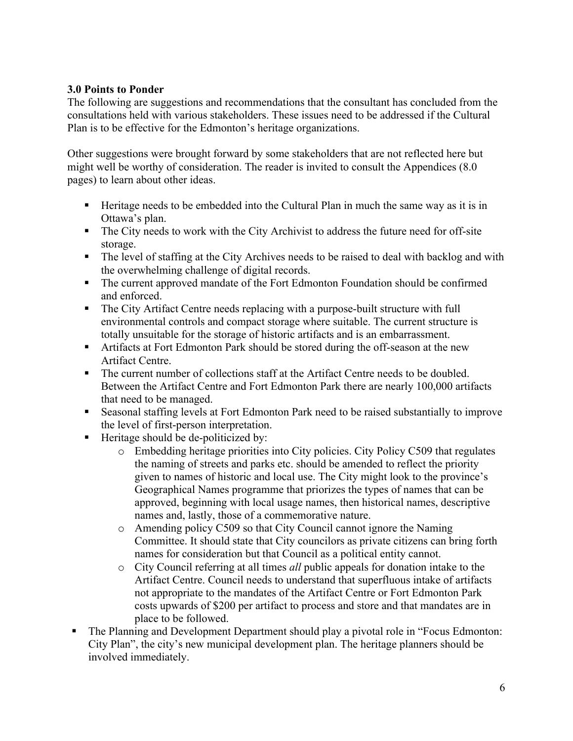# **3.0 Points to Ponder**

The following are suggestions and recommendations that the consultant has concluded from the consultations held with various stakeholders. These issues need to be addressed if the Cultural Plan is to be effective for the Edmonton's heritage organizations.

Other suggestions were brought forward by some stakeholders that are not reflected here but might well be worthy of consideration. The reader is invited to consult the Appendices (8.0 pages) to learn about other ideas.

- Heritage needs to be embedded into the Cultural Plan in much the same way as it is in Ottawa's plan.
- The City needs to work with the City Archivist to address the future need for off-site storage.
- The level of staffing at the City Archives needs to be raised to deal with backlog and with the overwhelming challenge of digital records.
- The current approved mandate of the Fort Edmonton Foundation should be confirmed and enforced.
- The City Artifact Centre needs replacing with a purpose-built structure with full environmental controls and compact storage where suitable. The current structure is totally unsuitable for the storage of historic artifacts and is an embarrassment.
- Artifacts at Fort Edmonton Park should be stored during the off-season at the new Artifact Centre.
- The current number of collections staff at the Artifact Centre needs to be doubled. Between the Artifact Centre and Fort Edmonton Park there are nearly 100,000 artifacts that need to be managed.
- Seasonal staffing levels at Fort Edmonton Park need to be raised substantially to improve the level of first-person interpretation.
- $\blacksquare$  Heritage should be de-politicized by:
	- o Embedding heritage priorities into City policies. City Policy C509 that regulates the naming of streets and parks etc. should be amended to reflect the priority given to names of historic and local use. The City might look to the province's Geographical Names programme that priorizes the types of names that can be approved, beginning with local usage names, then historical names, descriptive names and, lastly, those of a commemorative nature.
	- o Amending policy C509 so that City Council cannot ignore the Naming Committee. It should state that City councilors as private citizens can bring forth names for consideration but that Council as a political entity cannot.
	- o City Council referring at all times *all* public appeals for donation intake to the Artifact Centre. Council needs to understand that superfluous intake of artifacts not appropriate to the mandates of the Artifact Centre or Fort Edmonton Park costs upwards of \$200 per artifact to process and store and that mandates are in place to be followed.
- The Planning and Development Department should play a pivotal role in "Focus Edmonton: City Plan", the city's new municipal development plan. The heritage planners should be involved immediately.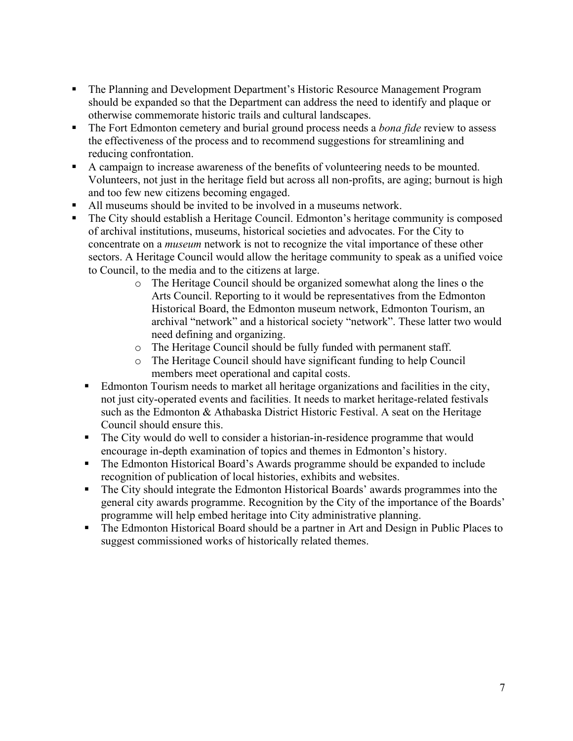- The Planning and Development Department's Historic Resource Management Program should be expanded so that the Department can address the need to identify and plaque or otherwise commemorate historic trails and cultural landscapes.
- The Fort Edmonton cemetery and burial ground process needs a *bona fide* review to assess the effectiveness of the process and to recommend suggestions for streamlining and reducing confrontation.
- A campaign to increase awareness of the benefits of volunteering needs to be mounted. Volunteers, not just in the heritage field but across all non-profits, are aging; burnout is high and too few new citizens becoming engaged.
- All museums should be invited to be involved in a museums network.
- The City should establish a Heritage Council. Edmonton's heritage community is composed of archival institutions, museums, historical societies and advocates. For the City to concentrate on a *museum* network is not to recognize the vital importance of these other sectors. A Heritage Council would allow the heritage community to speak as a unified voice to Council, to the media and to the citizens at large.
	- o The Heritage Council should be organized somewhat along the lines o the Arts Council. Reporting to it would be representatives from the Edmonton Historical Board, the Edmonton museum network, Edmonton Tourism, an archival "network" and a historical society "network". These latter two would need defining and organizing.
	- o The Heritage Council should be fully funded with permanent staff.
	- o The Heritage Council should have significant funding to help Council members meet operational and capital costs.
	- Edmonton Tourism needs to market all heritage organizations and facilities in the city, not just city-operated events and facilities. It needs to market heritage-related festivals such as the Edmonton & Athabaska District Historic Festival. A seat on the Heritage Council should ensure this.
	- The City would do well to consider a historian-in-residence programme that would encourage in-depth examination of topics and themes in Edmonton's history.
	- The Edmonton Historical Board's Awards programme should be expanded to include recognition of publication of local histories, exhibits and websites.
	- The City should integrate the Edmonton Historical Boards' awards programmes into the general city awards programme. Recognition by the City of the importance of the Boards' programme will help embed heritage into City administrative planning.
	- The Edmonton Historical Board should be a partner in Art and Design in Public Places to suggest commissioned works of historically related themes.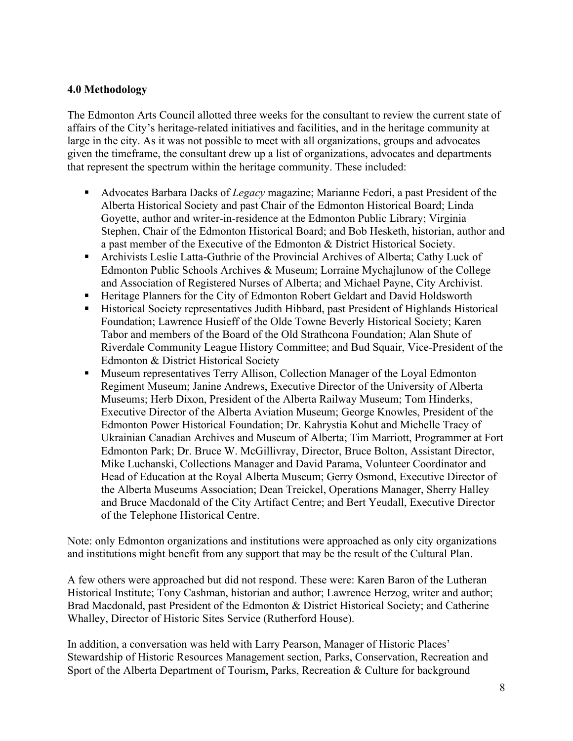# **4.0 Methodology**

The Edmonton Arts Council allotted three weeks for the consultant to review the current state of affairs of the City's heritage-related initiatives and facilities, and in the heritage community at large in the city. As it was not possible to meet with all organizations, groups and advocates given the timeframe, the consultant drew up a list of organizations, advocates and departments that represent the spectrum within the heritage community. These included:

- Advocates Barbara Dacks of *Legacy* magazine; Marianne Fedori, a past President of the Alberta Historical Society and past Chair of the Edmonton Historical Board; Linda Goyette, author and writer-in-residence at the Edmonton Public Library; Virginia Stephen, Chair of the Edmonton Historical Board; and Bob Hesketh, historian, author and a past member of the Executive of the Edmonton & District Historical Society.
- Archivists Leslie Latta-Guthrie of the Provincial Archives of Alberta; Cathy Luck of Edmonton Public Schools Archives & Museum; Lorraine Mychajlunow of the College and Association of Registered Nurses of Alberta; and Michael Payne, City Archivist.
- Heritage Planners for the City of Edmonton Robert Geldart and David Holdsworth
- Historical Society representatives Judith Hibbard, past President of Highlands Historical Foundation; Lawrence Husieff of the Olde Towne Beverly Historical Society; Karen Tabor and members of the Board of the Old Strathcona Foundation; Alan Shute of Riverdale Community League History Committee; and Bud Squair, Vice-President of the Edmonton & District Historical Society
- **Museum representatives Terry Allison, Collection Manager of the Loyal Edmonton** Regiment Museum; Janine Andrews, Executive Director of the University of Alberta Museums; Herb Dixon, President of the Alberta Railway Museum; Tom Hinderks, Executive Director of the Alberta Aviation Museum; George Knowles, President of the Edmonton Power Historical Foundation; Dr. Kahrystia Kohut and Michelle Tracy of Ukrainian Canadian Archives and Museum of Alberta; Tim Marriott, Programmer at Fort Edmonton Park; Dr. Bruce W. McGillivray, Director, Bruce Bolton, Assistant Director, Mike Luchanski, Collections Manager and David Parama, Volunteer Coordinator and Head of Education at the Royal Alberta Museum; Gerry Osmond, Executive Director of the Alberta Museums Association; Dean Treickel, Operations Manager, Sherry Halley and Bruce Macdonald of the City Artifact Centre; and Bert Yeudall, Executive Director of the Telephone Historical Centre.

Note: only Edmonton organizations and institutions were approached as only city organizations and institutions might benefit from any support that may be the result of the Cultural Plan.

A few others were approached but did not respond. These were: Karen Baron of the Lutheran Historical Institute; Tony Cashman, historian and author; Lawrence Herzog, writer and author; Brad Macdonald, past President of the Edmonton & District Historical Society; and Catherine Whalley, Director of Historic Sites Service (Rutherford House).

In addition, a conversation was held with Larry Pearson, Manager of Historic Places' Stewardship of Historic Resources Management section, Parks, Conservation, Recreation and Sport of the Alberta Department of Tourism, Parks, Recreation & Culture for background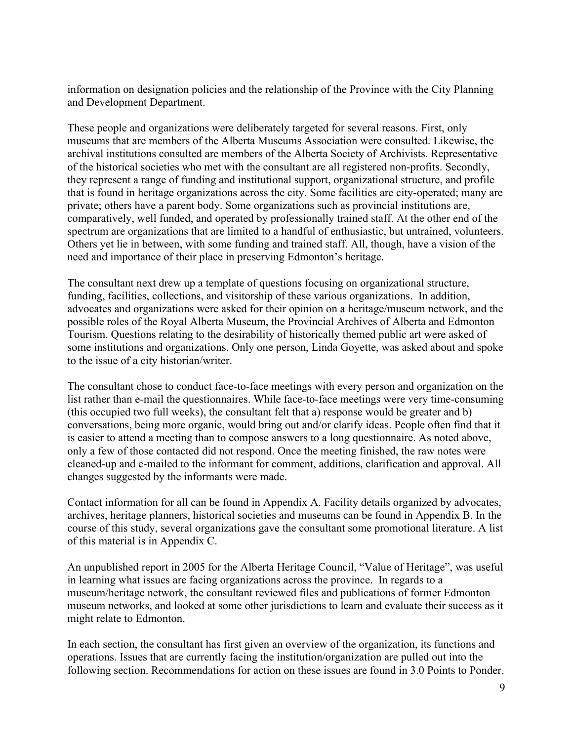information on designation policies and the relationship of the Province with the City Planning and Development Department.

These people and organizations were deliberately targeted for several reasons. First, only museums that are members of the Alberta Museums Association were consulted. Likewise, the archival institutions consulted are members of the Alberta Society of Archivists. Representative of the historical societies who met with the consultant are all registered non-profits. Secondly, they represent a range of funding and institutional support, organizational structure, and profile that is found in heritage organizations across the city. Some facilities are city-operated; many are private; others have a parent body. Some organizations such as provincial institutions are, comparatively, well funded, and operated by professionally trained staff. At the other end of the spectrum are organizations that are limited to a handful of enthusiastic, but untrained, volunteers. Others yet lie in between, with some funding and trained staff. All, though, have a vision of the need and importance of their place in preserving Edmonton's heritage.

The consultant next drew up a template of questions focusing on organizational structure, funding, facilities, collections, and visitorship of these various organizations. In addition, advocates and organizations were asked for their opinion on a heritage/museum network, and the possible roles of the Royal Alberta Museum, the Provincial Archives of Alberta and Edmonton Tourism. Questions relating to the desirability of historically themed public art were asked of some institutions and organizations. Only one person, Linda Goyette, was asked about and spoke to the issue of a city historian/writer.

The consultant chose to conduct face-to-face meetings with every person and organization on the list rather than e-mail the questionnaires. While face-to-face meetings were very time-consuming (this occupied two full weeks), the consultant felt that a) response would be greater and b) conversations, being more organic, would bring out and/or clarify ideas. People often find that it is easier to attend a meeting than to compose answers to a long questionnaire. As noted above, only a few of those contacted did not respond. Once the meeting finished, the raw notes were cleaned-up and e-mailed to the informant for comment, additions, clarification and approval. All changes suggested by the informants were made.

Contact information for all can be found in Appendix A. Facility details organized by advocates, archives, heritage planners, historical societies and museums can be found in Appendix B. In the course of this study, several organizations gave the consultant some promotional literature. A list of this material is in Appendix C.

An unpublished report in 2005 for the Alberta Heritage Council, "Value of Heritage", was useful in learning what issues are facing organizations across the province. In regards to a museum/heritage network, the consultant reviewed files and publications of former Edmonton museum networks, and looked at some other jurisdictions to learn and evaluate their success as it might relate to Edmonton.

In each section, the consultant has first given an overview of the organization, its functions and operations. Issues that are currently facing the institution/organization are pulled out into the following section. Recommendations for action on these issues are found in 3.0 Points to Ponder.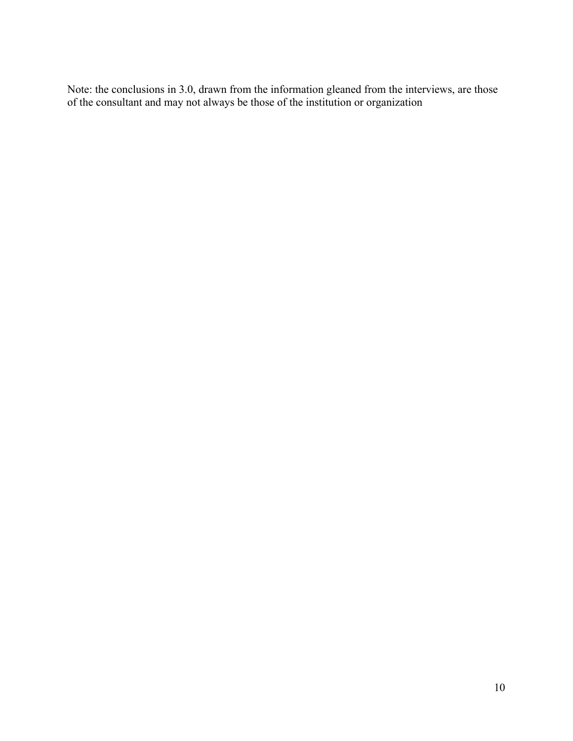Note: the conclusions in 3.0, drawn from the information gleaned from the interviews, are those of the consultant and may not always be those of the institution or organization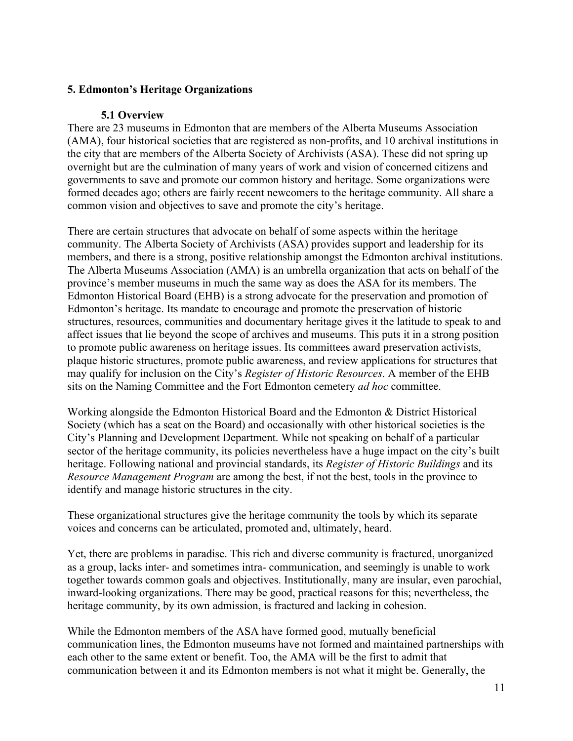# **5. Edmonton's Heritage Organizations**

## **5.1 Overview**

There are 23 museums in Edmonton that are members of the Alberta Museums Association (AMA), four historical societies that are registered as non-profits, and 10 archival institutions in the city that are members of the Alberta Society of Archivists (ASA). These did not spring up overnight but are the culmination of many years of work and vision of concerned citizens and governments to save and promote our common history and heritage. Some organizations were formed decades ago; others are fairly recent newcomers to the heritage community. All share a common vision and objectives to save and promote the city's heritage.

There are certain structures that advocate on behalf of some aspects within the heritage community. The Alberta Society of Archivists (ASA) provides support and leadership for its members, and there is a strong, positive relationship amongst the Edmonton archival institutions. The Alberta Museums Association (AMA) is an umbrella organization that acts on behalf of the province's member museums in much the same way as does the ASA for its members. The Edmonton Historical Board (EHB) is a strong advocate for the preservation and promotion of Edmonton's heritage. Its mandate to encourage and promote the preservation of historic structures, resources, communities and documentary heritage gives it the latitude to speak to and affect issues that lie beyond the scope of archives and museums. This puts it in a strong position to promote public awareness on heritage issues. Its committees award preservation activists, plaque historic structures, promote public awareness, and review applications for structures that may qualify for inclusion on the City's *Register of Historic Resources*. A member of the EHB sits on the Naming Committee and the Fort Edmonton cemetery *ad hoc* committee.

Working alongside the Edmonton Historical Board and the Edmonton & District Historical Society (which has a seat on the Board) and occasionally with other historical societies is the City's Planning and Development Department. While not speaking on behalf of a particular sector of the heritage community, its policies nevertheless have a huge impact on the city's built heritage. Following national and provincial standards, its *Register of Historic Buildings* and its *Resource Management Program* are among the best, if not the best, tools in the province to identify and manage historic structures in the city.

These organizational structures give the heritage community the tools by which its separate voices and concerns can be articulated, promoted and, ultimately, heard.

Yet, there are problems in paradise. This rich and diverse community is fractured, unorganized as a group, lacks inter- and sometimes intra- communication, and seemingly is unable to work together towards common goals and objectives. Institutionally, many are insular, even parochial, inward-looking organizations. There may be good, practical reasons for this; nevertheless, the heritage community, by its own admission, is fractured and lacking in cohesion.

While the Edmonton members of the ASA have formed good, mutually beneficial communication lines, the Edmonton museums have not formed and maintained partnerships with each other to the same extent or benefit. Too, the AMA will be the first to admit that communication between it and its Edmonton members is not what it might be. Generally, the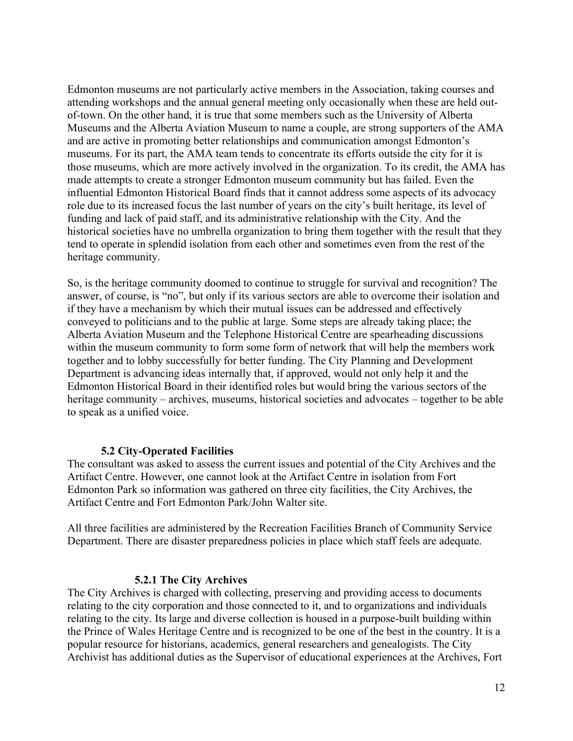Edmonton museums are not particularly active members in the Association, taking courses and attending workshops and the annual general meeting only occasionally when these are held outof-town. On the other hand, it is true that some members such as the University of Alberta Museums and the Alberta Aviation Museum to name a couple, are strong supporters of the AMA and are active in promoting better relationships and communication amongst Edmonton's museums. For its part, the AMA team tends to concentrate its efforts outside the city for it is those museums, which are more actively involved in the organization. To its credit, the AMA has made attempts to create a stronger Edmonton museum community but has failed. Even the influential Edmonton Historical Board finds that it cannot address some aspects of its advocacy role due to its increased focus the last number of years on the city's built heritage, its level of funding and lack of paid staff, and its administrative relationship with the City. And the historical societies have no umbrella organization to bring them together with the result that they tend to operate in splendid isolation from each other and sometimes even from the rest of the heritage community.

So, is the heritage community doomed to continue to struggle for survival and recognition? The answer, of course, is "no", but only if its various sectors are able to overcome their isolation and if they have a mechanism by which their mutual issues can be addressed and effectively conveyed to politicians and to the public at large. Some steps are already taking place; the Alberta Aviation Museum and the Telephone Historical Centre are spearheading discussions within the museum community to form some form of network that will help the members work together and to lobby successfully for better funding. The City Planning and Development Department is advancing ideas internally that, if approved, would not only help it and the Edmonton Historical Board in their identified roles but would bring the various sectors of the heritage community – archives, museums, historical societies and advocates – together to be able to speak as a unified voice.

### **5.2 City-Operated Facilities**

The consultant was asked to assess the current issues and potential of the City Archives and the Artifact Centre. However, one cannot look at the Artifact Centre in isolation from Fort Edmonton Park so information was gathered on three city facilities, the City Archives, the Artifact Centre and Fort Edmonton Park/John Walter site.

All three facilities are administered by the Recreation Facilities Branch of Community Service Department. There are disaster preparedness policies in place which staff feels are adequate.

## **5.2.1 The City Archives**

The City Archives is charged with collecting, preserving and providing access to documents relating to the city corporation and those connected to it, and to organizations and individuals relating to the city. Its large and diverse collection is housed in a purpose-built building within the Prince of Wales Heritage Centre and is recognized to be one of the best in the country. It is a popular resource for historians, academics, general researchers and genealogists. The City Archivist has additional duties as the Supervisor of educational experiences at the Archives, Fort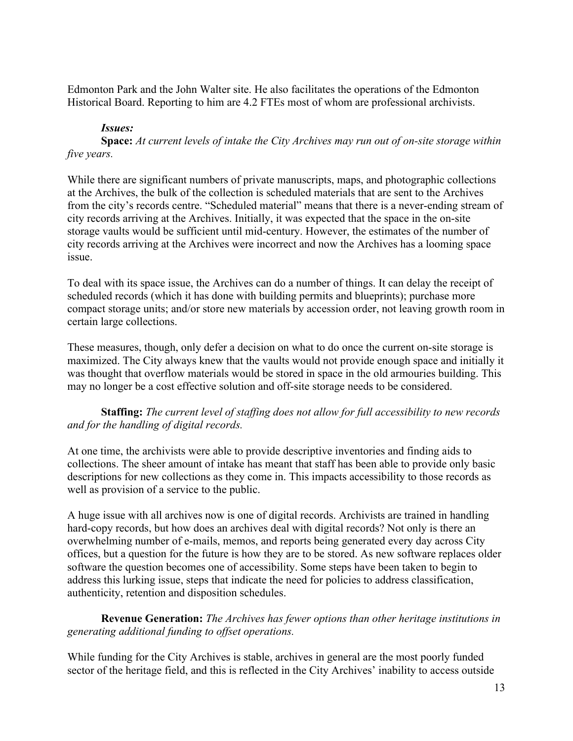Edmonton Park and the John Walter site. He also facilitates the operations of the Edmonton Historical Board. Reporting to him are 4.2 FTEs most of whom are professional archivists.

## *Issues:*

**Space:** *At current levels of intake the City Archives may run out of on-site storage within five years.*

While there are significant numbers of private manuscripts, maps, and photographic collections at the Archives, the bulk of the collection is scheduled materials that are sent to the Archives from the city's records centre. "Scheduled material" means that there is a never-ending stream of city records arriving at the Archives. Initially, it was expected that the space in the on-site storage vaults would be sufficient until mid-century. However, the estimates of the number of city records arriving at the Archives were incorrect and now the Archives has a looming space issue.

To deal with its space issue, the Archives can do a number of things. It can delay the receipt of scheduled records (which it has done with building permits and blueprints); purchase more compact storage units; and/or store new materials by accession order, not leaving growth room in certain large collections.

These measures, though, only defer a decision on what to do once the current on-site storage is maximized. The City always knew that the vaults would not provide enough space and initially it was thought that overflow materials would be stored in space in the old armouries building. This may no longer be a cost effective solution and off-site storage needs to be considered.

## **Staffing:** *The current level of staffing does not allow for full accessibility to new records and for the handling of digital records.*

At one time, the archivists were able to provide descriptive inventories and finding aids to collections. The sheer amount of intake has meant that staff has been able to provide only basic descriptions for new collections as they come in. This impacts accessibility to those records as well as provision of a service to the public.

A huge issue with all archives now is one of digital records. Archivists are trained in handling hard-copy records, but how does an archives deal with digital records? Not only is there an overwhelming number of e-mails, memos, and reports being generated every day across City offices, but a question for the future is how they are to be stored. As new software replaces older software the question becomes one of accessibility. Some steps have been taken to begin to address this lurking issue, steps that indicate the need for policies to address classification, authenticity, retention and disposition schedules.

## **Revenue Generation:** *The Archives has fewer options than other heritage institutions in generating additional funding to offset operations.*

While funding for the City Archives is stable, archives in general are the most poorly funded sector of the heritage field, and this is reflected in the City Archives' inability to access outside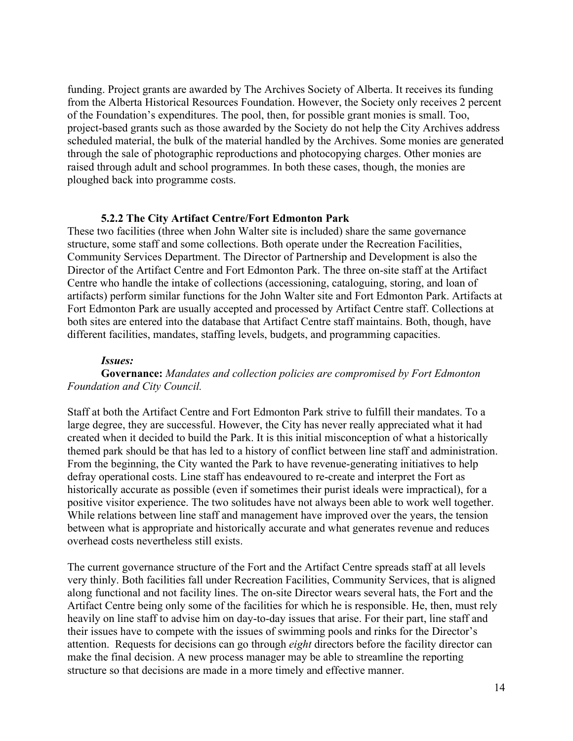funding. Project grants are awarded by The Archives Society of Alberta. It receives its funding from the Alberta Historical Resources Foundation. However, the Society only receives 2 percent of the Foundation's expenditures. The pool, then, for possible grant monies is small. Too, project-based grants such as those awarded by the Society do not help the City Archives address scheduled material, the bulk of the material handled by the Archives. Some monies are generated through the sale of photographic reproductions and photocopying charges. Other monies are raised through adult and school programmes. In both these cases, though, the monies are ploughed back into programme costs.

#### **5.2.2 The City Artifact Centre/Fort Edmonton Park**

These two facilities (three when John Walter site is included) share the same governance structure, some staff and some collections. Both operate under the Recreation Facilities, Community Services Department. The Director of Partnership and Development is also the Director of the Artifact Centre and Fort Edmonton Park. The three on-site staff at the Artifact Centre who handle the intake of collections (accessioning, cataloguing, storing, and loan of artifacts) perform similar functions for the John Walter site and Fort Edmonton Park. Artifacts at Fort Edmonton Park are usually accepted and processed by Artifact Centre staff. Collections at both sites are entered into the database that Artifact Centre staff maintains. Both, though, have different facilities, mandates, staffing levels, budgets, and programming capacities.

#### *Issues:*

**Governance:** *Mandates and collection policies are compromised by Fort Edmonton Foundation and City Council.*

Staff at both the Artifact Centre and Fort Edmonton Park strive to fulfill their mandates. To a large degree, they are successful. However, the City has never really appreciated what it had created when it decided to build the Park. It is this initial misconception of what a historically themed park should be that has led to a history of conflict between line staff and administration. From the beginning, the City wanted the Park to have revenue-generating initiatives to help defray operational costs. Line staff has endeavoured to re-create and interpret the Fort as historically accurate as possible (even if sometimes their purist ideals were impractical), for a positive visitor experience. The two solitudes have not always been able to work well together. While relations between line staff and management have improved over the years, the tension between what is appropriate and historically accurate and what generates revenue and reduces overhead costs nevertheless still exists.

The current governance structure of the Fort and the Artifact Centre spreads staff at all levels very thinly. Both facilities fall under Recreation Facilities, Community Services, that is aligned along functional and not facility lines. The on-site Director wears several hats, the Fort and the Artifact Centre being only some of the facilities for which he is responsible. He, then, must rely heavily on line staff to advise him on day-to-day issues that arise. For their part, line staff and their issues have to compete with the issues of swimming pools and rinks for the Director's attention. Requests for decisions can go through *eight* directors before the facility director can make the final decision. A new process manager may be able to streamline the reporting structure so that decisions are made in a more timely and effective manner.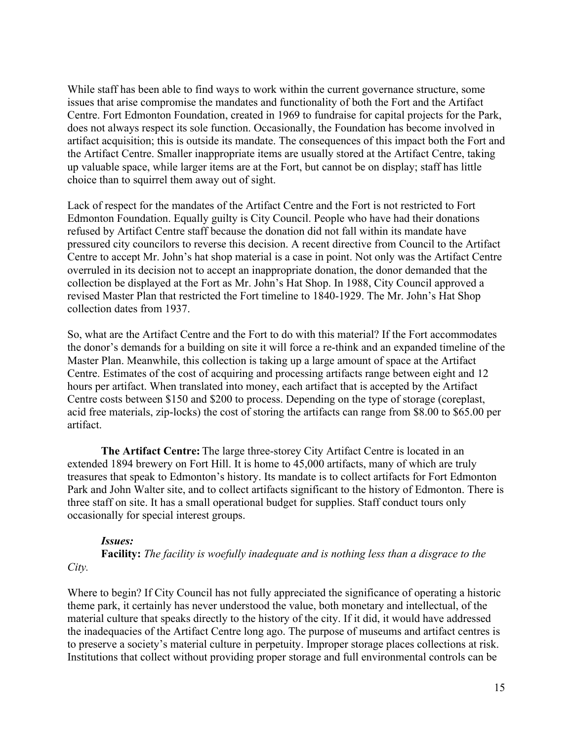While staff has been able to find ways to work within the current governance structure, some issues that arise compromise the mandates and functionality of both the Fort and the Artifact Centre. Fort Edmonton Foundation, created in 1969 to fundraise for capital projects for the Park, does not always respect its sole function. Occasionally, the Foundation has become involved in artifact acquisition; this is outside its mandate. The consequences of this impact both the Fort and the Artifact Centre. Smaller inappropriate items are usually stored at the Artifact Centre, taking up valuable space, while larger items are at the Fort, but cannot be on display; staff has little choice than to squirrel them away out of sight.

Lack of respect for the mandates of the Artifact Centre and the Fort is not restricted to Fort Edmonton Foundation. Equally guilty is City Council. People who have had their donations refused by Artifact Centre staff because the donation did not fall within its mandate have pressured city councilors to reverse this decision. A recent directive from Council to the Artifact Centre to accept Mr. John's hat shop material is a case in point. Not only was the Artifact Centre overruled in its decision not to accept an inappropriate donation, the donor demanded that the collection be displayed at the Fort as Mr. John's Hat Shop. In 1988, City Council approved a revised Master Plan that restricted the Fort timeline to 1840-1929. The Mr. John's Hat Shop collection dates from 1937.

So, what are the Artifact Centre and the Fort to do with this material? If the Fort accommodates the donor's demands for a building on site it will force a re-think and an expanded timeline of the Master Plan. Meanwhile, this collection is taking up a large amount of space at the Artifact Centre. Estimates of the cost of acquiring and processing artifacts range between eight and 12 hours per artifact. When translated into money, each artifact that is accepted by the Artifact Centre costs between \$150 and \$200 to process. Depending on the type of storage (coreplast, acid free materials, zip-locks) the cost of storing the artifacts can range from \$8.00 to \$65.00 per artifact.

**The Artifact Centre:** The large three-storey City Artifact Centre is located in an extended 1894 brewery on Fort Hill. It is home to 45,000 artifacts, many of which are truly treasures that speak to Edmonton's history. Its mandate is to collect artifacts for Fort Edmonton Park and John Walter site, and to collect artifacts significant to the history of Edmonton. There is three staff on site. It has a small operational budget for supplies. Staff conduct tours only occasionally for special interest groups.

### *Issues:*

**Facility:** *The facility is woefully inadequate and is nothing less than a disgrace to the City.*

Where to begin? If City Council has not fully appreciated the significance of operating a historic theme park, it certainly has never understood the value, both monetary and intellectual, of the material culture that speaks directly to the history of the city. If it did, it would have addressed the inadequacies of the Artifact Centre long ago. The purpose of museums and artifact centres is to preserve a society's material culture in perpetuity. Improper storage places collections at risk. Institutions that collect without providing proper storage and full environmental controls can be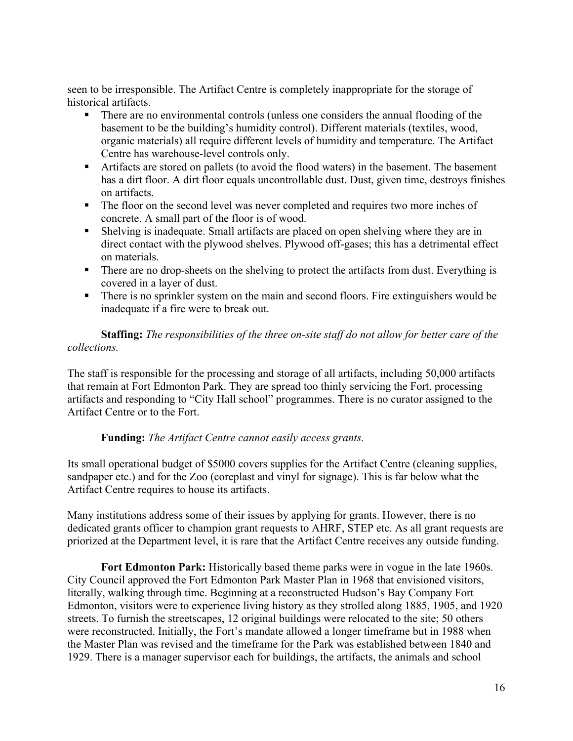seen to be irresponsible. The Artifact Centre is completely inappropriate for the storage of historical artifacts.

- There are no environmental controls (unless one considers the annual flooding of the basement to be the building's humidity control). Different materials (textiles, wood, organic materials) all require different levels of humidity and temperature. The Artifact Centre has warehouse-level controls only.
- Artifacts are stored on pallets (to avoid the flood waters) in the basement. The basement has a dirt floor. A dirt floor equals uncontrollable dust. Dust, given time, destroys finishes on artifacts.
- The floor on the second level was never completed and requires two more inches of concrete. A small part of the floor is of wood.
- Shelving is inadequate. Small artifacts are placed on open shelving where they are in direct contact with the plywood shelves. Plywood off-gases; this has a detrimental effect on materials.
- There are no drop-sheets on the shelving to protect the artifacts from dust. Everything is covered in a layer of dust.
- There is no sprinkler system on the main and second floors. Fire extinguishers would be inadequate if a fire were to break out.

**Staffing:** *The responsibilities of the three on-site staff do not allow for better care of the collections.*

The staff is responsible for the processing and storage of all artifacts, including 50,000 artifacts that remain at Fort Edmonton Park. They are spread too thinly servicing the Fort, processing artifacts and responding to "City Hall school" programmes. There is no curator assigned to the Artifact Centre or to the Fort.

## **Funding:** *The Artifact Centre cannot easily access grants.*

Its small operational budget of \$5000 covers supplies for the Artifact Centre (cleaning supplies, sandpaper etc.) and for the Zoo (coreplast and vinyl for signage). This is far below what the Artifact Centre requires to house its artifacts.

Many institutions address some of their issues by applying for grants. However, there is no dedicated grants officer to champion grant requests to AHRF, STEP etc. As all grant requests are priorized at the Department level, it is rare that the Artifact Centre receives any outside funding.

**Fort Edmonton Park:** Historically based theme parks were in vogue in the late 1960s. City Council approved the Fort Edmonton Park Master Plan in 1968 that envisioned visitors, literally, walking through time. Beginning at a reconstructed Hudson's Bay Company Fort Edmonton, visitors were to experience living history as they strolled along 1885, 1905, and 1920 streets. To furnish the streetscapes, 12 original buildings were relocated to the site; 50 others were reconstructed. Initially, the Fort's mandate allowed a longer timeframe but in 1988 when the Master Plan was revised and the timeframe for the Park was established between 1840 and 1929. There is a manager supervisor each for buildings, the artifacts, the animals and school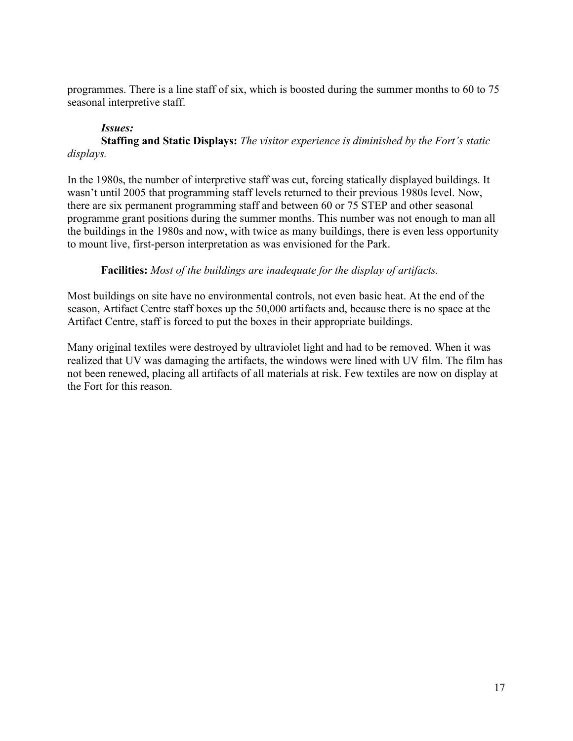programmes. There is a line staff of six, which is boosted during the summer months to 60 to 75 seasonal interpretive staff.

# *Issues:*

**Staffing and Static Displays:** *The visitor experience is diminished by the Fort's static displays.*

In the 1980s, the number of interpretive staff was cut, forcing statically displayed buildings. It wasn't until 2005 that programming staff levels returned to their previous 1980s level. Now, there are six permanent programming staff and between 60 or 75 STEP and other seasonal programme grant positions during the summer months. This number was not enough to man all the buildings in the 1980s and now, with twice as many buildings, there is even less opportunity to mount live, first-person interpretation as was envisioned for the Park.

# **Facilities:** *Most of the buildings are inadequate for the display of artifacts.*

Most buildings on site have no environmental controls, not even basic heat. At the end of the season, Artifact Centre staff boxes up the 50,000 artifacts and, because there is no space at the Artifact Centre, staff is forced to put the boxes in their appropriate buildings.

Many original textiles were destroyed by ultraviolet light and had to be removed. When it was realized that UV was damaging the artifacts, the windows were lined with UV film. The film has not been renewed, placing all artifacts of all materials at risk. Few textiles are now on display at the Fort for this reason.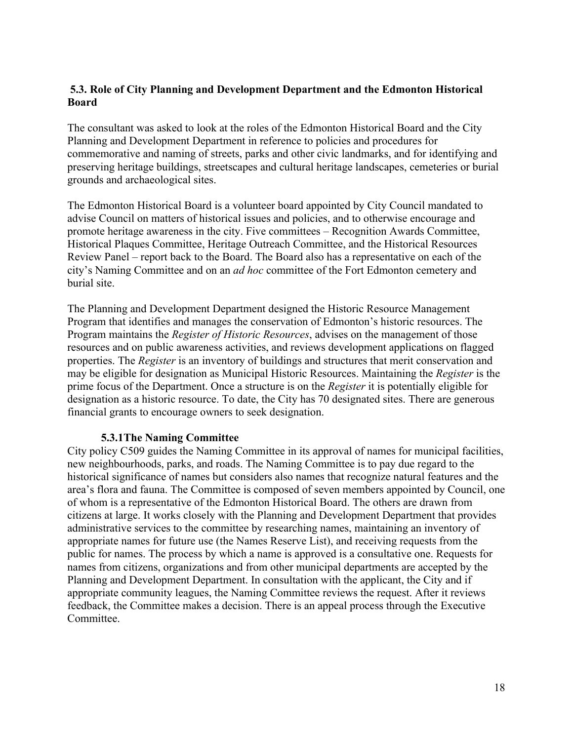# **5.3. Role of City Planning and Development Department and the Edmonton Historical Board**

The consultant was asked to look at the roles of the Edmonton Historical Board and the City Planning and Development Department in reference to policies and procedures for commemorative and naming of streets, parks and other civic landmarks, and for identifying and preserving heritage buildings, streetscapes and cultural heritage landscapes, cemeteries or burial grounds and archaeological sites.

The Edmonton Historical Board is a volunteer board appointed by City Council mandated to advise Council on matters of historical issues and policies, and to otherwise encourage and promote heritage awareness in the city. Five committees – Recognition Awards Committee, Historical Plaques Committee, Heritage Outreach Committee, and the Historical Resources Review Panel – report back to the Board. The Board also has a representative on each of the city's Naming Committee and on an *ad hoc* committee of the Fort Edmonton cemetery and burial site.

The Planning and Development Department designed the Historic Resource Management Program that identifies and manages the conservation of Edmonton's historic resources. The Program maintains the *Register of Historic Resources*, advises on the management of those resources and on public awareness activities, and reviews development applications on flagged properties. The *Register* is an inventory of buildings and structures that merit conservation and may be eligible for designation as Municipal Historic Resources. Maintaining the *Register* is the prime focus of the Department. Once a structure is on the *Register* it is potentially eligible for designation as a historic resource. To date, the City has 70 designated sites. There are generous financial grants to encourage owners to seek designation.

### **5.3.1The Naming Committee**

City policy C509 guides the Naming Committee in its approval of names for municipal facilities, new neighbourhoods, parks, and roads. The Naming Committee is to pay due regard to the historical significance of names but considers also names that recognize natural features and the area's flora and fauna. The Committee is composed of seven members appointed by Council, one of whom is a representative of the Edmonton Historical Board. The others are drawn from citizens at large. It works closely with the Planning and Development Department that provides administrative services to the committee by researching names, maintaining an inventory of appropriate names for future use (the Names Reserve List), and receiving requests from the public for names. The process by which a name is approved is a consultative one. Requests for names from citizens, organizations and from other municipal departments are accepted by the Planning and Development Department. In consultation with the applicant, the City and if appropriate community leagues, the Naming Committee reviews the request. After it reviews feedback, the Committee makes a decision. There is an appeal process through the Executive Committee.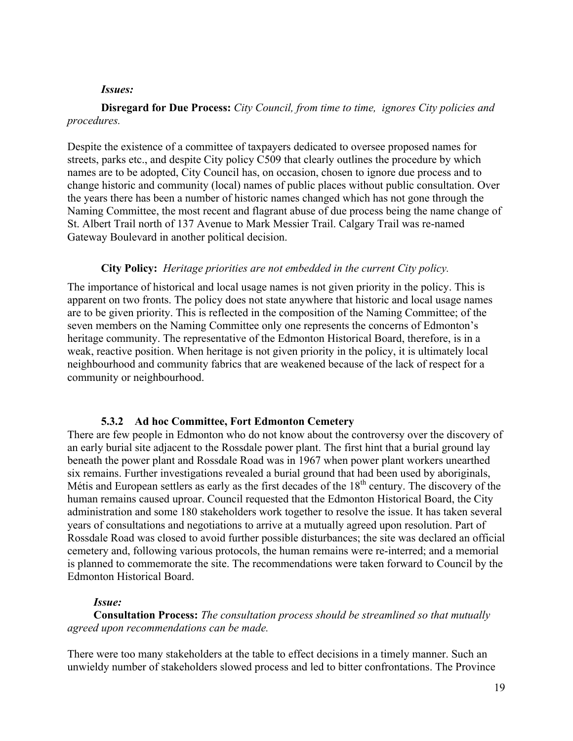#### *Issues:*

**Disregard for Due Process:** *City Council, from time to time, ignores City policies and procedures.*

Despite the existence of a committee of taxpayers dedicated to oversee proposed names for streets, parks etc., and despite City policy C509 that clearly outlines the procedure by which names are to be adopted, City Council has, on occasion, chosen to ignore due process and to change historic and community (local) names of public places without public consultation. Over the years there has been a number of historic names changed which has not gone through the Naming Committee, the most recent and flagrant abuse of due process being the name change of St. Albert Trail north of 137 Avenue to Mark Messier Trail. Calgary Trail was re-named Gateway Boulevard in another political decision.

#### **City Policy:** *Heritage priorities are not embedded in the current City policy.*

The importance of historical and local usage names is not given priority in the policy. This is apparent on two fronts. The policy does not state anywhere that historic and local usage names are to be given priority. This is reflected in the composition of the Naming Committee; of the seven members on the Naming Committee only one represents the concerns of Edmonton's heritage community. The representative of the Edmonton Historical Board, therefore, is in a weak, reactive position. When heritage is not given priority in the policy, it is ultimately local neighbourhood and community fabrics that are weakened because of the lack of respect for a community or neighbourhood.

### **5.3.2 Ad hoc Committee, Fort Edmonton Cemetery**

There are few people in Edmonton who do not know about the controversy over the discovery of an early burial site adjacent to the Rossdale power plant. The first hint that a burial ground lay beneath the power plant and Rossdale Road was in 1967 when power plant workers unearthed six remains. Further investigations revealed a burial ground that had been used by aboriginals, Métis and European settlers as early as the first decades of the 18<sup>th</sup> century. The discovery of the human remains caused uproar. Council requested that the Edmonton Historical Board, the City administration and some 180 stakeholders work together to resolve the issue. It has taken several years of consultations and negotiations to arrive at a mutually agreed upon resolution. Part of Rossdale Road was closed to avoid further possible disturbances; the site was declared an official cemetery and, following various protocols, the human remains were re-interred; and a memorial is planned to commemorate the site. The recommendations were taken forward to Council by the Edmonton Historical Board.

### *Issue:*

**Consultation Process:** *The consultation process should be streamlined so that mutually agreed upon recommendations can be made.*

There were too many stakeholders at the table to effect decisions in a timely manner. Such an unwieldy number of stakeholders slowed process and led to bitter confrontations. The Province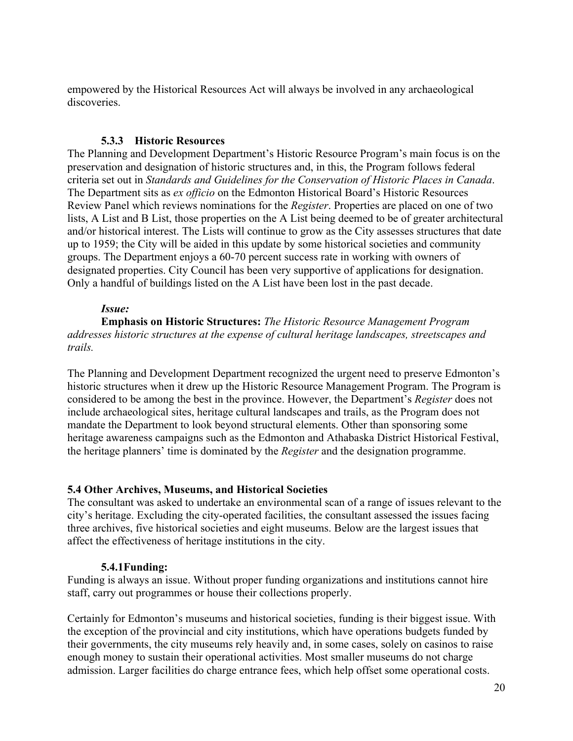empowered by the Historical Resources Act will always be involved in any archaeological discoveries.

## **5.3.3 Historic Resources**

The Planning and Development Department's Historic Resource Program's main focus is on the preservation and designation of historic structures and, in this, the Program follows federal criteria set out in *Standards and Guidelines for the Conservation of Historic Places in Canada*. The Department sits as *ex officio* on the Edmonton Historical Board's Historic Resources Review Panel which reviews nominations for the *Register*. Properties are placed on one of two lists, A List and B List, those properties on the A List being deemed to be of greater architectural and/or historical interest. The Lists will continue to grow as the City assesses structures that date up to 1959; the City will be aided in this update by some historical societies and community groups. The Department enjoys a 60-70 percent success rate in working with owners of designated properties. City Council has been very supportive of applications for designation. Only a handful of buildings listed on the A List have been lost in the past decade.

## *Issue:*

**Emphasis on Historic Structures:** *The Historic Resource Management Program addresses historic structures at the expense of cultural heritage landscapes, streetscapes and trails.*

The Planning and Development Department recognized the urgent need to preserve Edmonton's historic structures when it drew up the Historic Resource Management Program. The Program is considered to be among the best in the province. However, the Department's *Register* does not include archaeological sites, heritage cultural landscapes and trails, as the Program does not mandate the Department to look beyond structural elements. Other than sponsoring some heritage awareness campaigns such as the Edmonton and Athabaska District Historical Festival, the heritage planners' time is dominated by the *Register* and the designation programme.

## **5.4 Other Archives, Museums, and Historical Societies**

The consultant was asked to undertake an environmental scan of a range of issues relevant to the city's heritage. Excluding the city-operated facilities, the consultant assessed the issues facing three archives, five historical societies and eight museums. Below are the largest issues that affect the effectiveness of heritage institutions in the city.

### **5.4.1Funding:**

Funding is always an issue. Without proper funding organizations and institutions cannot hire staff, carry out programmes or house their collections properly.

Certainly for Edmonton's museums and historical societies, funding is their biggest issue. With the exception of the provincial and city institutions, which have operations budgets funded by their governments, the city museums rely heavily and, in some cases, solely on casinos to raise enough money to sustain their operational activities. Most smaller museums do not charge admission. Larger facilities do charge entrance fees, which help offset some operational costs.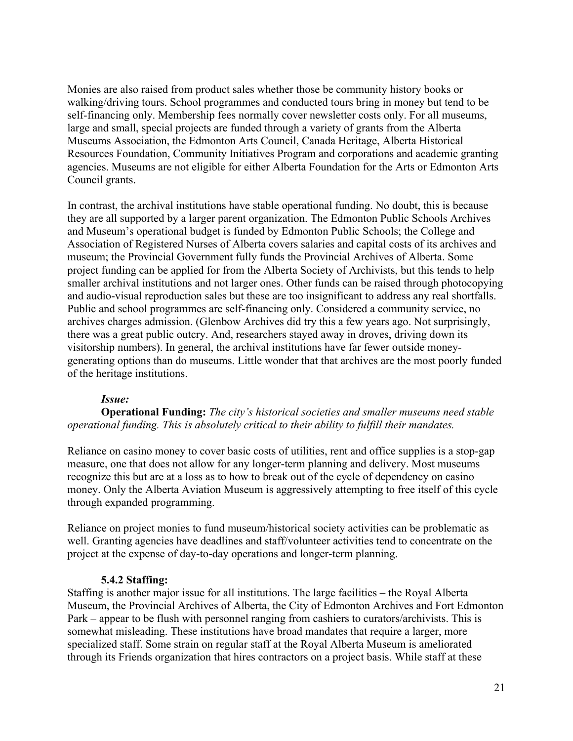Monies are also raised from product sales whether those be community history books or walking/driving tours. School programmes and conducted tours bring in money but tend to be self-financing only. Membership fees normally cover newsletter costs only. For all museums, large and small, special projects are funded through a variety of grants from the Alberta Museums Association, the Edmonton Arts Council, Canada Heritage, Alberta Historical Resources Foundation, Community Initiatives Program and corporations and academic granting agencies. Museums are not eligible for either Alberta Foundation for the Arts or Edmonton Arts Council grants.

In contrast, the archival institutions have stable operational funding. No doubt, this is because they are all supported by a larger parent organization. The Edmonton Public Schools Archives and Museum's operational budget is funded by Edmonton Public Schools; the College and Association of Registered Nurses of Alberta covers salaries and capital costs of its archives and museum; the Provincial Government fully funds the Provincial Archives of Alberta. Some project funding can be applied for from the Alberta Society of Archivists, but this tends to help smaller archival institutions and not larger ones. Other funds can be raised through photocopying and audio-visual reproduction sales but these are too insignificant to address any real shortfalls. Public and school programmes are self-financing only. Considered a community service, no archives charges admission. (Glenbow Archives did try this a few years ago. Not surprisingly, there was a great public outcry. And, researchers stayed away in droves, driving down its visitorship numbers). In general, the archival institutions have far fewer outside moneygenerating options than do museums. Little wonder that that archives are the most poorly funded of the heritage institutions.

### *Issue:*

**Operational Funding:** *The city's historical societies and smaller museums need stable operational funding. This is absolutely critical to their ability to fulfill their mandates.*

Reliance on casino money to cover basic costs of utilities, rent and office supplies is a stop-gap measure, one that does not allow for any longer-term planning and delivery. Most museums recognize this but are at a loss as to how to break out of the cycle of dependency on casino money. Only the Alberta Aviation Museum is aggressively attempting to free itself of this cycle through expanded programming.

Reliance on project monies to fund museum/historical society activities can be problematic as well. Granting agencies have deadlines and staff/volunteer activities tend to concentrate on the project at the expense of day-to-day operations and longer-term planning.

#### **5.4.2 Staffing:**

Staffing is another major issue for all institutions. The large facilities – the Royal Alberta Museum, the Provincial Archives of Alberta, the City of Edmonton Archives and Fort Edmonton Park – appear to be flush with personnel ranging from cashiers to curators/archivists. This is somewhat misleading. These institutions have broad mandates that require a larger, more specialized staff. Some strain on regular staff at the Royal Alberta Museum is ameliorated through its Friends organization that hires contractors on a project basis. While staff at these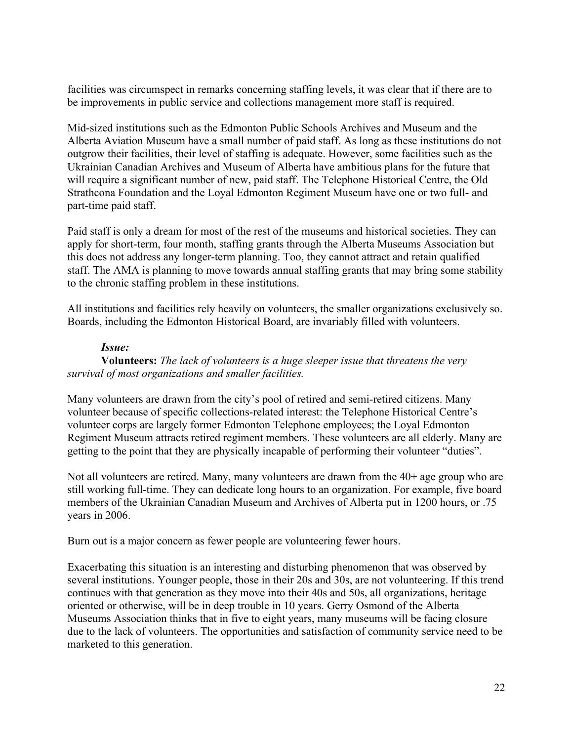facilities was circumspect in remarks concerning staffing levels, it was clear that if there are to be improvements in public service and collections management more staff is required.

Mid-sized institutions such as the Edmonton Public Schools Archives and Museum and the Alberta Aviation Museum have a small number of paid staff. As long as these institutions do not outgrow their facilities, their level of staffing is adequate. However, some facilities such as the Ukrainian Canadian Archives and Museum of Alberta have ambitious plans for the future that will require a significant number of new, paid staff. The Telephone Historical Centre, the Old Strathcona Foundation and the Loyal Edmonton Regiment Museum have one or two full- and part-time paid staff.

Paid staff is only a dream for most of the rest of the museums and historical societies. They can apply for short-term, four month, staffing grants through the Alberta Museums Association but this does not address any longer-term planning. Too, they cannot attract and retain qualified staff. The AMA is planning to move towards annual staffing grants that may bring some stability to the chronic staffing problem in these institutions.

All institutions and facilities rely heavily on volunteers, the smaller organizations exclusively so. Boards, including the Edmonton Historical Board, are invariably filled with volunteers.

### *Issue:*

**Volunteers:** *The lack of volunteers is a huge sleeper issue that threatens the very survival of most organizations and smaller facilities.*

Many volunteers are drawn from the city's pool of retired and semi-retired citizens. Many volunteer because of specific collections-related interest: the Telephone Historical Centre's volunteer corps are largely former Edmonton Telephone employees; the Loyal Edmonton Regiment Museum attracts retired regiment members. These volunteers are all elderly. Many are getting to the point that they are physically incapable of performing their volunteer "duties".

Not all volunteers are retired. Many, many volunteers are drawn from the 40+ age group who are still working full-time. They can dedicate long hours to an organization. For example, five board members of the Ukrainian Canadian Museum and Archives of Alberta put in 1200 hours, or .75 years in 2006.

Burn out is a major concern as fewer people are volunteering fewer hours.

Exacerbating this situation is an interesting and disturbing phenomenon that was observed by several institutions. Younger people, those in their 20s and 30s, are not volunteering. If this trend continues with that generation as they move into their 40s and 50s, all organizations, heritage oriented or otherwise, will be in deep trouble in 10 years. Gerry Osmond of the Alberta Museums Association thinks that in five to eight years, many museums will be facing closure due to the lack of volunteers. The opportunities and satisfaction of community service need to be marketed to this generation.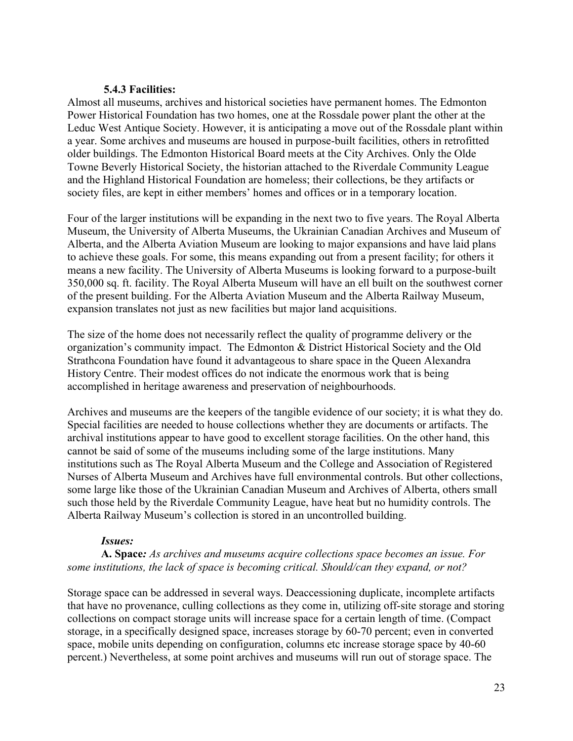#### **5.4.3 Facilities:**

Almost all museums, archives and historical societies have permanent homes. The Edmonton Power Historical Foundation has two homes, one at the Rossdale power plant the other at the Leduc West Antique Society. However, it is anticipating a move out of the Rossdale plant within a year. Some archives and museums are housed in purpose-built facilities, others in retrofitted older buildings. The Edmonton Historical Board meets at the City Archives. Only the Olde Towne Beverly Historical Society, the historian attached to the Riverdale Community League and the Highland Historical Foundation are homeless; their collections, be they artifacts or society files, are kept in either members' homes and offices or in a temporary location.

Four of the larger institutions will be expanding in the next two to five years. The Royal Alberta Museum, the University of Alberta Museums, the Ukrainian Canadian Archives and Museum of Alberta, and the Alberta Aviation Museum are looking to major expansions and have laid plans to achieve these goals. For some, this means expanding out from a present facility; for others it means a new facility. The University of Alberta Museums is looking forward to a purpose-built 350,000 sq. ft. facility. The Royal Alberta Museum will have an ell built on the southwest corner of the present building. For the Alberta Aviation Museum and the Alberta Railway Museum, expansion translates not just as new facilities but major land acquisitions.

The size of the home does not necessarily reflect the quality of programme delivery or the organization's community impact. The Edmonton & District Historical Society and the Old Strathcona Foundation have found it advantageous to share space in the Queen Alexandra History Centre. Their modest offices do not indicate the enormous work that is being accomplished in heritage awareness and preservation of neighbourhoods.

Archives and museums are the keepers of the tangible evidence of our society; it is what they do. Special facilities are needed to house collections whether they are documents or artifacts. The archival institutions appear to have good to excellent storage facilities. On the other hand, this cannot be said of some of the museums including some of the large institutions. Many institutions such as The Royal Alberta Museum and the College and Association of Registered Nurses of Alberta Museum and Archives have full environmental controls. But other collections, some large like those of the Ukrainian Canadian Museum and Archives of Alberta, others small such those held by the Riverdale Community League, have heat but no humidity controls. The Alberta Railway Museum's collection is stored in an uncontrolled building.

### *Issues:*

**A. Space***: As archives and museums acquire collections space becomes an issue. For some institutions, the lack of space is becoming critical. Should/can they expand, or not?*

Storage space can be addressed in several ways. Deaccessioning duplicate, incomplete artifacts that have no provenance, culling collections as they come in, utilizing off-site storage and storing collections on compact storage units will increase space for a certain length of time. (Compact storage, in a specifically designed space, increases storage by 60-70 percent; even in converted space, mobile units depending on configuration, columns etc increase storage space by 40-60 percent.) Nevertheless, at some point archives and museums will run out of storage space. The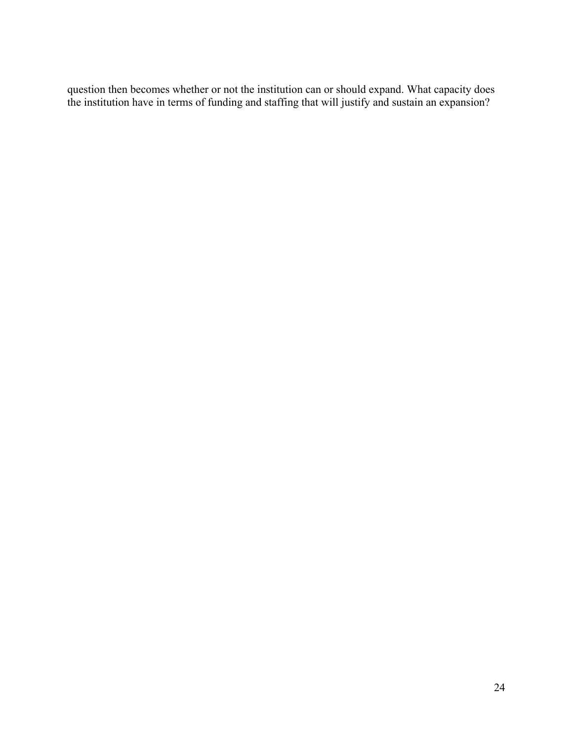question then becomes whether or not the institution can or should expand. What capacity does the institution have in terms of funding and staffing that will justify and sustain an expansion?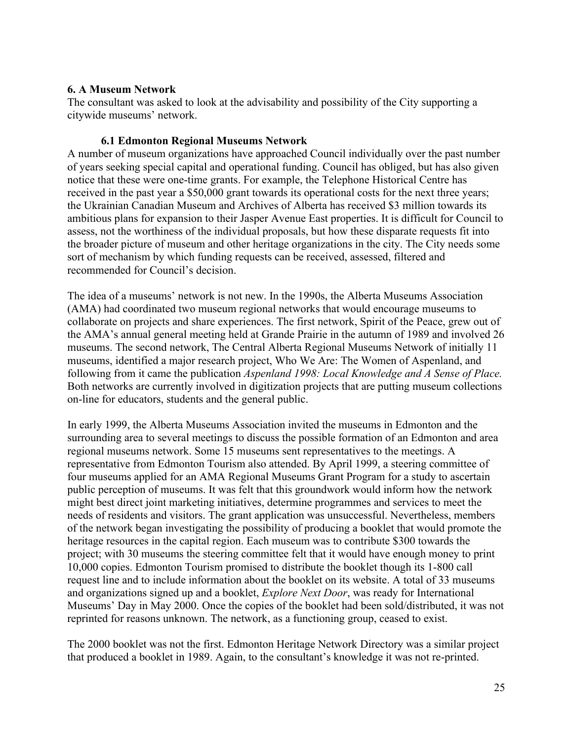## **6. A Museum Network**

The consultant was asked to look at the advisability and possibility of the City supporting a citywide museums' network.

## **6.1 Edmonton Regional Museums Network**

A number of museum organizations have approached Council individually over the past number of years seeking special capital and operational funding. Council has obliged, but has also given notice that these were one-time grants. For example, the Telephone Historical Centre has received in the past year a \$50,000 grant towards its operational costs for the next three years; the Ukrainian Canadian Museum and Archives of Alberta has received \$3 million towards its ambitious plans for expansion to their Jasper Avenue East properties. It is difficult for Council to assess, not the worthiness of the individual proposals, but how these disparate requests fit into the broader picture of museum and other heritage organizations in the city. The City needs some sort of mechanism by which funding requests can be received, assessed, filtered and recommended for Council's decision.

The idea of a museums' network is not new. In the 1990s, the Alberta Museums Association (AMA) had coordinated two museum regional networks that would encourage museums to collaborate on projects and share experiences. The first network, Spirit of the Peace, grew out of the AMA's annual general meeting held at Grande Prairie in the autumn of 1989 and involved 26 museums. The second network, The Central Alberta Regional Museums Network of initially 11 museums, identified a major research project, Who We Are: The Women of Aspenland, and following from it came the publication *Aspenland 1998: Local Knowledge and A Sense of Place.* Both networks are currently involved in digitization projects that are putting museum collections on-line for educators, students and the general public.

In early 1999, the Alberta Museums Association invited the museums in Edmonton and the surrounding area to several meetings to discuss the possible formation of an Edmonton and area regional museums network. Some 15 museums sent representatives to the meetings. A representative from Edmonton Tourism also attended. By April 1999, a steering committee of four museums applied for an AMA Regional Museums Grant Program for a study to ascertain public perception of museums. It was felt that this groundwork would inform how the network might best direct joint marketing initiatives, determine programmes and services to meet the needs of residents and visitors. The grant application was unsuccessful. Nevertheless, members of the network began investigating the possibility of producing a booklet that would promote the heritage resources in the capital region. Each museum was to contribute \$300 towards the project; with 30 museums the steering committee felt that it would have enough money to print 10,000 copies. Edmonton Tourism promised to distribute the booklet though its 1-800 call request line and to include information about the booklet on its website. A total of 33 museums and organizations signed up and a booklet, *Explore Next Door*, was ready for International Museums' Day in May 2000. Once the copies of the booklet had been sold/distributed, it was not reprinted for reasons unknown. The network, as a functioning group, ceased to exist.

The 2000 booklet was not the first. Edmonton Heritage Network Directory was a similar project that produced a booklet in 1989. Again, to the consultant's knowledge it was not re-printed.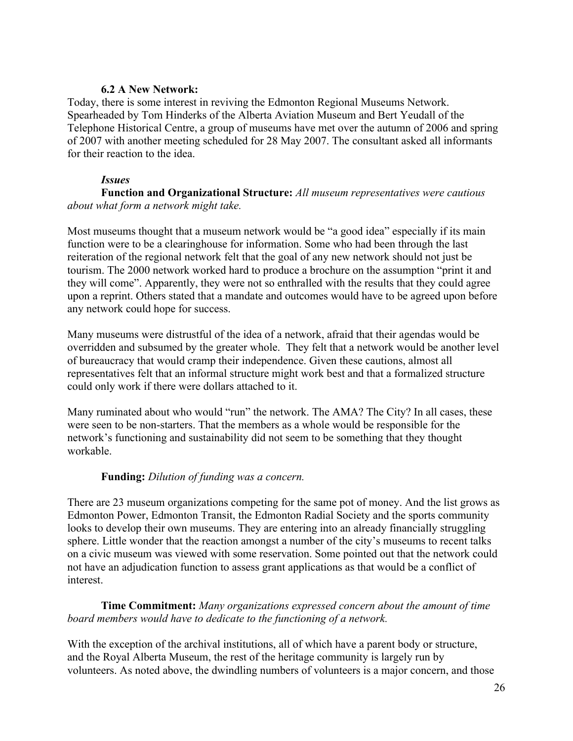## **6.2 A New Network:**

Today, there is some interest in reviving the Edmonton Regional Museums Network. Spearheaded by Tom Hinderks of the Alberta Aviation Museum and Bert Yeudall of the Telephone Historical Centre, a group of museums have met over the autumn of 2006 and spring of 2007 with another meeting scheduled for 28 May 2007. The consultant asked all informants for their reaction to the idea.

## *Issues*

**Function and Organizational Structure:** *All museum representatives were cautious about what form a network might take.*

Most museums thought that a museum network would be "a good idea" especially if its main function were to be a clearinghouse for information. Some who had been through the last reiteration of the regional network felt that the goal of any new network should not just be tourism. The 2000 network worked hard to produce a brochure on the assumption "print it and they will come". Apparently, they were not so enthralled with the results that they could agree upon a reprint. Others stated that a mandate and outcomes would have to be agreed upon before any network could hope for success.

Many museums were distrustful of the idea of a network, afraid that their agendas would be overridden and subsumed by the greater whole. They felt that a network would be another level of bureaucracy that would cramp their independence. Given these cautions, almost all representatives felt that an informal structure might work best and that a formalized structure could only work if there were dollars attached to it.

Many ruminated about who would "run" the network. The AMA? The City? In all cases, these were seen to be non-starters. That the members as a whole would be responsible for the network's functioning and sustainability did not seem to be something that they thought workable.

## **Funding:** *Dilution of funding was a concern.*

There are 23 museum organizations competing for the same pot of money. And the list grows as Edmonton Power, Edmonton Transit, the Edmonton Radial Society and the sports community looks to develop their own museums. They are entering into an already financially struggling sphere. Little wonder that the reaction amongst a number of the city's museums to recent talks on a civic museum was viewed with some reservation. Some pointed out that the network could not have an adjudication function to assess grant applications as that would be a conflict of interest.

**Time Commitment:** *Many organizations expressed concern about the amount of time board members would have to dedicate to the functioning of a network.*

With the exception of the archival institutions, all of which have a parent body or structure, and the Royal Alberta Museum, the rest of the heritage community is largely run by volunteers. As noted above, the dwindling numbers of volunteers is a major concern, and those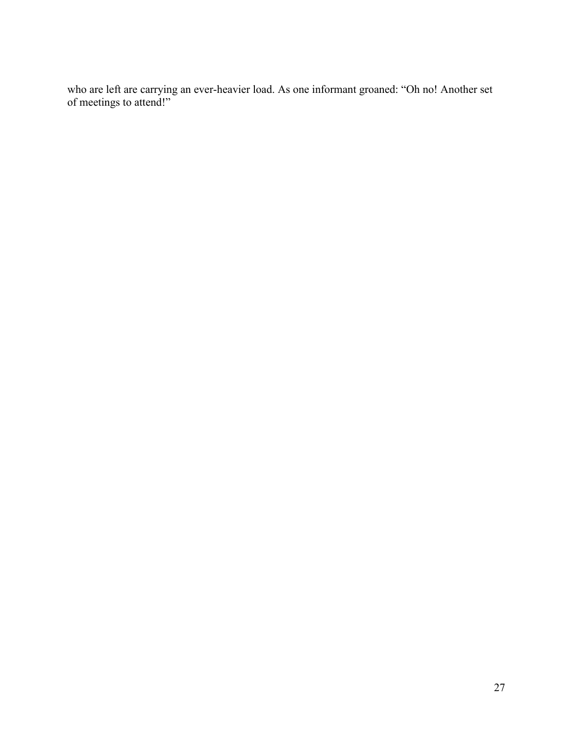who are left are carrying an ever-heavier load. As one informant groaned: "Oh no! Another set of meetings to attend!"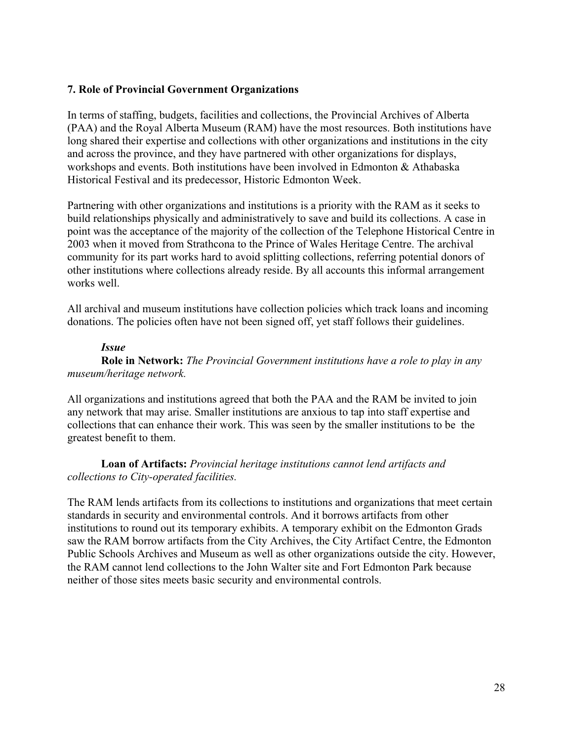## **7. Role of Provincial Government Organizations**

In terms of staffing, budgets, facilities and collections, the Provincial Archives of Alberta (PAA) and the Royal Alberta Museum (RAM) have the most resources. Both institutions have long shared their expertise and collections with other organizations and institutions in the city and across the province, and they have partnered with other organizations for displays, workshops and events. Both institutions have been involved in Edmonton & Athabaska Historical Festival and its predecessor, Historic Edmonton Week.

Partnering with other organizations and institutions is a priority with the RAM as it seeks to build relationships physically and administratively to save and build its collections. A case in point was the acceptance of the majority of the collection of the Telephone Historical Centre in 2003 when it moved from Strathcona to the Prince of Wales Heritage Centre. The archival community for its part works hard to avoid splitting collections, referring potential donors of other institutions where collections already reside. By all accounts this informal arrangement works well.

All archival and museum institutions have collection policies which track loans and incoming donations. The policies often have not been signed off, yet staff follows their guidelines.

### *Issue*

**Role in Network:** *The Provincial Government institutions have a role to play in any museum/heritage network.*

All organizations and institutions agreed that both the PAA and the RAM be invited to join any network that may arise. Smaller institutions are anxious to tap into staff expertise and collections that can enhance their work. This was seen by the smaller institutions to be the greatest benefit to them.

## **Loan of Artifacts:** *Provincial heritage institutions cannot lend artifacts and collections to City-operated facilities.*

The RAM lends artifacts from its collections to institutions and organizations that meet certain standards in security and environmental controls. And it borrows artifacts from other institutions to round out its temporary exhibits. A temporary exhibit on the Edmonton Grads saw the RAM borrow artifacts from the City Archives, the City Artifact Centre, the Edmonton Public Schools Archives and Museum as well as other organizations outside the city. However, the RAM cannot lend collections to the John Walter site and Fort Edmonton Park because neither of those sites meets basic security and environmental controls.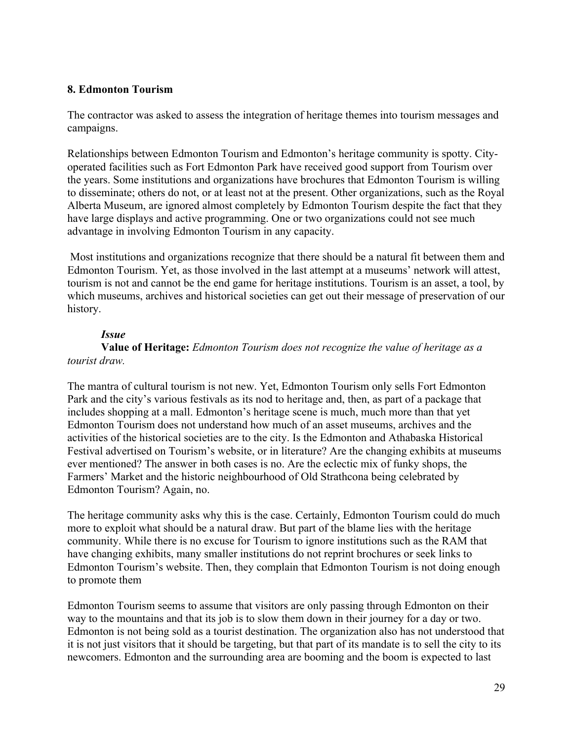## **8. Edmonton Tourism**

The contractor was asked to assess the integration of heritage themes into tourism messages and campaigns.

Relationships between Edmonton Tourism and Edmonton's heritage community is spotty. Cityoperated facilities such as Fort Edmonton Park have received good support from Tourism over the years. Some institutions and organizations have brochures that Edmonton Tourism is willing to disseminate; others do not, or at least not at the present. Other organizations, such as the Royal Alberta Museum, are ignored almost completely by Edmonton Tourism despite the fact that they have large displays and active programming. One or two organizations could not see much advantage in involving Edmonton Tourism in any capacity.

 Most institutions and organizations recognize that there should be a natural fit between them and Edmonton Tourism. Yet, as those involved in the last attempt at a museums' network will attest, tourism is not and cannot be the end game for heritage institutions. Tourism is an asset, a tool, by which museums, archives and historical societies can get out their message of preservation of our history.

## *Issue*

**Value of Heritage:** *Edmonton Tourism does not recognize the value of heritage as a tourist draw.*

The mantra of cultural tourism is not new. Yet, Edmonton Tourism only sells Fort Edmonton Park and the city's various festivals as its nod to heritage and, then, as part of a package that includes shopping at a mall. Edmonton's heritage scene is much, much more than that yet Edmonton Tourism does not understand how much of an asset museums, archives and the activities of the historical societies are to the city. Is the Edmonton and Athabaska Historical Festival advertised on Tourism's website, or in literature? Are the changing exhibits at museums ever mentioned? The answer in both cases is no. Are the eclectic mix of funky shops, the Farmers' Market and the historic neighbourhood of Old Strathcona being celebrated by Edmonton Tourism? Again, no.

The heritage community asks why this is the case. Certainly, Edmonton Tourism could do much more to exploit what should be a natural draw. But part of the blame lies with the heritage community. While there is no excuse for Tourism to ignore institutions such as the RAM that have changing exhibits, many smaller institutions do not reprint brochures or seek links to Edmonton Tourism's website. Then, they complain that Edmonton Tourism is not doing enough to promote them

Edmonton Tourism seems to assume that visitors are only passing through Edmonton on their way to the mountains and that its job is to slow them down in their journey for a day or two. Edmonton is not being sold as a tourist destination. The organization also has not understood that it is not just visitors that it should be targeting, but that part of its mandate is to sell the city to its newcomers. Edmonton and the surrounding area are booming and the boom is expected to last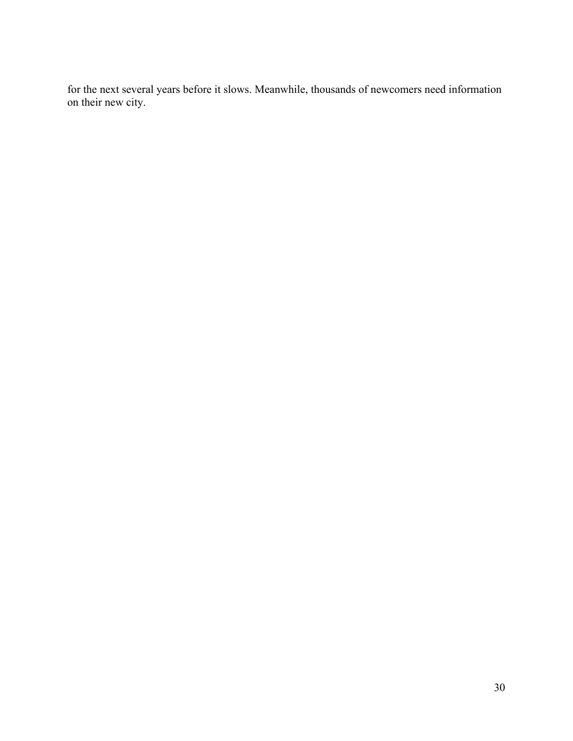for the next several years before it slows. Meanwhile, thousands of newcomers need information on their new city.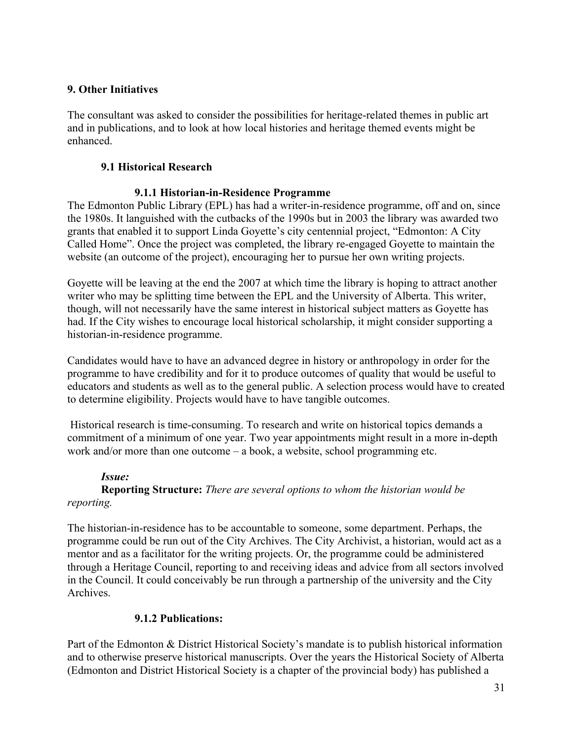# **9. Other Initiatives**

The consultant was asked to consider the possibilities for heritage-related themes in public art and in publications, and to look at how local histories and heritage themed events might be enhanced.

# **9.1 Historical Research**

# **9.1.1 Historian-in-Residence Programme**

The Edmonton Public Library (EPL) has had a writer-in-residence programme, off and on, since the 1980s. It languished with the cutbacks of the 1990s but in 2003 the library was awarded two grants that enabled it to support Linda Goyette's city centennial project, "Edmonton: A City Called Home". Once the project was completed, the library re-engaged Goyette to maintain the website (an outcome of the project), encouraging her to pursue her own writing projects.

Goyette will be leaving at the end the 2007 at which time the library is hoping to attract another writer who may be splitting time between the EPL and the University of Alberta. This writer, though, will not necessarily have the same interest in historical subject matters as Goyette has had. If the City wishes to encourage local historical scholarship, it might consider supporting a historian-in-residence programme.

Candidates would have to have an advanced degree in history or anthropology in order for the programme to have credibility and for it to produce outcomes of quality that would be useful to educators and students as well as to the general public. A selection process would have to created to determine eligibility. Projects would have to have tangible outcomes.

 Historical research is time-consuming. To research and write on historical topics demands a commitment of a minimum of one year. Two year appointments might result in a more in-depth work and/or more than one outcome – a book, a website, school programming etc.

## *Issue:*

## **Reporting Structure:** *There are several options to whom the historian would be reporting.*

The historian-in-residence has to be accountable to someone, some department. Perhaps, the programme could be run out of the City Archives. The City Archivist, a historian, would act as a mentor and as a facilitator for the writing projects. Or, the programme could be administered through a Heritage Council, reporting to and receiving ideas and advice from all sectors involved in the Council. It could conceivably be run through a partnership of the university and the City Archives.

# **9.1.2 Publications:**

Part of the Edmonton & District Historical Society's mandate is to publish historical information and to otherwise preserve historical manuscripts. Over the years the Historical Society of Alberta (Edmonton and District Historical Society is a chapter of the provincial body) has published a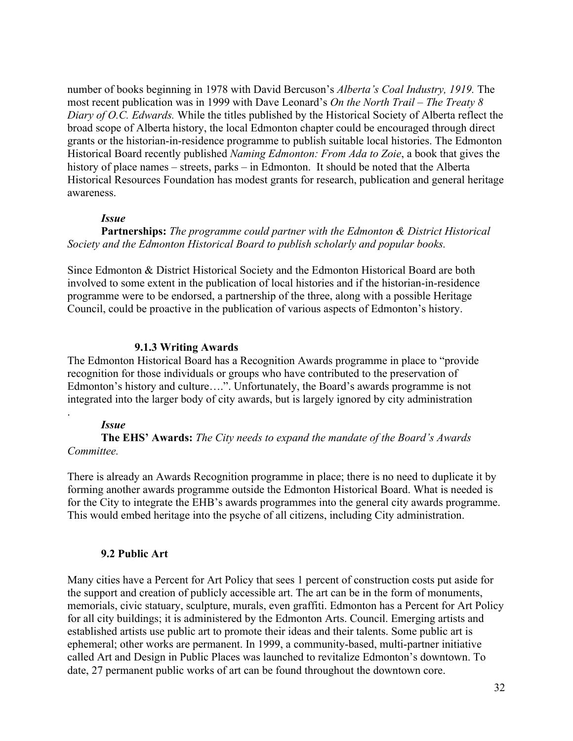number of books beginning in 1978 with David Bercuson's *Alberta's Coal Industry, 1919.* The most recent publication was in 1999 with Dave Leonard's *On the North Trail – The Treaty 8 Diary of O.C. Edwards.* While the titles published by the Historical Society of Alberta reflect the broad scope of Alberta history, the local Edmonton chapter could be encouraged through direct grants or the historian-in-residence programme to publish suitable local histories. The Edmonton Historical Board recently published *Naming Edmonton: From Ada to Zoie*, a book that gives the history of place names – streets, parks – in Edmonton. It should be noted that the Alberta Historical Resources Foundation has modest grants for research, publication and general heritage awareness.

#### *Issue*

**Partnerships:** *The programme could partner with the Edmonton & District Historical Society and the Edmonton Historical Board to publish scholarly and popular books.*

Since Edmonton & District Historical Society and the Edmonton Historical Board are both involved to some extent in the publication of local histories and if the historian-in-residence programme were to be endorsed, a partnership of the three, along with a possible Heritage Council, could be proactive in the publication of various aspects of Edmonton's history.

#### **9.1.3 Writing Awards**

The Edmonton Historical Board has a Recognition Awards programme in place to "provide recognition for those individuals or groups who have contributed to the preservation of Edmonton's history and culture….". Unfortunately, the Board's awards programme is not integrated into the larger body of city awards, but is largely ignored by city administration

#### *Issue*

.

**The EHS' Awards:** *The City needs to expand the mandate of the Board's Awards Committee.*

There is already an Awards Recognition programme in place; there is no need to duplicate it by forming another awards programme outside the Edmonton Historical Board. What is needed is for the City to integrate the EHB's awards programmes into the general city awards programme. This would embed heritage into the psyche of all citizens, including City administration.

#### **9.2 Public Art**

Many cities have a Percent for Art Policy that sees 1 percent of construction costs put aside for the support and creation of publicly accessible art. The art can be in the form of monuments, memorials, civic statuary, sculpture, murals, even graffiti. Edmonton has a Percent for Art Policy for all city buildings; it is administered by the Edmonton Arts. Council. Emerging artists and established artists use public art to promote their ideas and their talents. Some public art is ephemeral; other works are permanent. In 1999, a community-based, multi-partner initiative called Art and Design in Public Places was launched to revitalize Edmonton's downtown. To date, 27 permanent public works of art can be found throughout the downtown core.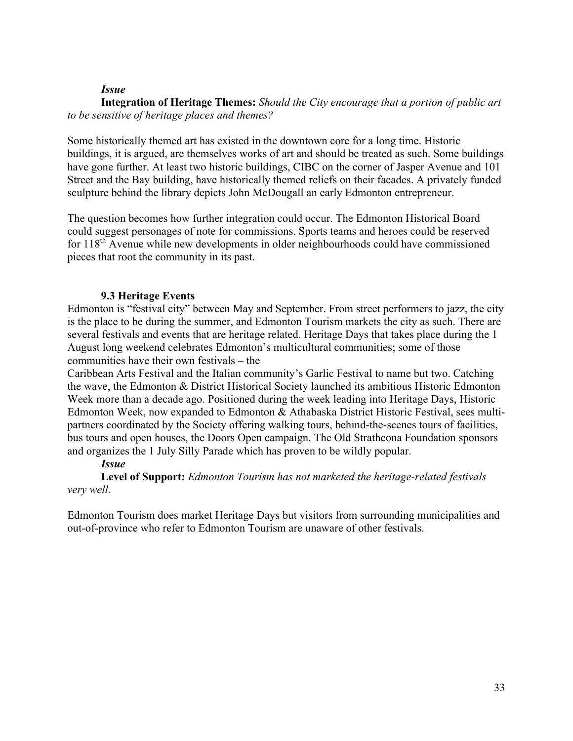## *Issue*

**Integration of Heritage Themes:** *Should the City encourage that a portion of public art to be sensitive of heritage places and themes?*

Some historically themed art has existed in the downtown core for a long time. Historic buildings, it is argued, are themselves works of art and should be treated as such. Some buildings have gone further. At least two historic buildings, CIBC on the corner of Jasper Avenue and 101 Street and the Bay building, have historically themed reliefs on their facades. A privately funded sculpture behind the library depicts John McDougall an early Edmonton entrepreneur.

The question becomes how further integration could occur. The Edmonton Historical Board could suggest personages of note for commissions. Sports teams and heroes could be reserved for  $118<sup>th</sup>$  Avenue while new developments in older neighbourhoods could have commissioned pieces that root the community in its past.

## **9.3 Heritage Events**

Edmonton is "festival city" between May and September. From street performers to jazz, the city is the place to be during the summer, and Edmonton Tourism markets the city as such. There are several festivals and events that are heritage related. Heritage Days that takes place during the 1 August long weekend celebrates Edmonton's multicultural communities; some of those communities have their own festivals – the

Caribbean Arts Festival and the Italian community's Garlic Festival to name but two. Catching the wave, the Edmonton & District Historical Society launched its ambitious Historic Edmonton Week more than a decade ago. Positioned during the week leading into Heritage Days, Historic Edmonton Week, now expanded to Edmonton & Athabaska District Historic Festival, sees multipartners coordinated by the Society offering walking tours, behind-the-scenes tours of facilities, bus tours and open houses, the Doors Open campaign. The Old Strathcona Foundation sponsors and organizes the 1 July Silly Parade which has proven to be wildly popular.

# *Issue*

**Level of Support:** *Edmonton Tourism has not marketed the heritage-related festivals very well.*

Edmonton Tourism does market Heritage Days but visitors from surrounding municipalities and out-of-province who refer to Edmonton Tourism are unaware of other festivals.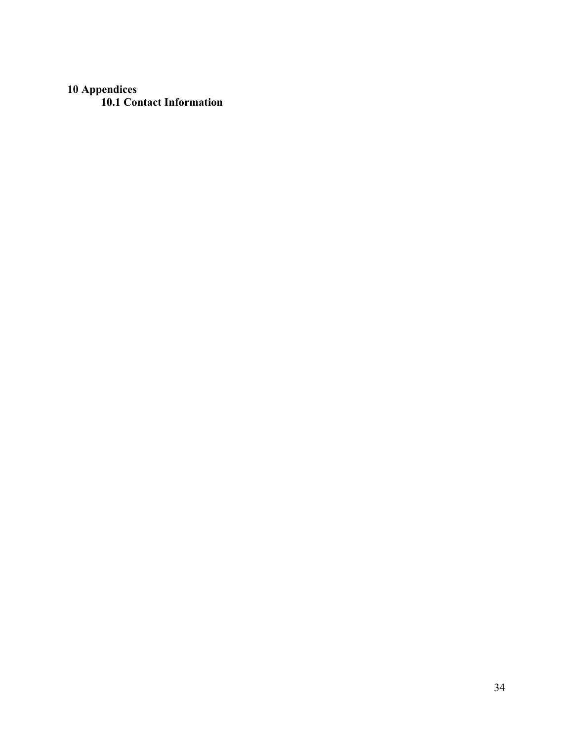# **10 Appendices**

**10.1 Contact Information**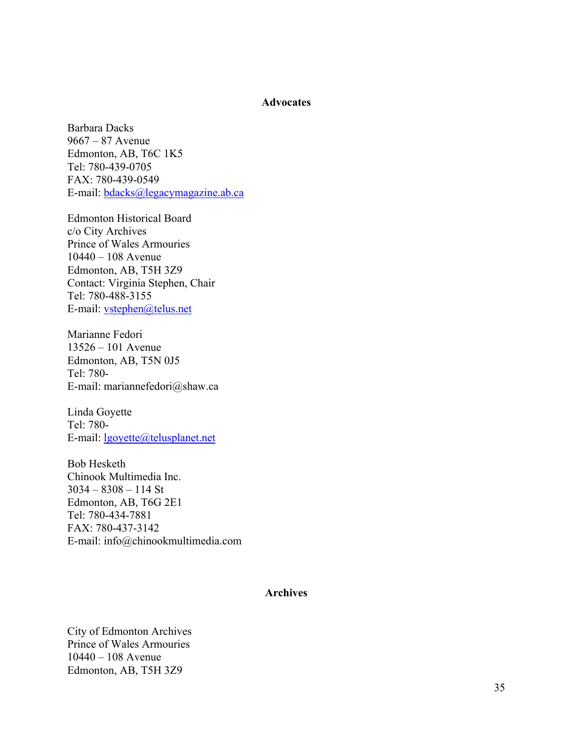#### **Advocates**

Barbara Dacks 9667 – 87 Avenue Edmonton, AB, T6C 1K5 Tel: 780-439-0705 FAX: 780-439-0549 E-mail: bdacks@legacymagazine.ab.ca

Edmonton Historical Board c/o City Archives Prince of Wales Armouries 10440 – 108 Avenue Edmonton, AB, T5H 3Z9 Contact: Virginia Stephen, Chair Tel: 780-488-3155 E-mail: vstephen@telus.net

Marianne Fedori 13526 – 101 Avenue Edmonton, AB, T5N 0J5 Tel: 780- E-mail: mariannefedori@shaw.ca

Linda Goyette Tel: 780- E-mail: lgoyette@telusplanet.net

Bob Hesketh Chinook Multimedia Inc. 3034 – 8308 – 114 St Edmonton, AB, T6G 2E1 Tel: 780-434-7881 FAX: 780-437-3142 E-mail: info@chinookmultimedia.com

#### **Archives**

City of Edmonton Archives Prince of Wales Armouries 10440 – 108 Avenue Edmonton, AB, T5H 3Z9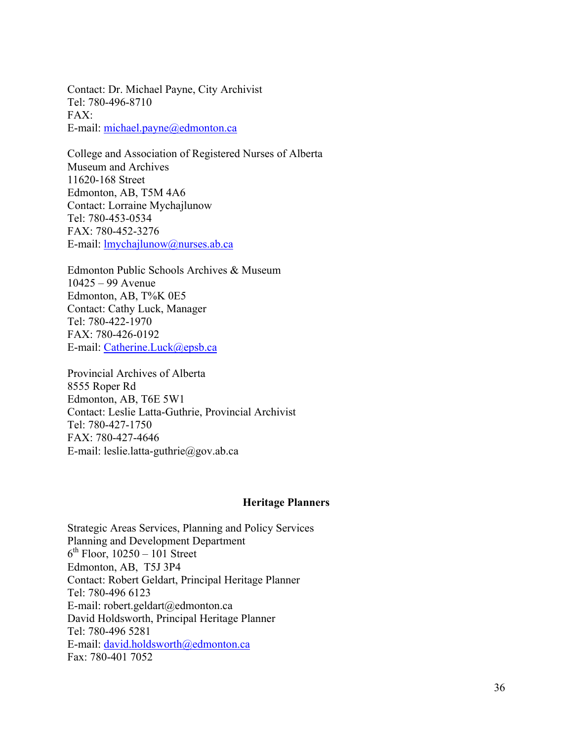Contact: Dr. Michael Payne, City Archivist Tel: 780-496-8710  $FAX$ E-mail: michael.payne@edmonton.ca

College and Association of Registered Nurses of Alberta Museum and Archives 11620-168 Street Edmonton, AB, T5M 4A6 Contact: Lorraine Mychajlunow Tel: 780-453-0534 FAX: 780-452-3276 E-mail: lmychajlunow@nurses.ab.ca

Edmonton Public Schools Archives & Museum 10425 – 99 Avenue Edmonton, AB, T%K 0E5 Contact: Cathy Luck, Manager Tel: 780-422-1970 FAX: 780-426-0192 E-mail: Catherine.Luck@epsb.ca

Provincial Archives of Alberta 8555 Roper Rd Edmonton, AB, T6E 5W1 Contact: Leslie Latta-Guthrie, Provincial Archivist Tel: 780-427-1750 FAX: 780-427-4646 E-mail: leslie.latta-guthrie@gov.ab.ca

#### **Heritage Planners**

Strategic Areas Services, Planning and Policy Services Planning and Development Department  $6<sup>th</sup>$  Floor, 10250 – 101 Street Edmonton, AB, T5J 3P4 Contact: Robert Geldart, Principal Heritage Planner Tel: 780-496 6123 E-mail: robert.geldart@edmonton.ca David Holdsworth, Principal Heritage Planner Tel: 780-496 5281 E-mail: david.holdsworth@edmonton.ca Fax: 780-401 7052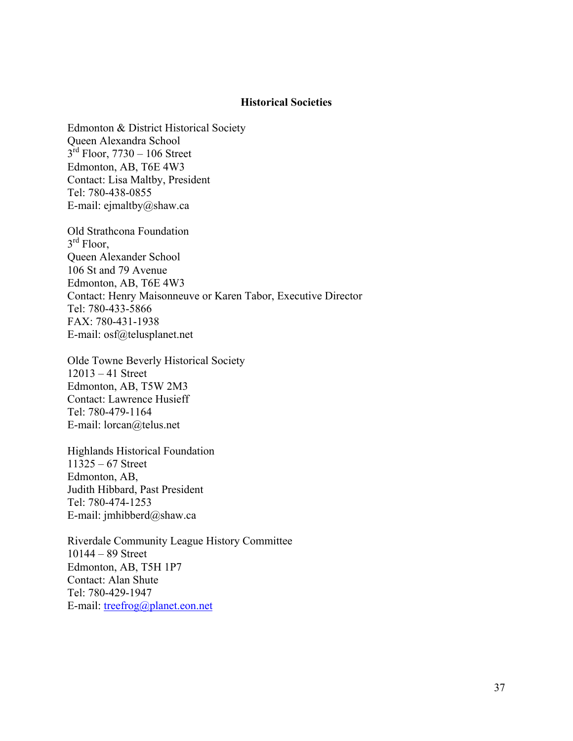#### **Historical Societies**

Edmonton & District Historical Society Queen Alexandra School  $3<sup>rd</sup>$  Floor, 7730 – 106 Street Edmonton, AB, T6E 4W3 Contact: Lisa Maltby, President Tel: 780-438-0855 E-mail: ejmaltby@shaw.ca

Old Strathcona Foundation  $3<sup>rd</sup>$  Floor. Queen Alexander School 106 St and 79 Avenue Edmonton, AB, T6E 4W3 Contact: Henry Maisonneuve or Karen Tabor, Executive Director Tel: 780-433-5866 FAX: 780-431-1938 E-mail: osf@telusplanet.net

Olde Towne Beverly Historical Society 12013 – 41 Street Edmonton, AB, T5W 2M3 Contact: Lawrence Husieff Tel: 780-479-1164 E-mail: lorcan@telus.net

Highlands Historical Foundation 11325 – 67 Street Edmonton, AB, Judith Hibbard, Past President Tel: 780-474-1253 E-mail: jmhibberd@shaw.ca

Riverdale Community League History Committee 10144 – 89 Street Edmonton, AB, T5H 1P7 Contact: Alan Shute Tel: 780-429-1947 E-mail: treefrog@planet.eon.net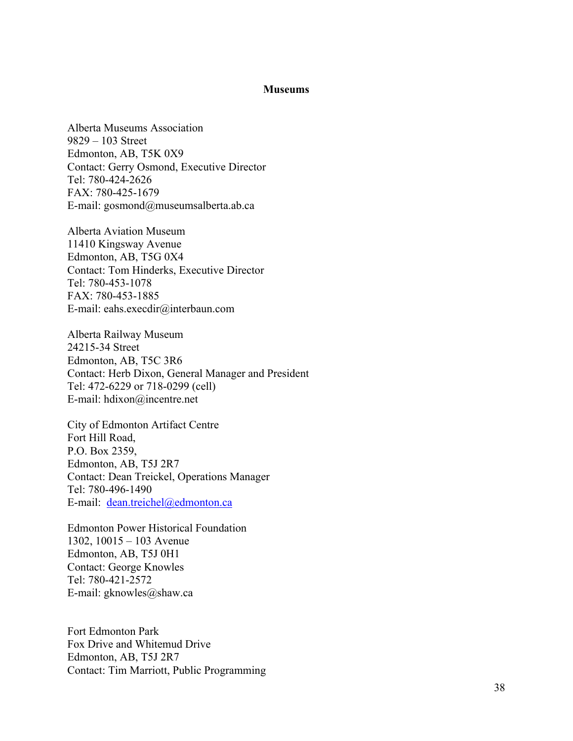#### **Museums**

Alberta Museums Association 9829 – 103 Street Edmonton, AB, T5K 0X9 Contact: Gerry Osmond, Executive Director Tel: 780 -424 -2626 FAX: 780 -425 -1679 E -mail: gosmond@museumsalberta.ab.ca

Alberta Aviation Museum 11410 Kingsway Avenue Edmonton, AB, T5G 0X4 Contact: Tom Hinderks, Executive Director Tel: 780 -453 -1078 FAX: 780 -453 -1885 E -mail: eahs.execdir@interbaun.com

Alberta Railway Museum 24215 -34 Street Edmonton, AB, T5C 3R6 Contact: Herb Dixon, General Manager and President Tel: 472-6229 or 718-0299 (cell) E -mail: hdixon@incentre.net

City of Edmonton Artifact Centre Fort Hill Road, P.O. Box 2359, Edmonton, AB, T5J 2R7 Contact: Dean Treickel, Operations Manager Tel: 780 -496 -1490 E-mail: dean.treichel@edmonton.ca

Edmonton Power Historical Foundation 1302, 10015 – 103 Avenue Edmonton, AB, T5J 0H1 Contact: George Knowles Tel: 780 -421 -2572 E -mail: gknowles@shaw.ca

Fort Edmonton Park Fox Drive and Whitemud Drive Edmonton, AB, T5J 2R7 Contact: Tim Marriott, Public Programming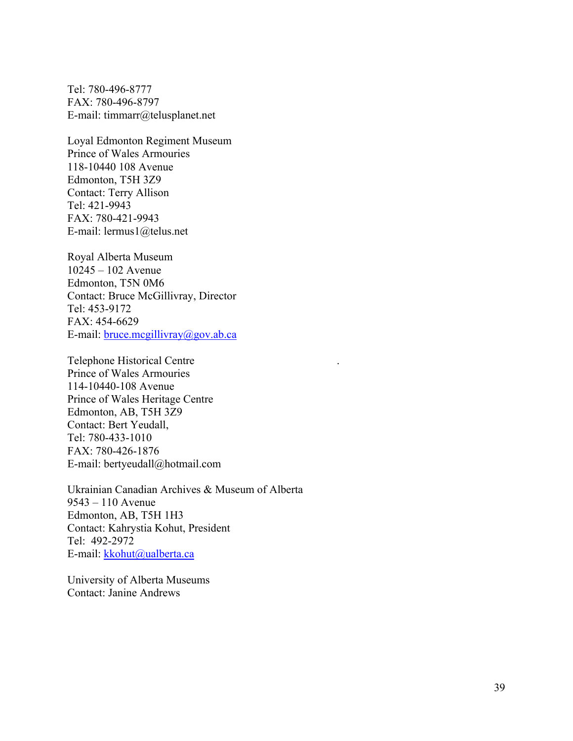Tel: 780-496-8777 FAX: 780-496-8797 E-mail: timmarr@telusplanet.net

Loyal Edmonton Regiment Museum Prince of Wales Armouries 118-10440 108 Avenue Edmonton, T5H 3Z9 Contact: Terry Allison Tel: 421-9943 FAX: 780-421-9943 E-mail: lermus1@telus.net

Royal Alberta Museum 10245 – 102 Avenue Edmonton, T5N 0M6 Contact: Bruce McGillivray, Director Tel: 453-9172 FAX: 454-6629 E-mail: bruce.mcgillivray@gov.ab.ca

Telephone Historical Centre . Prince of Wales Armouries 114-10440-108 Avenue Prince of Wales Heritage Centre Edmonton, AB, T5H 3Z9 Contact: Bert Yeudall, Tel: 780-433-1010 FAX: 780-426-1876 E-mail: bertyeudall@hotmail.com

Ukrainian Canadian Archives & Museum of Alberta 9543 – 110 Avenue Edmonton, AB, T5H 1H3 Contact: Kahrystia Kohut, President Tel: 492-2972 E-mail: kkohut@ualberta.ca

University of Alberta Museums Contact: Janine Andrews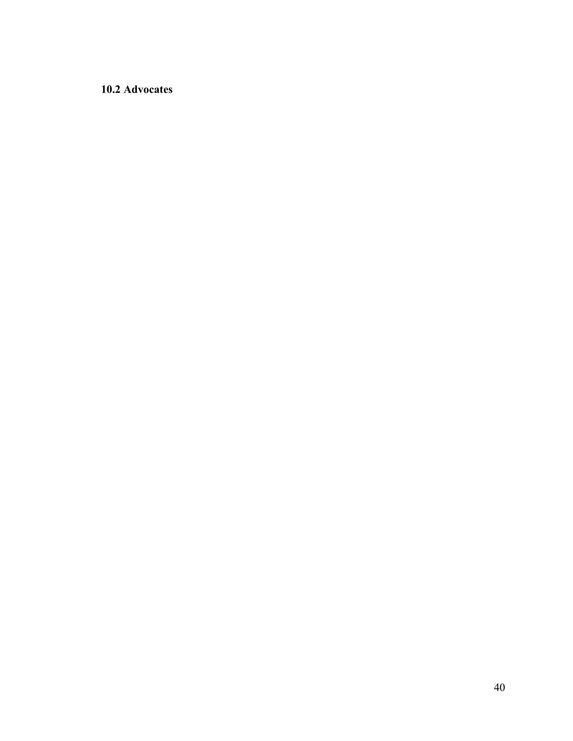# **10.2 Advocates**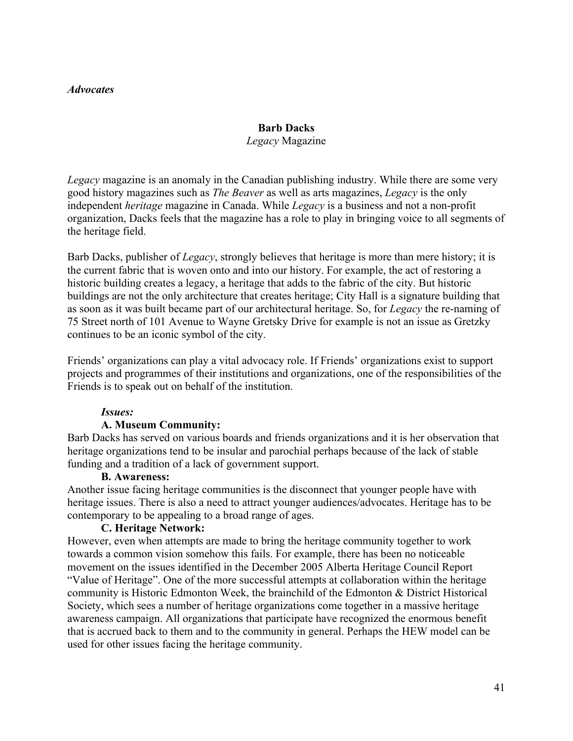### *Advocates*

## **Barb Dacks** *Legacy* Magazine

*Legacy* magazine is an anomaly in the Canadian publishing industry. While there are some very good history magazines such as *The Beaver* as well as arts magazines, *Legacy* is the only independent *heritage* magazine in Canada. While *Legacy* is a business and not a non-profit organization, Dacks feels that the magazine has a role to play in bringing voice to all segments of the heritage field.

Barb Dacks, publisher of *Legacy*, strongly believes that heritage is more than mere history; it is the current fabric that is woven onto and into our history. For example, the act of restoring a historic building creates a legacy, a heritage that adds to the fabric of the city. But historic buildings are not the only architecture that creates heritage; City Hall is a signature building that as soon as it was built became part of our architectural heritage. So, for *Legacy* the re-naming of 75 Street north of 101 Avenue to Wayne Gretsky Drive for example is not an issue as Gretzky continues to be an iconic symbol of the city.

Friends' organizations can play a vital advocacy role. If Friends' organizations exist to support projects and programmes of their institutions and organizations, one of the responsibilities of the Friends is to speak out on behalf of the institution.

## *Issues:*

## **A. Museum Community:**

Barb Dacks has served on various boards and friends organizations and it is her observation that heritage organizations tend to be insular and parochial perhaps because of the lack of stable funding and a tradition of a lack of government support.

#### **B. Awareness:**

Another issue facing heritage communities is the disconnect that younger people have with heritage issues. There is also a need to attract younger audiences/advocates. Heritage has to be contemporary to be appealing to a broad range of ages.

## **C. Heritage Network:**

However, even when attempts are made to bring the heritage community together to work towards a common vision somehow this fails. For example, there has been no noticeable movement on the issues identified in the December 2005 Alberta Heritage Council Report "Value of Heritage". One of the more successful attempts at collaboration within the heritage community is Historic Edmonton Week, the brainchild of the Edmonton & District Historical Society, which sees a number of heritage organizations come together in a massive heritage awareness campaign. All organizations that participate have recognized the enormous benefit that is accrued back to them and to the community in general. Perhaps the HEW model can be used for other issues facing the heritage community.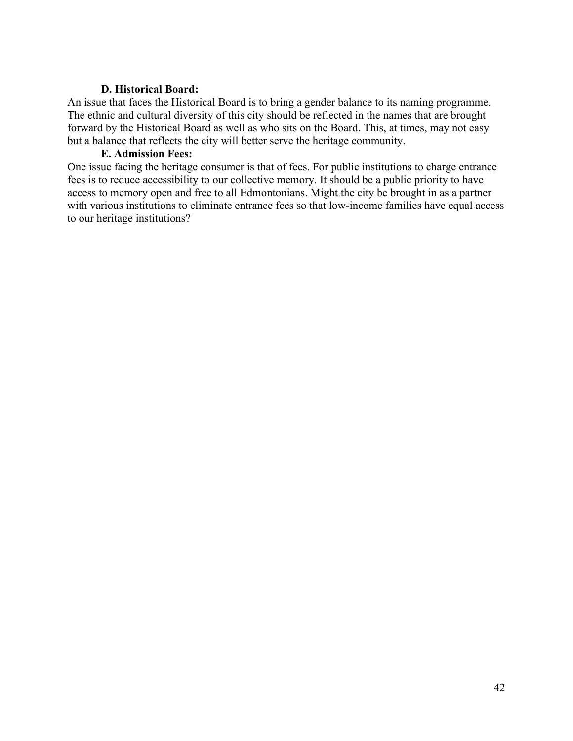# **D. Historical Board:**

An issue that faces the Historical Board is to bring a gender balance to its naming programme. The ethnic and cultural diversity of this city should be reflected in the names that are brought forward by the Historical Board as well as who sits on the Board. This, at times, may not easy but a balance that reflects the city will better serve the heritage community.

# **E. Admission Fees:**

One issue facing the heritage consumer is that of fees. For public institutions to charge entrance fees is to reduce accessibility to our collective memory. It should be a public priority to have access to memory open and free to all Edmontonians. Might the city be brought in as a partner with various institutions to eliminate entrance fees so that low-income families have equal access to our heritage institutions?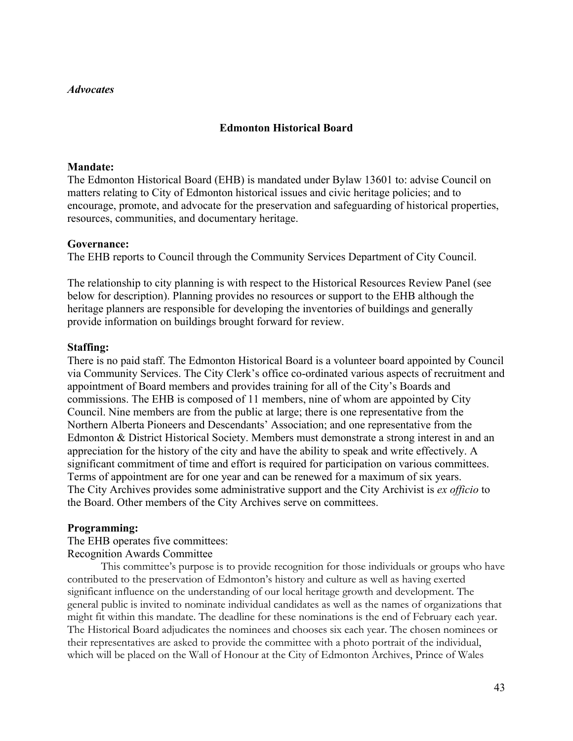#### *Advocates*

# **Edmonton Historical Board**

#### **Mandate:**

The Edmonton Historical Board (EHB) is mandated under Bylaw 13601 to: advise Council on matters relating to City of Edmonton historical issues and civic heritage policies; and to encourage, promote, and advocate for the preservation and safeguarding of historical properties, resources, communities, and documentary heritage.

#### **Governance:**

The EHB reports to Council through the Community Services Department of City Council.

The relationship to city planning is with respect to the Historical Resources Review Panel (see below for description). Planning provides no resources or support to the EHB although the heritage planners are responsible for developing the inventories of buildings and generally provide information on buildings brought forward for review.

## **Staffing:**

There is no paid staff. The Edmonton Historical Board is a volunteer board appointed by Council via Community Services. The City Clerk's office co-ordinated various aspects of recruitment and appointment of Board members and provides training for all of the City's Boards and commissions. The EHB is composed of 11 members, nine of whom are appointed by City Council. Nine members are from the public at large; there is one representative from the Northern Alberta Pioneers and Descendants' Association; and one representative from the Edmonton & District Historical Society. Members must demonstrate a strong interest in and an appreciation for the history of the city and have the ability to speak and write effectively. A significant commitment of time and effort is required for participation on various committees. Terms of appointment are for one year and can be renewed for a maximum of six years. The City Archives provides some administrative support and the City Archivist is *ex officio* to the Board. Other members of the City Archives serve on committees.

## **Programming:**

The EHB operates five committees:

## Recognition Awards Committee

This committee's purpose is to provide recognition for those individuals or groups who have contributed to the preservation of Edmonton's history and culture as well as having exerted significant influence on the understanding of our local heritage growth and development. The general public is invited to nominate individual candidates as well as the names of organizations that might fit within this mandate. The deadline for these nominations is the end of February each year. The Historical Board adjudicates the nominees and chooses six each year. The chosen nominees or their representatives are asked to provide the committee with a photo portrait of the individual, which will be placed on the Wall of Honour at the City of Edmonton Archives, Prince of Wales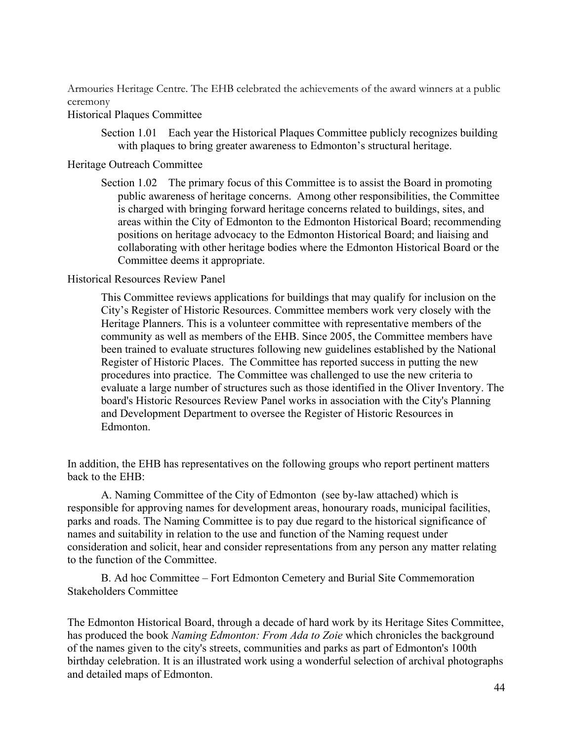Armouries Heritage Centre. The EHB celebrated the achievements of the award winners at a public ceremony

# Historical Plaques Committee

Section 1.01 Each year the Historical Plaques Committee publicly recognizes building with plaques to bring greater awareness to Edmonton's structural heritage.

## Heritage Outreach Committee

Section 1.02 The primary focus of this Committee is to assist the Board in promoting public awareness of heritage concerns. Among other responsibilities, the Committee is charged with bringing forward heritage concerns related to buildings, sites, and areas within the City of Edmonton to the Edmonton Historical Board; recommending positions on heritage advocacy to the Edmonton Historical Board; and liaising and collaborating with other heritage bodies where the Edmonton Historical Board or the Committee deems it appropriate.

# Historical Resources Review Panel

This Committee reviews applications for buildings that may qualify for inclusion on the City's Register of Historic Resources. Committee members work very closely with the Heritage Planners. This is a volunteer committee with representative members of the community as well as members of the EHB. Since 2005, the Committee members have been trained to evaluate structures following new guidelines established by the National Register of Historic Places. The Committee has reported success in putting the new procedures into practice. The Committee was challenged to use the new criteria to evaluate a large number of structures such as those identified in the Oliver Inventory. The board's Historic Resources Review Panel works in association with the City's Planning and Development Department to oversee the Register of Historic Resources in Edmonton.

In addition, the EHB has representatives on the following groups who report pertinent matters back to the EHB:

A. Naming Committee of the City of Edmonton (see by-law attached) which is responsible for approving names for development areas, honourary roads, municipal facilities, parks and roads. The Naming Committee is to pay due regard to the historical significance of names and suitability in relation to the use and function of the Naming request under consideration and solicit, hear and consider representations from any person any matter relating to the function of the Committee.

B. Ad hoc Committee – Fort Edmonton Cemetery and Burial Site Commemoration Stakeholders Committee

The Edmonton Historical Board, through a decade of hard work by its Heritage Sites Committee, has produced the book *Naming Edmonton: From Ada to Zoie* which chronicles the background of the names given to the city's streets, communities and parks as part of Edmonton's 100th birthday celebration. It is an illustrated work using a wonderful selection of archival photographs and detailed maps of Edmonton.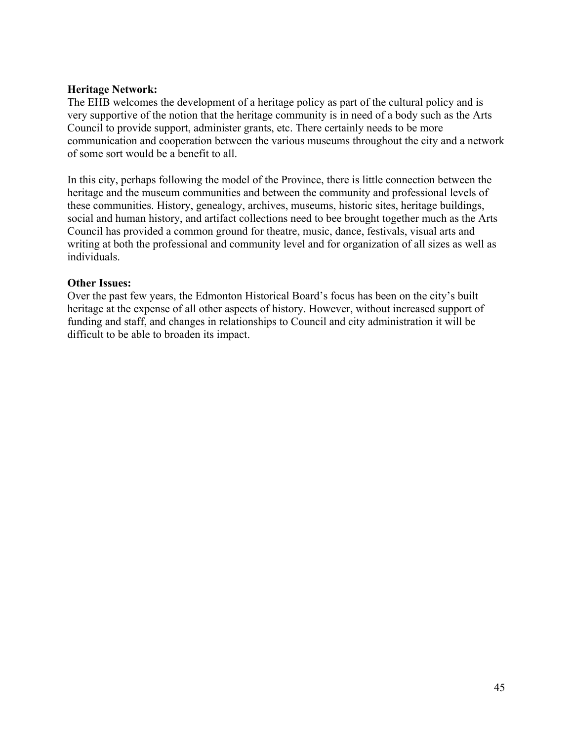# **Heritage Network:**

The EHB welcomes the development of a heritage policy as part of the cultural policy and is very supportive of the notion that the heritage community is in need of a body such as the Arts Council to provide support, administer grants, etc. There certainly needs to be more communication and cooperation between the various museums throughout the city and a network of some sort would be a benefit to all.

In this city, perhaps following the model of the Province, there is little connection between the heritage and the museum communities and between the community and professional levels of these communities. History, genealogy, archives, museums, historic sites, heritage buildings, social and human history, and artifact collections need to bee brought together much as the Arts Council has provided a common ground for theatre, music, dance, festivals, visual arts and writing at both the professional and community level and for organization of all sizes as well as individuals.

# **Other Issues:**

Over the past few years, the Edmonton Historical Board's focus has been on the city's built heritage at the expense of all other aspects of history. However, without increased support of funding and staff, and changes in relationships to Council and city administration it will be difficult to be able to broaden its impact.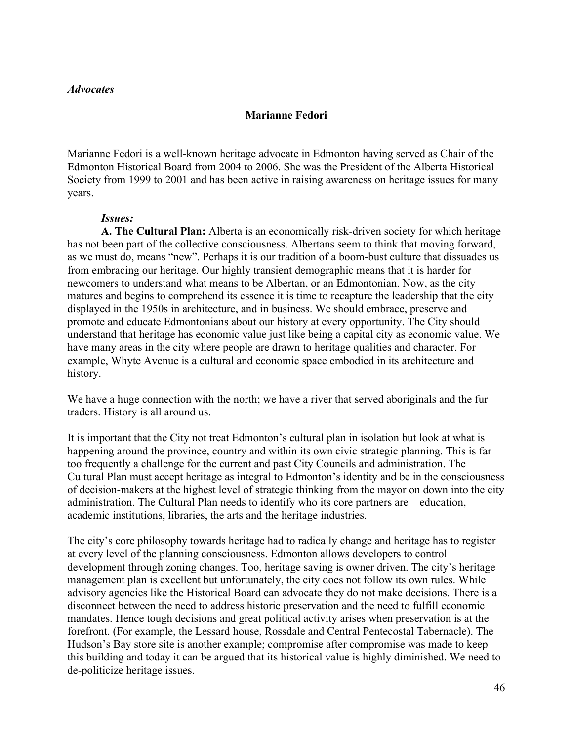#### *Advocates*

#### **Marianne Fedori**

Marianne Fedori is a well-known heritage advocate in Edmonton having served as Chair of the Edmonton Historical Board from 2004 to 2006. She was the President of the Alberta Historical Society from 1999 to 2001 and has been active in raising awareness on heritage issues for many years.

#### *Issues:*

**A. The Cultural Plan:** Alberta is an economically risk-driven society for which heritage has not been part of the collective consciousness. Albertans seem to think that moving forward, as we must do, means "new". Perhaps it is our tradition of a boom-bust culture that dissuades us from embracing our heritage. Our highly transient demographic means that it is harder for newcomers to understand what means to be Albertan, or an Edmontonian. Now, as the city matures and begins to comprehend its essence it is time to recapture the leadership that the city displayed in the 1950s in architecture, and in business. We should embrace, preserve and promote and educate Edmontonians about our history at every opportunity. The City should understand that heritage has economic value just like being a capital city as economic value. We have many areas in the city where people are drawn to heritage qualities and character. For example, Whyte Avenue is a cultural and economic space embodied in its architecture and history.

We have a huge connection with the north; we have a river that served aboriginals and the fur traders. History is all around us.

It is important that the City not treat Edmonton's cultural plan in isolation but look at what is happening around the province, country and within its own civic strategic planning. This is far too frequently a challenge for the current and past City Councils and administration. The Cultural Plan must accept heritage as integral to Edmonton's identity and be in the consciousness of decision-makers at the highest level of strategic thinking from the mayor on down into the city administration. The Cultural Plan needs to identify who its core partners are – education, academic institutions, libraries, the arts and the heritage industries.

The city's core philosophy towards heritage had to radically change and heritage has to register at every level of the planning consciousness. Edmonton allows developers to control development through zoning changes. Too, heritage saving is owner driven. The city's heritage management plan is excellent but unfortunately, the city does not follow its own rules. While advisory agencies like the Historical Board can advocate they do not make decisions. There is a disconnect between the need to address historic preservation and the need to fulfill economic mandates. Hence tough decisions and great political activity arises when preservation is at the forefront. (For example, the Lessard house, Rossdale and Central Pentecostal Tabernacle). The Hudson's Bay store site is another example; compromise after compromise was made to keep this building and today it can be argued that its historical value is highly diminished. We need to de-politicize heritage issues.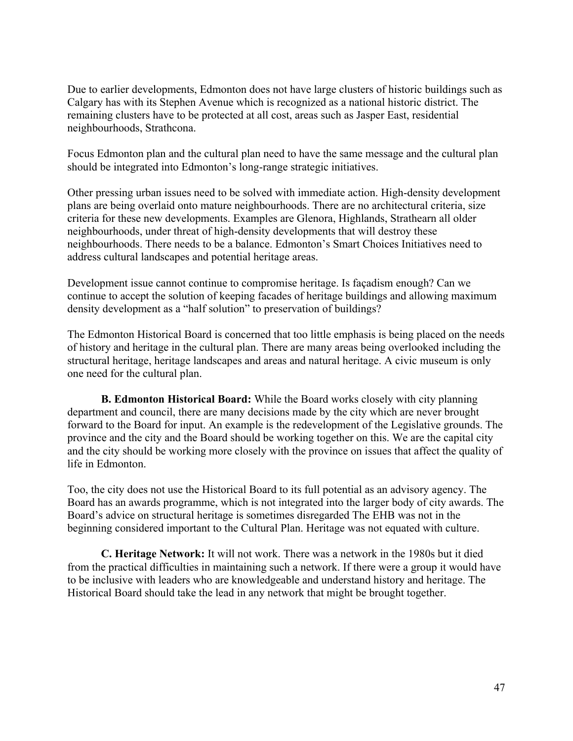Due to earlier developments, Edmonton does not have large clusters of historic buildings such as Calgary has with its Stephen Avenue which is recognized as a national historic district. The remaining clusters have to be protected at all cost, areas such as Jasper East, residential neighbourhoods, Strathcona.

Focus Edmonton plan and the cultural plan need to have the same message and the cultural plan should be integrated into Edmonton's long-range strategic initiatives.

Other pressing urban issues need to be solved with immediate action. High-density development plans are being overlaid onto mature neighbourhoods. There are no architectural criteria, size criteria for these new developments. Examples are Glenora, Highlands, Strathearn all older neighbourhoods, under threat of high-density developments that will destroy these neighbourhoods. There needs to be a balance. Edmonton's Smart Choices Initiatives need to address cultural landscapes and potential heritage areas.

Development issue cannot continue to compromise heritage. Is façadism enough? Can we continue to accept the solution of keeping facades of heritage buildings and allowing maximum density development as a "half solution" to preservation of buildings?

The Edmonton Historical Board is concerned that too little emphasis is being placed on the needs of history and heritage in the cultural plan. There are many areas being overlooked including the structural heritage, heritage landscapes and areas and natural heritage. A civic museum is only one need for the cultural plan.

**B. Edmonton Historical Board:** While the Board works closely with city planning department and council, there are many decisions made by the city which are never brought forward to the Board for input. An example is the redevelopment of the Legislative grounds. The province and the city and the Board should be working together on this. We are the capital city and the city should be working more closely with the province on issues that affect the quality of life in Edmonton.

Too, the city does not use the Historical Board to its full potential as an advisory agency. The Board has an awards programme, which is not integrated into the larger body of city awards. The Board's advice on structural heritage is sometimes disregarded The EHB was not in the beginning considered important to the Cultural Plan. Heritage was not equated with culture.

**C. Heritage Network:** It will not work. There was a network in the 1980s but it died from the practical difficulties in maintaining such a network. If there were a group it would have to be inclusive with leaders who are knowledgeable and understand history and heritage. The Historical Board should take the lead in any network that might be brought together.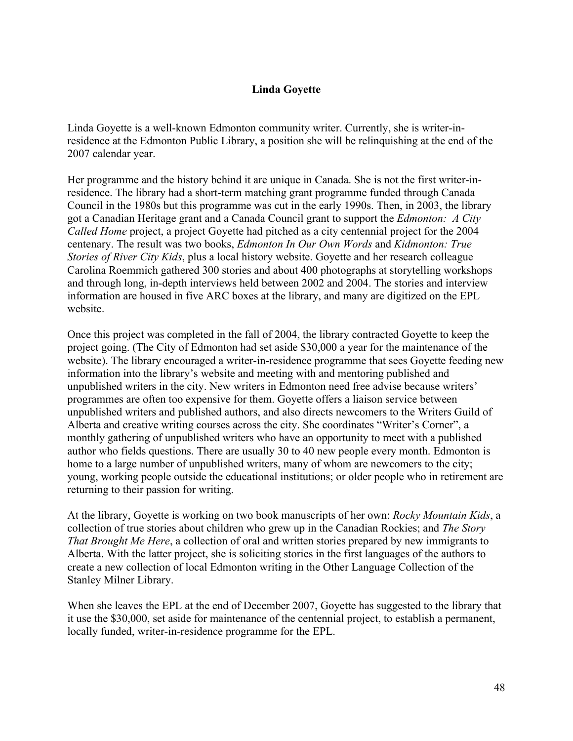# **Linda Goyette**

Linda Goyette is a well-known Edmonton community writer. Currently, she is writer-inresidence at the Edmonton Public Library, a position she will be relinquishing at the end of the 2007 calendar year.

Her programme and the history behind it are unique in Canada. She is not the first writer-inresidence. The library had a short-term matching grant programme funded through Canada Council in the 1980s but this programme was cut in the early 1990s. Then, in 2003, the library got a Canadian Heritage grant and a Canada Council grant to support the *Edmonton: A City Called Home* project, a project Goyette had pitched as a city centennial project for the 2004 centenary. The result was two books, *Edmonton In Our Own Words* and *Kidmonton: True Stories of River City Kids*, plus a local history website. Goyette and her research colleague Carolina Roemmich gathered 300 stories and about 400 photographs at storytelling workshops and through long, in-depth interviews held between 2002 and 2004. The stories and interview information are housed in five ARC boxes at the library, and many are digitized on the EPL website.

Once this project was completed in the fall of 2004, the library contracted Goyette to keep the project going. (The City of Edmonton had set aside \$30,000 a year for the maintenance of the website). The library encouraged a writer-in-residence programme that sees Goyette feeding new information into the library's website and meeting with and mentoring published and unpublished writers in the city. New writers in Edmonton need free advise because writers' programmes are often too expensive for them. Goyette offers a liaison service between unpublished writers and published authors, and also directs newcomers to the Writers Guild of Alberta and creative writing courses across the city. She coordinates "Writer's Corner", a monthly gathering of unpublished writers who have an opportunity to meet with a published author who fields questions. There are usually 30 to 40 new people every month. Edmonton is home to a large number of unpublished writers, many of whom are newcomers to the city; young, working people outside the educational institutions; or older people who in retirement are returning to their passion for writing.

At the library, Goyette is working on two book manuscripts of her own: *Rocky Mountain Kids*, a collection of true stories about children who grew up in the Canadian Rockies; and *The Story That Brought Me Here*, a collection of oral and written stories prepared by new immigrants to Alberta. With the latter project, she is soliciting stories in the first languages of the authors to create a new collection of local Edmonton writing in the Other Language Collection of the Stanley Milner Library.

When she leaves the EPL at the end of December 2007, Goyette has suggested to the library that it use the \$30,000, set aside for maintenance of the centennial project, to establish a permanent, locally funded, writer-in-residence programme for the EPL.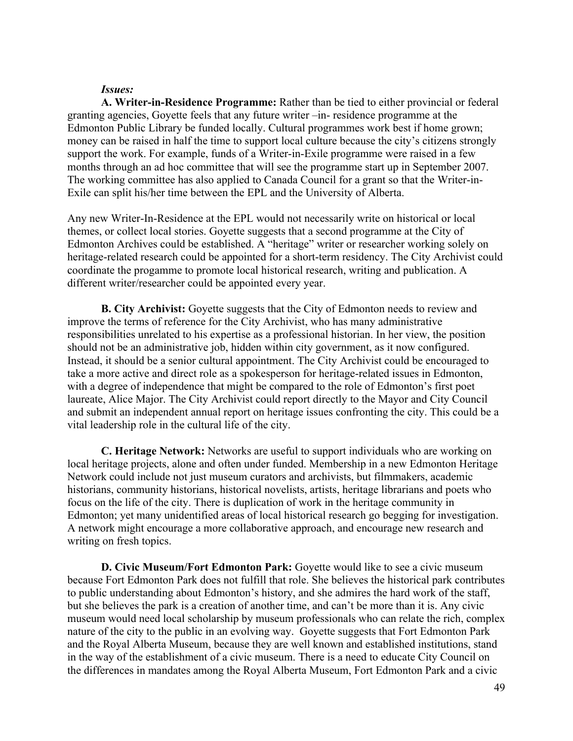#### *Issues:*

**A. Writer-in-Residence Programme:** Rather than be tied to either provincial or federal granting agencies, Goyette feels that any future writer –in- residence programme at the Edmonton Public Library be funded locally. Cultural programmes work best if home grown; money can be raised in half the time to support local culture because the city's citizens strongly support the work. For example, funds of a Writer-in-Exile programme were raised in a few months through an ad hoc committee that will see the programme start up in September 2007. The working committee has also applied to Canada Council for a grant so that the Writer-in-Exile can split his/her time between the EPL and the University of Alberta.

Any new Writer-In-Residence at the EPL would not necessarily write on historical or local themes, or collect local stories. Goyette suggests that a second programme at the City of Edmonton Archives could be established. A "heritage" writer or researcher working solely on heritage-related research could be appointed for a short-term residency. The City Archivist could coordinate the progamme to promote local historical research, writing and publication. A different writer/researcher could be appointed every year.

**B. City Archivist:** Goyette suggests that the City of Edmonton needs to review and improve the terms of reference for the City Archivist, who has many administrative responsibilities unrelated to his expertise as a professional historian. In her view, the position should not be an administrative job, hidden within city government, as it now configured. Instead, it should be a senior cultural appointment. The City Archivist could be encouraged to take a more active and direct role as a spokesperson for heritage-related issues in Edmonton, with a degree of independence that might be compared to the role of Edmonton's first poet laureate, Alice Major. The City Archivist could report directly to the Mayor and City Council and submit an independent annual report on heritage issues confronting the city. This could be a vital leadership role in the cultural life of the city.

**C. Heritage Network:** Networks are useful to support individuals who are working on local heritage projects, alone and often under funded. Membership in a new Edmonton Heritage Network could include not just museum curators and archivists, but filmmakers, academic historians, community historians, historical novelists, artists, heritage librarians and poets who focus on the life of the city. There is duplication of work in the heritage community in Edmonton; yet many unidentified areas of local historical research go begging for investigation. A network might encourage a more collaborative approach, and encourage new research and writing on fresh topics.

**D. Civic Museum/Fort Edmonton Park:** Goyette would like to see a civic museum because Fort Edmonton Park does not fulfill that role. She believes the historical park contributes to public understanding about Edmonton's history, and she admires the hard work of the staff, but she believes the park is a creation of another time, and can't be more than it is. Any civic museum would need local scholarship by museum professionals who can relate the rich, complex nature of the city to the public in an evolving way. Goyette suggests that Fort Edmonton Park and the Royal Alberta Museum, because they are well known and established institutions, stand in the way of the establishment of a civic museum. There is a need to educate City Council on the differences in mandates among the Royal Alberta Museum, Fort Edmonton Park and a civic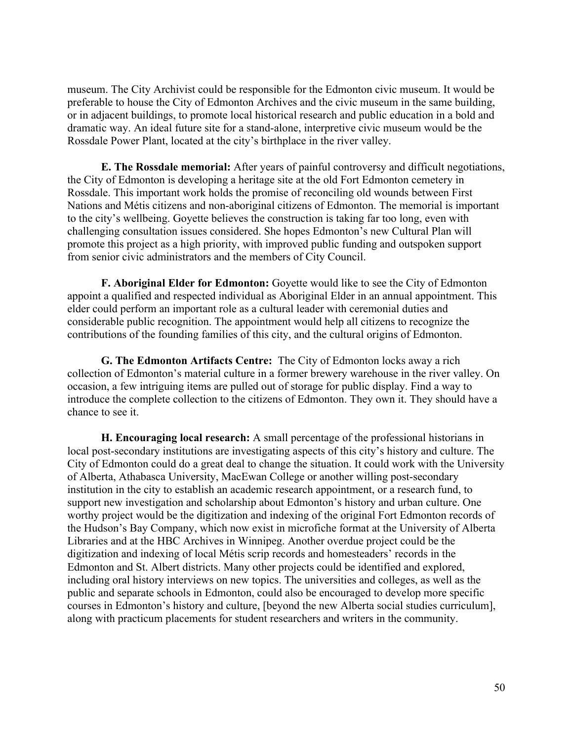museum. The City Archivist could be responsible for the Edmonton civic museum. It would be preferable to house the City of Edmonton Archives and the civic museum in the same building, or in adjacent buildings, to promote local historical research and public education in a bold and dramatic way. An ideal future site for a stand-alone, interpretive civic museum would be the Rossdale Power Plant, located at the city's birthplace in the river valley.

**E. The Rossdale memorial:** After years of painful controversy and difficult negotiations, the City of Edmonton is developing a heritage site at the old Fort Edmonton cemetery in Rossdale. This important work holds the promise of reconciling old wounds between First Nations and Métis citizens and non-aboriginal citizens of Edmonton. The memorial is important to the city's wellbeing. Goyette believes the construction is taking far too long, even with challenging consultation issues considered. She hopes Edmonton's new Cultural Plan will promote this project as a high priority, with improved public funding and outspoken support from senior civic administrators and the members of City Council.

**F. Aboriginal Elder for Edmonton:** Goyette would like to see the City of Edmonton appoint a qualified and respected individual as Aboriginal Elder in an annual appointment. This elder could perform an important role as a cultural leader with ceremonial duties and considerable public recognition. The appointment would help all citizens to recognize the contributions of the founding families of this city, and the cultural origins of Edmonton.

**G. The Edmonton Artifacts Centre:** The City of Edmonton locks away a rich collection of Edmonton's material culture in a former brewery warehouse in the river valley. On occasion, a few intriguing items are pulled out of storage for public display. Find a way to introduce the complete collection to the citizens of Edmonton. They own it. They should have a chance to see it.

**H. Encouraging local research:** A small percentage of the professional historians in local post-secondary institutions are investigating aspects of this city's history and culture. The City of Edmonton could do a great deal to change the situation. It could work with the University of Alberta, Athabasca University, MacEwan College or another willing post-secondary institution in the city to establish an academic research appointment, or a research fund, to support new investigation and scholarship about Edmonton's history and urban culture. One worthy project would be the digitization and indexing of the original Fort Edmonton records of the Hudson's Bay Company, which now exist in microfiche format at the University of Alberta Libraries and at the HBC Archives in Winnipeg. Another overdue project could be the digitization and indexing of local Métis scrip records and homesteaders' records in the Edmonton and St. Albert districts. Many other projects could be identified and explored, including oral history interviews on new topics. The universities and colleges, as well as the public and separate schools in Edmonton, could also be encouraged to develop more specific courses in Edmonton's history and culture, [beyond the new Alberta social studies curriculum], along with practicum placements for student researchers and writers in the community.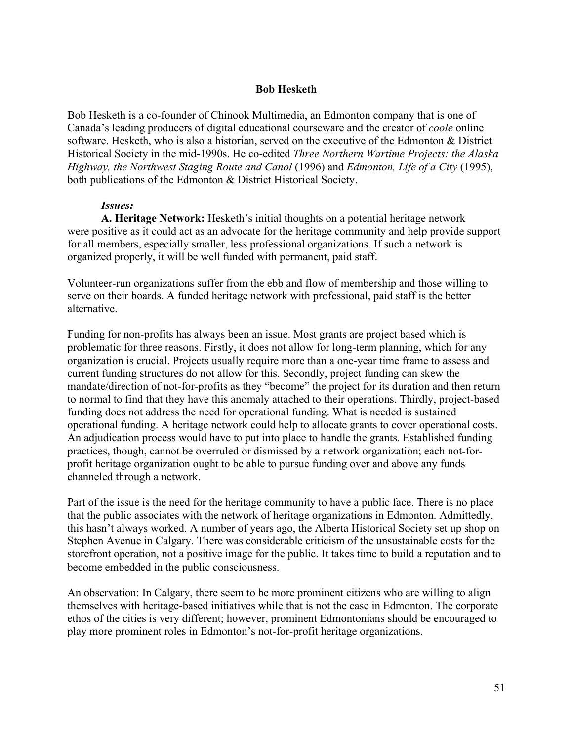## **Bob Hesketh**

Bob Hesketh is a co-founder of Chinook Multimedia, an Edmonton company that is one of Canada's leading producers of digital educational courseware and the creator of *coole* online software. Hesketh, who is also a historian, served on the executive of the Edmonton & District Historical Society in the mid-1990s. He co-edited *Three Northern Wartime Projects: the Alaska Highway, the Northwest Staging Route and Canol* (1996) and *Edmonton, Life of a City* (1995), both publications of the Edmonton & District Historical Society.

## *Issues:*

**A. Heritage Network:** Hesketh's initial thoughts on a potential heritage network were positive as it could act as an advocate for the heritage community and help provide support for all members, especially smaller, less professional organizations. If such a network is organized properly, it will be well funded with permanent, paid staff.

Volunteer-run organizations suffer from the ebb and flow of membership and those willing to serve on their boards. A funded heritage network with professional, paid staff is the better alternative.

Funding for non-profits has always been an issue. Most grants are project based which is problematic for three reasons. Firstly, it does not allow for long-term planning, which for any organization is crucial. Projects usually require more than a one-year time frame to assess and current funding structures do not allow for this. Secondly, project funding can skew the mandate/direction of not-for-profits as they "become" the project for its duration and then return to normal to find that they have this anomaly attached to their operations. Thirdly, project-based funding does not address the need for operational funding. What is needed is sustained operational funding. A heritage network could help to allocate grants to cover operational costs. An adjudication process would have to put into place to handle the grants. Established funding practices, though, cannot be overruled or dismissed by a network organization; each not-forprofit heritage organization ought to be able to pursue funding over and above any funds channeled through a network.

Part of the issue is the need for the heritage community to have a public face. There is no place that the public associates with the network of heritage organizations in Edmonton. Admittedly, this hasn't always worked. A number of years ago, the Alberta Historical Society set up shop on Stephen Avenue in Calgary. There was considerable criticism of the unsustainable costs for the storefront operation, not a positive image for the public. It takes time to build a reputation and to become embedded in the public consciousness.

An observation: In Calgary, there seem to be more prominent citizens who are willing to align themselves with heritage-based initiatives while that is not the case in Edmonton. The corporate ethos of the cities is very different; however, prominent Edmontonians should be encouraged to play more prominent roles in Edmonton's not-for-profit heritage organizations.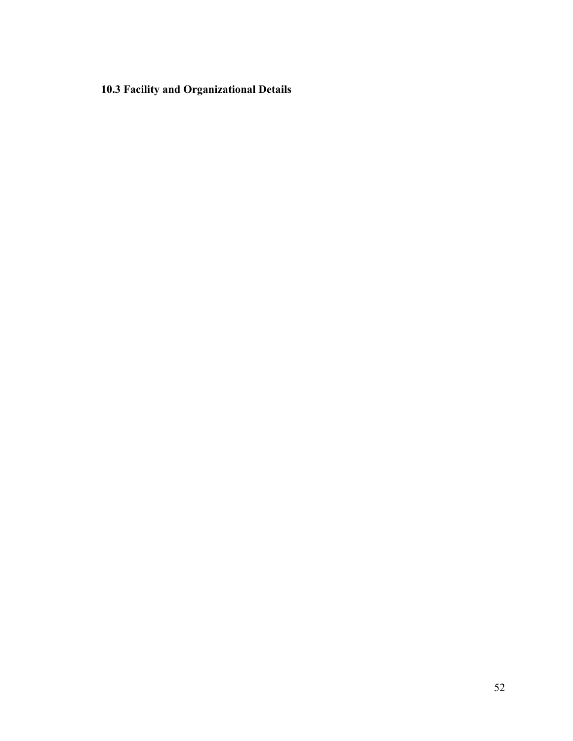**10.3 Facility and Organizational Details**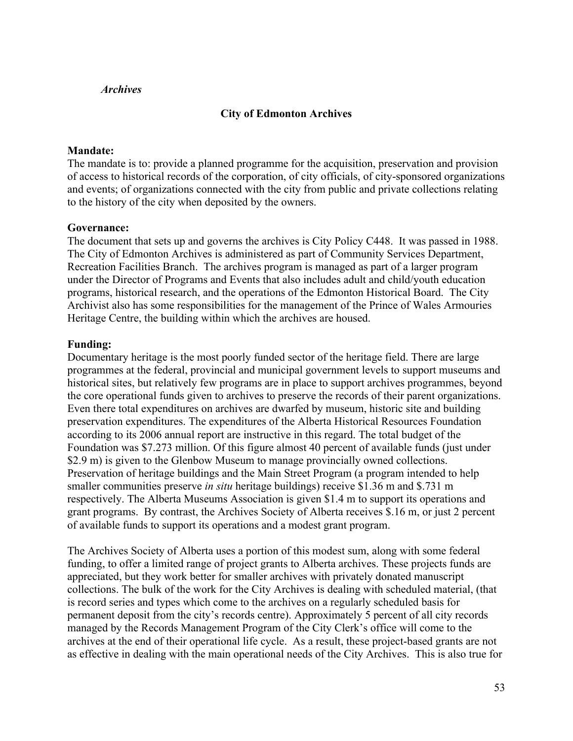## *Archives*

## **City of Edmonton Archives**

#### **Mandate:**

The mandate is to: provide a planned programme for the acquisition, preservation and provision of access to historical records of the corporation, of city officials, of city-sponsored organizations and events; of organizations connected with the city from public and private collections relating to the history of the city when deposited by the owners.

#### **Governance:**

The document that sets up and governs the archives is City Policy C448. It was passed in 1988. The City of Edmonton Archives is administered as part of Community Services Department, Recreation Facilities Branch. The archives program is managed as part of a larger program under the Director of Programs and Events that also includes adult and child/youth education programs, historical research, and the operations of the Edmonton Historical Board. The City Archivist also has some responsibilities for the management of the Prince of Wales Armouries Heritage Centre, the building within which the archives are housed.

#### **Funding:**

Documentary heritage is the most poorly funded sector of the heritage field. There are large programmes at the federal, provincial and municipal government levels to support museums and historical sites, but relatively few programs are in place to support archives programmes, beyond the core operational funds given to archives to preserve the records of their parent organizations. Even there total expenditures on archives are dwarfed by museum, historic site and building preservation expenditures. The expenditures of the Alberta Historical Resources Foundation according to its 2006 annual report are instructive in this regard. The total budget of the Foundation was \$7.273 million. Of this figure almost 40 percent of available funds (just under \$2.9 m) is given to the Glenbow Museum to manage provincially owned collections. Preservation of heritage buildings and the Main Street Program (a program intended to help smaller communities preserve *in situ* heritage buildings) receive \$1.36 m and \$.731 m respectively. The Alberta Museums Association is given \$1.4 m to support its operations and grant programs. By contrast, the Archives Society of Alberta receives \$.16 m, or just 2 percent of available funds to support its operations and a modest grant program.

The Archives Society of Alberta uses a portion of this modest sum, along with some federal funding, to offer a limited range of project grants to Alberta archives. These projects funds are appreciated, but they work better for smaller archives with privately donated manuscript collections. The bulk of the work for the City Archives is dealing with scheduled material, (that is record series and types which come to the archives on a regularly scheduled basis for permanent deposit from the city's records centre). Approximately 5 percent of all city records managed by the Records Management Program of the City Clerk's office will come to the archives at the end of their operational life cycle. As a result, these project-based grants are not as effective in dealing with the main operational needs of the City Archives. This is also true for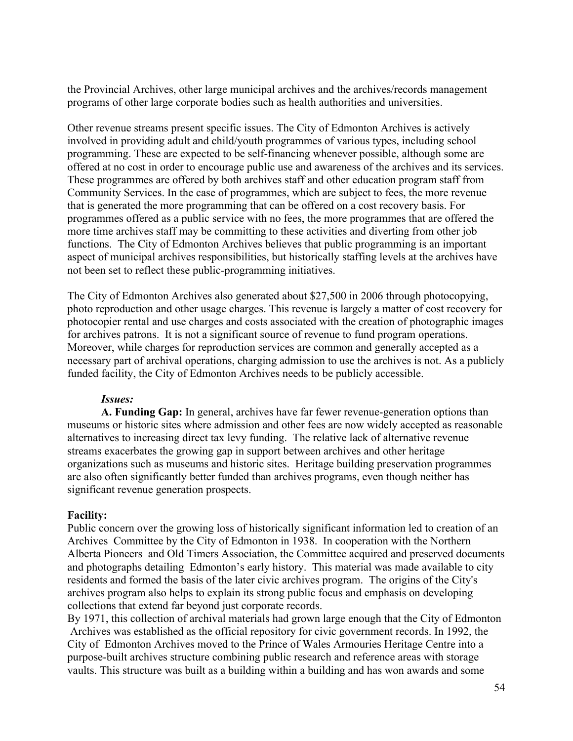the Provincial Archives, other large municipal archives and the archives/records management programs of other large corporate bodies such as health authorities and universities.

Other revenue streams present specific issues. The City of Edmonton Archives is actively involved in providing adult and child/youth programmes of various types, including school programming. These are expected to be self-financing whenever possible, although some are offered at no cost in order to encourage public use and awareness of the archives and its services. These programmes are offered by both archives staff and other education program staff from Community Services. In the case of programmes, which are subject to fees, the more revenue that is generated the more programming that can be offered on a cost recovery basis. For programmes offered as a public service with no fees, the more programmes that are offered the more time archives staff may be committing to these activities and diverting from other job functions. The City of Edmonton Archives believes that public programming is an important aspect of municipal archives responsibilities, but historically staffing levels at the archives have not been set to reflect these public-programming initiatives.

The City of Edmonton Archives also generated about \$27,500 in 2006 through photocopying, photo reproduction and other usage charges. This revenue is largely a matter of cost recovery for photocopier rental and use charges and costs associated with the creation of photographic images for archives patrons. It is not a significant source of revenue to fund program operations. Moreover, while charges for reproduction services are common and generally accepted as a necessary part of archival operations, charging admission to use the archives is not. As a publicly funded facility, the City of Edmonton Archives needs to be publicly accessible.

## *Issues:*

**A. Funding Gap:** In general, archives have far fewer revenue-generation options than museums or historic sites where admission and other fees are now widely accepted as reasonable alternatives to increasing direct tax levy funding. The relative lack of alternative revenue streams exacerbates the growing gap in support between archives and other heritage organizations such as museums and historic sites. Heritage building preservation programmes are also often significantly better funded than archives programs, even though neither has significant revenue generation prospects.

## **Facility:**

Public concern over the growing loss of historically significant information led to creation of an Archives Committee by the City of Edmonton in 1938. In cooperation with the Northern Alberta Pioneers and Old Timers Association, the Committee acquired and preserved documents and photographs detailing Edmonton's early history. This material was made available to city residents and formed the basis of the later civic archives program. The origins of the City's archives program also helps to explain its strong public focus and emphasis on developing collections that extend far beyond just corporate records.

By 1971, this collection of archival materials had grown large enough that the City of Edmonton Archives was established as the official repository for civic government records. In 1992, the City of Edmonton Archives moved to the Prince of Wales Armouries Heritage Centre into a purpose-built archives structure combining public research and reference areas with storage vaults. This structure was built as a building within a building and has won awards and some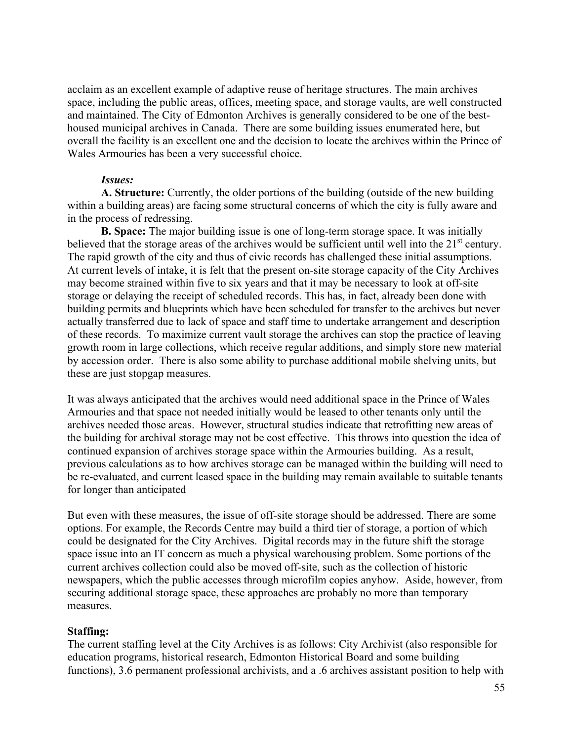acclaim as an excellent example of adaptive reuse of heritage structures. The main archives space, including the public areas, offices, meeting space, and storage vaults, are well constructed and maintained. The City of Edmonton Archives is generally considered to be one of the besthoused municipal archives in Canada. There are some building issues enumerated here, but overall the facility is an excellent one and the decision to locate the archives within the Prince of Wales Armouries has been a very successful choice.

#### *Issues:*

**A. Structure:** Currently, the older portions of the building (outside of the new building within a building areas) are facing some structural concerns of which the city is fully aware and in the process of redressing.

**B. Space:** The major building issue is one of long-term storage space. It was initially believed that the storage areas of the archives would be sufficient until well into the  $21<sup>st</sup>$  century. The rapid growth of the city and thus of civic records has challenged these initial assumptions. At current levels of intake, it is felt that the present on-site storage capacity of the City Archives may become strained within five to six years and that it may be necessary to look at off-site storage or delaying the receipt of scheduled records. This has, in fact, already been done with building permits and blueprints which have been scheduled for transfer to the archives but never actually transferred due to lack of space and staff time to undertake arrangement and description of these records. To maximize current vault storage the archives can stop the practice of leaving growth room in large collections, which receive regular additions, and simply store new material by accession order. There is also some ability to purchase additional mobile shelving units, but these are just stopgap measures.

It was always anticipated that the archives would need additional space in the Prince of Wales Armouries and that space not needed initially would be leased to other tenants only until the archives needed those areas. However, structural studies indicate that retrofitting new areas of the building for archival storage may not be cost effective. This throws into question the idea of continued expansion of archives storage space within the Armouries building. As a result, previous calculations as to how archives storage can be managed within the building will need to be re-evaluated, and current leased space in the building may remain available to suitable tenants for longer than anticipated

But even with these measures, the issue of off-site storage should be addressed. There are some options. For example, the Records Centre may build a third tier of storage, a portion of which could be designated for the City Archives. Digital records may in the future shift the storage space issue into an IT concern as much a physical warehousing problem. Some portions of the current archives collection could also be moved off-site, such as the collection of historic newspapers, which the public accesses through microfilm copies anyhow. Aside, however, from securing additional storage space, these approaches are probably no more than temporary measures.

#### **Staffing:**

The current staffing level at the City Archives is as follows: City Archivist (also responsible for education programs, historical research, Edmonton Historical Board and some building functions), 3.6 permanent professional archivists, and a .6 archives assistant position to help with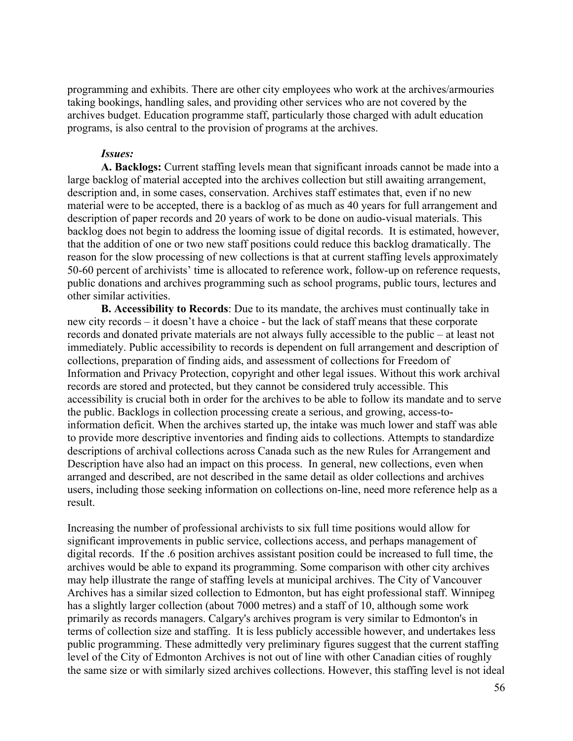programming and exhibits. There are other city employees who work at the archives/armouries taking bookings, handling sales, and providing other services who are not covered by the archives budget. Education programme staff, particularly those charged with adult education programs, is also central to the provision of programs at the archives.

#### *Issues:*

**A. Backlogs:** Current staffing levels mean that significant inroads cannot be made into a large backlog of material accepted into the archives collection but still awaiting arrangement, description and, in some cases, conservation. Archives staff estimates that, even if no new material were to be accepted, there is a backlog of as much as 40 years for full arrangement and description of paper records and 20 years of work to be done on audio-visual materials. This backlog does not begin to address the looming issue of digital records. It is estimated, however, that the addition of one or two new staff positions could reduce this backlog dramatically. The reason for the slow processing of new collections is that at current staffing levels approximately 50-60 percent of archivists' time is allocated to reference work, follow-up on reference requests, public donations and archives programming such as school programs, public tours, lectures and other similar activities.

**B. Accessibility to Records**: Due to its mandate, the archives must continually take in new city records – it doesn't have a choice - but the lack of staff means that these corporate records and donated private materials are not always fully accessible to the public – at least not immediately. Public accessibility to records is dependent on full arrangement and description of collections, preparation of finding aids, and assessment of collections for Freedom of Information and Privacy Protection, copyright and other legal issues. Without this work archival records are stored and protected, but they cannot be considered truly accessible. This accessibility is crucial both in order for the archives to be able to follow its mandate and to serve the public. Backlogs in collection processing create a serious, and growing, access-toinformation deficit. When the archives started up, the intake was much lower and staff was able to provide more descriptive inventories and finding aids to collections. Attempts to standardize descriptions of archival collections across Canada such as the new Rules for Arrangement and Description have also had an impact on this process. In general, new collections, even when arranged and described, are not described in the same detail as older collections and archives users, including those seeking information on collections on-line, need more reference help as a result.

Increasing the number of professional archivists to six full time positions would allow for significant improvements in public service, collections access, and perhaps management of digital records. If the .6 position archives assistant position could be increased to full time, the archives would be able to expand its programming. Some comparison with other city archives may help illustrate the range of staffing levels at municipal archives. The City of Vancouver Archives has a similar sized collection to Edmonton, but has eight professional staff. Winnipeg has a slightly larger collection (about 7000 metres) and a staff of 10, although some work primarily as records managers. Calgary's archives program is very similar to Edmonton's in terms of collection size and staffing. It is less publicly accessible however, and undertakes less public programming. These admittedly very preliminary figures suggest that the current staffing level of the City of Edmonton Archives is not out of line with other Canadian cities of roughly the same size or with similarly sized archives collections. However, this staffing level is not ideal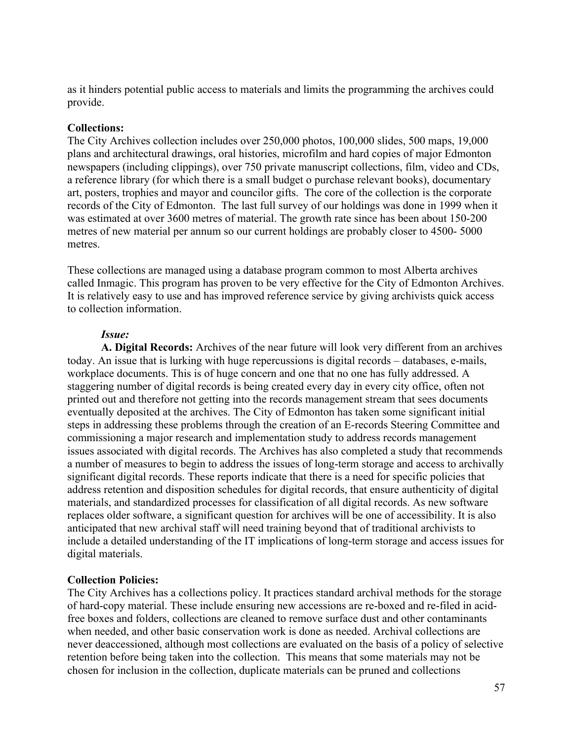as it hinders potential public access to materials and limits the programming the archives could provide.

### **Collections:**

The City Archives collection includes over 250,000 photos, 100,000 slides, 500 maps, 19,000 plans and architectural drawings, oral histories, microfilm and hard copies of major Edmonton newspapers (including clippings), over 750 private manuscript collections, film, video and CDs, a reference library (for which there is a small budget o purchase relevant books), documentary art, posters, trophies and mayor and councilor gifts. The core of the collection is the corporate records of the City of Edmonton. The last full survey of our holdings was done in 1999 when it was estimated at over 3600 metres of material. The growth rate since has been about 150-200 metres of new material per annum so our current holdings are probably closer to 4500- 5000 metres.

These collections are managed using a database program common to most Alberta archives called Inmagic. This program has proven to be very effective for the City of Edmonton Archives. It is relatively easy to use and has improved reference service by giving archivists quick access to collection information.

#### *Issue:*

**A. Digital Records:** Archives of the near future will look very different from an archives today. An issue that is lurking with huge repercussions is digital records – databases, e-mails, workplace documents. This is of huge concern and one that no one has fully addressed. A staggering number of digital records is being created every day in every city office, often not printed out and therefore not getting into the records management stream that sees documents eventually deposited at the archives. The City of Edmonton has taken some significant initial steps in addressing these problems through the creation of an E-records Steering Committee and commissioning a major research and implementation study to address records management issues associated with digital records. The Archives has also completed a study that recommends a number of measures to begin to address the issues of long-term storage and access to archivally significant digital records. These reports indicate that there is a need for specific policies that address retention and disposition schedules for digital records, that ensure authenticity of digital materials, and standardized processes for classification of all digital records. As new software replaces older software, a significant question for archives will be one of accessibility. It is also anticipated that new archival staff will need training beyond that of traditional archivists to include a detailed understanding of the IT implications of long-term storage and access issues for digital materials.

#### **Collection Policies:**

The City Archives has a collections policy. It practices standard archival methods for the storage of hard-copy material. These include ensuring new accessions are re-boxed and re-filed in acidfree boxes and folders, collections are cleaned to remove surface dust and other contaminants when needed, and other basic conservation work is done as needed. Archival collections are never deaccessioned, although most collections are evaluated on the basis of a policy of selective retention before being taken into the collection. This means that some materials may not be chosen for inclusion in the collection, duplicate materials can be pruned and collections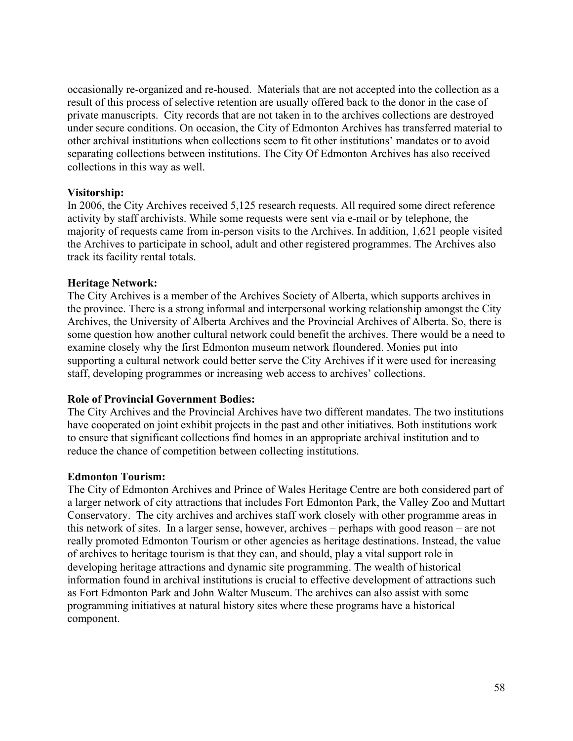occasionally re-organized and re-housed. Materials that are not accepted into the collection as a result of this process of selective retention are usually offered back to the donor in the case of private manuscripts. City records that are not taken in to the archives collections are destroyed under secure conditions. On occasion, the City of Edmonton Archives has transferred material to other archival institutions when collections seem to fit other institutions' mandates or to avoid separating collections between institutions. The City Of Edmonton Archives has also received collections in this way as well.

## **Visitorship:**

In 2006, the City Archives received 5,125 research requests. All required some direct reference activity by staff archivists. While some requests were sent via e-mail or by telephone, the majority of requests came from in-person visits to the Archives. In addition, 1,621 people visited the Archives to participate in school, adult and other registered programmes. The Archives also track its facility rental totals.

# **Heritage Network:**

The City Archives is a member of the Archives Society of Alberta, which supports archives in the province. There is a strong informal and interpersonal working relationship amongst the City Archives, the University of Alberta Archives and the Provincial Archives of Alberta. So, there is some question how another cultural network could benefit the archives. There would be a need to examine closely why the first Edmonton museum network floundered. Monies put into supporting a cultural network could better serve the City Archives if it were used for increasing staff, developing programmes or increasing web access to archives' collections.

# **Role of Provincial Government Bodies:**

The City Archives and the Provincial Archives have two different mandates. The two institutions have cooperated on joint exhibit projects in the past and other initiatives. Both institutions work to ensure that significant collections find homes in an appropriate archival institution and to reduce the chance of competition between collecting institutions.

# **Edmonton Tourism:**

The City of Edmonton Archives and Prince of Wales Heritage Centre are both considered part of a larger network of city attractions that includes Fort Edmonton Park, the Valley Zoo and Muttart Conservatory. The city archives and archives staff work closely with other programme areas in this network of sites. In a larger sense, however, archives – perhaps with good reason – are not really promoted Edmonton Tourism or other agencies as heritage destinations. Instead, the value of archives to heritage tourism is that they can, and should, play a vital support role in developing heritage attractions and dynamic site programming. The wealth of historical information found in archival institutions is crucial to effective development of attractions such as Fort Edmonton Park and John Walter Museum. The archives can also assist with some programming initiatives at natural history sites where these programs have a historical component.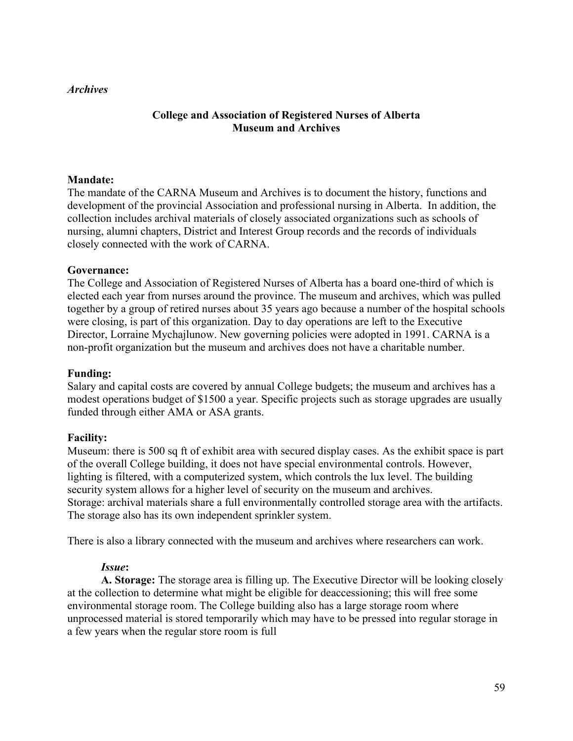## *Archives*

# **College and Association of Registered Nurses of Alberta Museum and Archives**

## **Mandate:**

The mandate of the CARNA Museum and Archives is to document the history, functions and development of the provincial Association and professional nursing in Alberta. In addition, the collection includes archival materials of closely associated organizations such as schools of nursing, alumni chapters, District and Interest Group records and the records of individuals closely connected with the work of CARNA.

#### **Governance:**

The College and Association of Registered Nurses of Alberta has a board one-third of which is elected each year from nurses around the province. The museum and archives, which was pulled together by a group of retired nurses about 35 years ago because a number of the hospital schools were closing, is part of this organization. Day to day operations are left to the Executive Director, Lorraine Mychajlunow. New governing policies were adopted in 1991. CARNA is a non-profit organization but the museum and archives does not have a charitable number.

#### **Funding:**

Salary and capital costs are covered by annual College budgets; the museum and archives has a modest operations budget of \$1500 a year. Specific projects such as storage upgrades are usually funded through either AMA or ASA grants.

#### **Facility:**

Museum: there is 500 sq ft of exhibit area with secured display cases. As the exhibit space is part of the overall College building, it does not have special environmental controls. However, lighting is filtered, with a computerized system, which controls the lux level. The building security system allows for a higher level of security on the museum and archives. Storage: archival materials share a full environmentally controlled storage area with the artifacts. The storage also has its own independent sprinkler system.

There is also a library connected with the museum and archives where researchers can work.

#### *Issue***:**

**A. Storage:** The storage area is filling up. The Executive Director will be looking closely at the collection to determine what might be eligible for deaccessioning; this will free some environmental storage room. The College building also has a large storage room where unprocessed material is stored temporarily which may have to be pressed into regular storage in a few years when the regular store room is full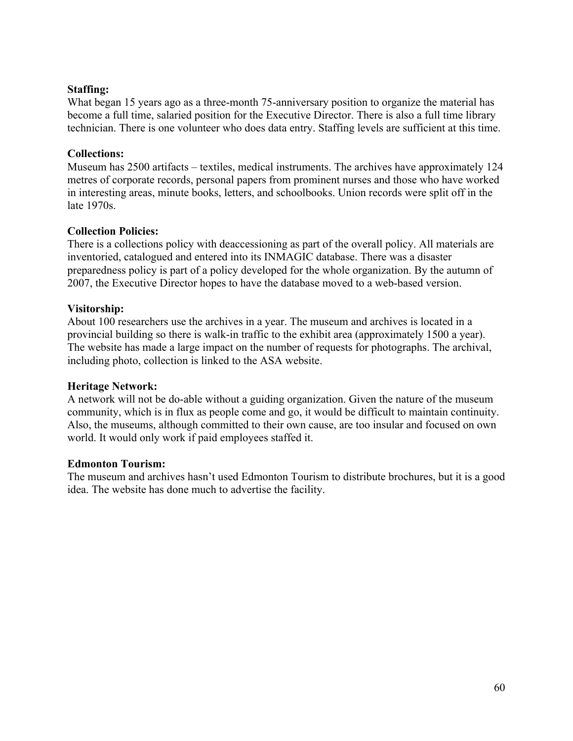# **Staffing:**

What began 15 years ago as a three-month 75-anniversary position to organize the material has become a full time, salaried position for the Executive Director. There is also a full time library technician. There is one volunteer who does data entry. Staffing levels are sufficient at this time.

# **Collections:**

Museum has 2500 artifacts – textiles, medical instruments. The archives have approximately 124 metres of corporate records, personal papers from prominent nurses and those who have worked in interesting areas, minute books, letters, and schoolbooks. Union records were split off in the late 1970s.

# **Collection Policies:**

There is a collections policy with deaccessioning as part of the overall policy. All materials are inventoried, catalogued and entered into its INMAGIC database. There was a disaster preparedness policy is part of a policy developed for the whole organization. By the autumn of 2007, the Executive Director hopes to have the database moved to a web-based version.

# **Visitorship:**

About 100 researchers use the archives in a year. The museum and archives is located in a provincial building so there is walk-in traffic to the exhibit area (approximately 1500 a year). The website has made a large impact on the number of requests for photographs. The archival, including photo, collection is linked to the ASA website.

## **Heritage Network:**

A network will not be do-able without a guiding organization. Given the nature of the museum community, which is in flux as people come and go, it would be difficult to maintain continuity. Also, the museums, although committed to their own cause, are too insular and focused on own world. It would only work if paid employees staffed it.

## **Edmonton Tourism:**

The museum and archives hasn't used Edmonton Tourism to distribute brochures, but it is a good idea. The website has done much to advertise the facility.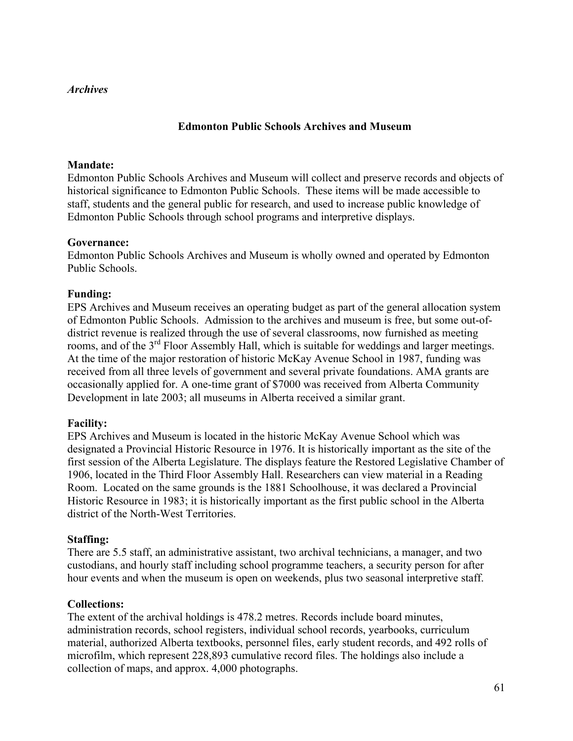# *Archives*

# **Edmonton Public Schools Archives and Museum**

### **Mandate:**

Edmonton Public Schools Archives and Museum will collect and preserve records and objects of historical significance to Edmonton Public Schools. These items will be made accessible to staff, students and the general public for research, and used to increase public knowledge of Edmonton Public Schools through school programs and interpretive displays.

#### **Governance:**

Edmonton Public Schools Archives and Museum is wholly owned and operated by Edmonton Public Schools.

## **Funding:**

EPS Archives and Museum receives an operating budget as part of the general allocation system of Edmonton Public Schools. Admission to the archives and museum is free, but some out-ofdistrict revenue is realized through the use of several classrooms, now furnished as meeting rooms, and of the 3<sup>rd</sup> Floor Assembly Hall, which is suitable for weddings and larger meetings. At the time of the major restoration of historic McKay Avenue School in 1987, funding was received from all three levels of government and several private foundations. AMA grants are occasionally applied for. A one-time grant of \$7000 was received from Alberta Community Development in late 2003; all museums in Alberta received a similar grant.

#### **Facility:**

EPS Archives and Museum is located in the historic McKay Avenue School which was designated a Provincial Historic Resource in 1976. It is historically important as the site of the first session of the Alberta Legislature. The displays feature the Restored Legislative Chamber of 1906, located in the Third Floor Assembly Hall. Researchers can view material in a Reading Room. Located on the same grounds is the 1881 Schoolhouse, it was declared a Provincial Historic Resource in 1983; it is historically important as the first public school in the Alberta district of the North-West Territories.

#### **Staffing:**

There are 5.5 staff, an administrative assistant, two archival technicians, a manager, and two custodians, and hourly staff including school programme teachers, a security person for after hour events and when the museum is open on weekends, plus two seasonal interpretive staff.

#### **Collections:**

The extent of the archival holdings is 478.2 metres. Records include board minutes, administration records, school registers, individual school records, yearbooks, curriculum material, authorized Alberta textbooks, personnel files, early student records, and 492 rolls of microfilm, which represent 228,893 cumulative record files. The holdings also include a collection of maps, and approx. 4,000 photographs.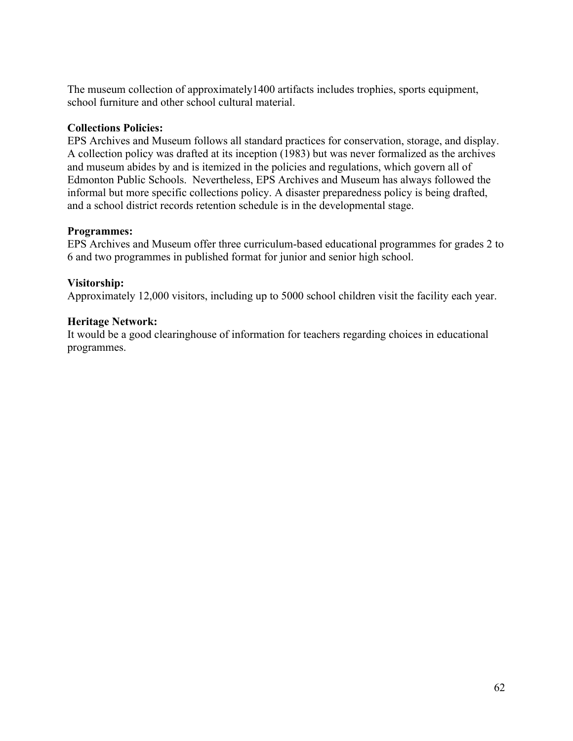The museum collection of approximately1400 artifacts includes trophies, sports equipment, school furniture and other school cultural material.

# **Collections Policies:**

EPS Archives and Museum follows all standard practices for conservation, storage, and display. A collection policy was drafted at its inception (1983) but was never formalized as the archives and museum abides by and is itemized in the policies and regulations, which govern all of Edmonton Public Schools. Nevertheless, EPS Archives and Museum has always followed the informal but more specific collections policy. A disaster preparedness policy is being drafted, and a school district records retention schedule is in the developmental stage.

# **Programmes:**

EPS Archives and Museum offer three curriculum-based educational programmes for grades 2 to 6 and two programmes in published format for junior and senior high school.

# **Visitorship:**

Approximately 12,000 visitors, including up to 5000 school children visit the facility each year.

# **Heritage Network:**

It would be a good clearinghouse of information for teachers regarding choices in educational programmes.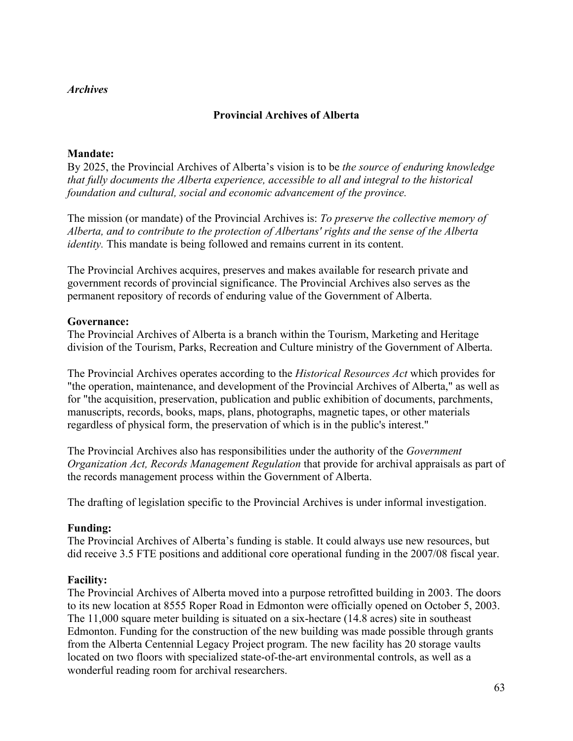## *Archives*

# **Provincial Archives of Alberta**

# **Mandate:**

By 2025, the Provincial Archives of Alberta's vision is to be *the source of enduring knowledge that fully documents the Alberta experience, accessible to all and integral to the historical foundation and cultural, social and economic advancement of the province.*

The mission (or mandate) of the Provincial Archives is: *To preserve the collective memory of Alberta, and to contribute to the protection of Albertans' rights and the sense of the Alberta identity*. This mandate is being followed and remains current in its content.

The Provincial Archives acquires, preserves and makes available for research private and government records of provincial significance. The Provincial Archives also serves as the permanent repository of records of enduring value of the Government of Alberta.

# **Governance:**

The Provincial Archives of Alberta is a branch within the Tourism, Marketing and Heritage division of the Tourism, Parks, Recreation and Culture ministry of the Government of Alberta.

The Provincial Archives operates according to the *Historical Resources Act* which provides for "the operation, maintenance, and development of the Provincial Archives of Alberta," as well as for "the acquisition, preservation, publication and public exhibition of documents, parchments, manuscripts, records, books, maps, plans, photographs, magnetic tapes, or other materials regardless of physical form, the preservation of which is in the public's interest."

The Provincial Archives also has responsibilities under the authority of the *Government Organization Act, Records Management Regulation* that provide for archival appraisals as part of the records management process within the Government of Alberta.

The drafting of legislation specific to the Provincial Archives is under informal investigation.

## **Funding:**

The Provincial Archives of Alberta's funding is stable. It could always use new resources, but did receive 3.5 FTE positions and additional core operational funding in the 2007/08 fiscal year.

# **Facility:**

The Provincial Archives of Alberta moved into a purpose retrofitted building in 2003. The doors to its new location at 8555 Roper Road in Edmonton were officially opened on October 5, 2003. The 11,000 square meter building is situated on a six-hectare (14.8 acres) site in southeast Edmonton. Funding for the construction of the new building was made possible through grants from the Alberta Centennial Legacy Project program. The new facility has 20 storage vaults located on two floors with specialized state-of-the-art environmental controls, as well as a wonderful reading room for archival researchers.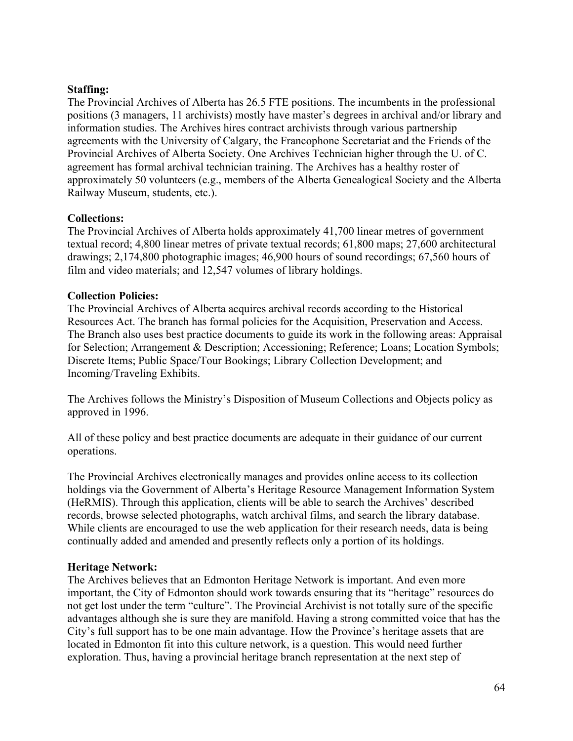# **Staffing:**

The Provincial Archives of Alberta has 26.5 FTE positions. The incumbents in the professional positions (3 managers, 11 archivists) mostly have master's degrees in archival and/or library and information studies. The Archives hires contract archivists through various partnership agreements with the University of Calgary, the Francophone Secretariat and the Friends of the Provincial Archives of Alberta Society. One Archives Technician higher through the U. of C. agreement has formal archival technician training. The Archives has a healthy roster of approximately 50 volunteers (e.g., members of the Alberta Genealogical Society and the Alberta Railway Museum, students, etc.).

## **Collections:**

The Provincial Archives of Alberta holds approximately 41,700 linear metres of government textual record; 4,800 linear metres of private textual records; 61,800 maps; 27,600 architectural drawings; 2,174,800 photographic images; 46,900 hours of sound recordings; 67,560 hours of film and video materials; and 12,547 volumes of library holdings.

# **Collection Policies:**

The Provincial Archives of Alberta acquires archival records according to the Historical Resources Act. The branch has formal policies for the Acquisition, Preservation and Access. The Branch also uses best practice documents to guide its work in the following areas: Appraisal for Selection; Arrangement & Description; Accessioning; Reference; Loans; Location Symbols; Discrete Items; Public Space/Tour Bookings; Library Collection Development; and Incoming/Traveling Exhibits.

The Archives follows the Ministry's Disposition of Museum Collections and Objects policy as approved in 1996.

All of these policy and best practice documents are adequate in their guidance of our current operations.

The Provincial Archives electronically manages and provides online access to its collection holdings via the Government of Alberta's Heritage Resource Management Information System (HeRMIS). Through this application, clients will be able to search the Archives' described records, browse selected photographs, watch archival films, and search the library database. While clients are encouraged to use the web application for their research needs, data is being continually added and amended and presently reflects only a portion of its holdings.

# **Heritage Network:**

The Archives believes that an Edmonton Heritage Network is important. And even more important, the City of Edmonton should work towards ensuring that its "heritage" resources do not get lost under the term "culture". The Provincial Archivist is not totally sure of the specific advantages although she is sure they are manifold. Having a strong committed voice that has the City's full support has to be one main advantage. How the Province's heritage assets that are located in Edmonton fit into this culture network, is a question. This would need further exploration. Thus, having a provincial heritage branch representation at the next step of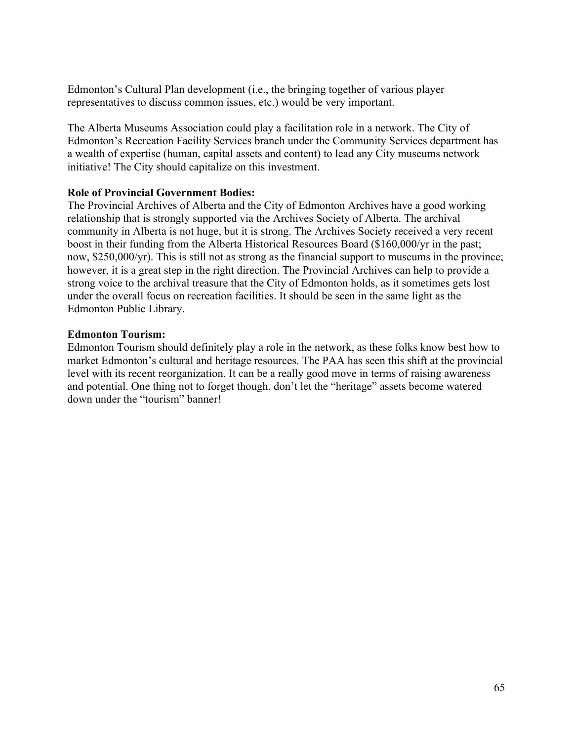Edmonton's Cultural Plan development (i.e., the bringing together of various player representatives to discuss common issues, etc.) would be very important.

The Alberta Museums Association could play a facilitation role in a network. The City of Edmonton's Recreation Facility Services branch under the Community Services department has a wealth of expertise (human, capital assets and content) to lead any City museums network initiative! The City should capitalize on this investment.

# **Role of Provincial Government Bodies:**

The Provincial Archives of Alberta and the City of Edmonton Archives have a good working relationship that is strongly supported via the Archives Society of Alberta. The archival community in Alberta is not huge, but it is strong. The Archives Society received a very recent boost in their funding from the Alberta Historical Resources Board (\$160,000/yr in the past; now, \$250,000/yr). This is still not as strong as the financial support to museums in the province; however, it is a great step in the right direction. The Provincial Archives can help to provide a strong voice to the archival treasure that the City of Edmonton holds, as it sometimes gets lost under the overall focus on recreation facilities. It should be seen in the same light as the Edmonton Public Library.

# **Edmonton Tourism:**

Edmonton Tourism should definitely play a role in the network, as these folks know best how to market Edmonton's cultural and heritage resources. The PAA has seen this shift at the provincial level with its recent reorganization. It can be a really good move in terms of raising awareness and potential. One thing not to forget though, don't let the "heritage" assets become watered down under the "tourism" banner!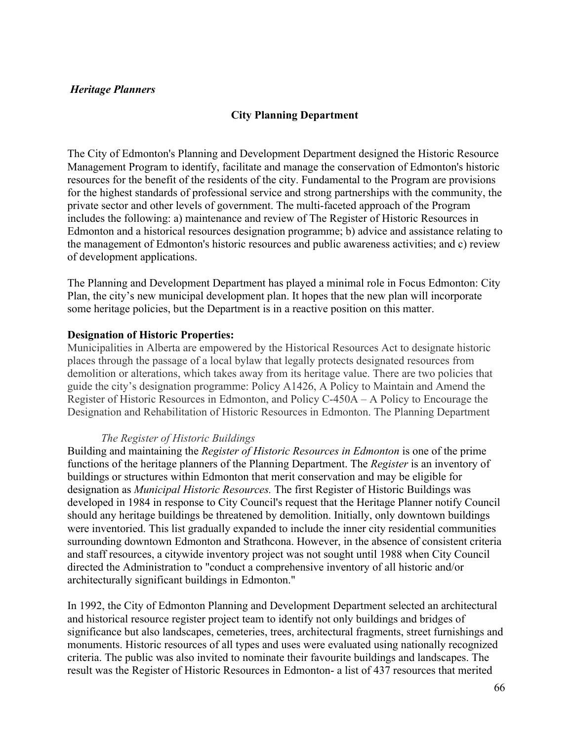# **City Planning Department**

The City of Edmonton's Planning and Development Department designed the Historic Resource Management Program to identify, facilitate and manage the conservation of Edmonton's historic resources for the benefit of the residents of the city. Fundamental to the Program are provisions for the highest standards of professional service and strong partnerships with the community, the private sector and other levels of government. The multi-faceted approach of the Program includes the following: a) maintenance and review of The Register of Historic Resources in Edmonton and a historical resources designation programme; b) advice and assistance relating to the management of Edmonton's historic resources and public awareness activities; and c) review of development applications.

The Planning and Development Department has played a minimal role in Focus Edmonton: City Plan, the city's new municipal development plan. It hopes that the new plan will incorporate some heritage policies, but the Department is in a reactive position on this matter.

## **Designation of Historic Properties:**

Municipalities in Alberta are empowered by the Historical Resources Act to designate historic places through the passage of a local bylaw that legally protects designated resources from demolition or alterations, which takes away from its heritage value. There are two policies that guide the city's designation programme: Policy A1426, A Policy to Maintain and Amend the Register of Historic Resources in Edmonton, and Policy C-450A – A Policy to Encourage the Designation and Rehabilitation of Historic Resources in Edmonton. The Planning Department

## *The Register of Historic Buildings*

Building and maintaining the *Register of Historic Resources in Edmonton* is one of the prime functions of the heritage planners of the Planning Department. The *Register* is an inventory of buildings or structures within Edmonton that merit conservation and may be eligible for designation as *Municipal Historic Resources.* The first Register of Historic Buildings was developed in 1984 in response to City Council's request that the Heritage Planner notify Council should any heritage buildings be threatened by demolition. Initially, only downtown buildings were inventoried. This list gradually expanded to include the inner city residential communities surrounding downtown Edmonton and Strathcona. However, in the absence of consistent criteria and staff resources, a citywide inventory project was not sought until 1988 when City Council directed the Administration to "conduct a comprehensive inventory of all historic and/or architecturally significant buildings in Edmonton."

In 1992, the City of Edmonton Planning and Development Department selected an architectural and historical resource register project team to identify not only buildings and bridges of significance but also landscapes, cemeteries, trees, architectural fragments, street furnishings and monuments. Historic resources of all types and uses were evaluated using nationally recognized criteria. The public was also invited to nominate their favourite buildings and landscapes. The result was the Register of Historic Resources in Edmonton- a list of 437 resources that merited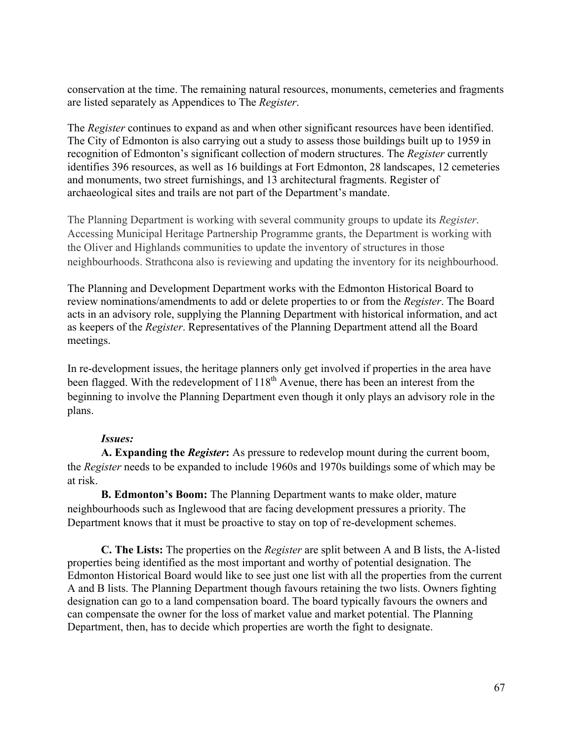conservation at the time. The remaining natural resources, monuments, cemeteries and fragments are listed separately as Appendices to The *Register*.

The *Register* continues to expand as and when other significant resources have been identified. The City of Edmonton is also carrying out a study to assess those buildings built up to 1959 in recognition of Edmonton's significant collection of modern structures. The *Register* currently identifies 396 resources, as well as 16 buildings at Fort Edmonton, 28 landscapes, 12 cemeteries and monuments, two street furnishings, and 13 architectural fragments. Register of archaeological sites and trails are not part of the Department's mandate.

The Planning Department is working with several community groups to update its *Register*. Accessing Municipal Heritage Partnership Programme grants, the Department is working with the Oliver and Highlands communities to update the inventory of structures in those neighbourhoods. Strathcona also is reviewing and updating the inventory for its neighbourhood.

The Planning and Development Department works with the Edmonton Historical Board to review nominations/amendments to add or delete properties to or from the *Register*. The Board acts in an advisory role, supplying the Planning Department with historical information, and act as keepers of the *Register*. Representatives of the Planning Department attend all the Board meetings.

In re-development issues, the heritage planners only get involved if properties in the area have been flagged. With the redevelopment of 118<sup>th</sup> Avenue, there has been an interest from the beginning to involve the Planning Department even though it only plays an advisory role in the plans.

# *Issues:*

**A. Expanding the** *Register***:** As pressure to redevelop mount during the current boom, the *Register* needs to be expanded to include 1960s and 1970s buildings some of which may be at risk.

**B. Edmonton's Boom:** The Planning Department wants to make older, mature neighbourhoods such as Inglewood that are facing development pressures a priority. The Department knows that it must be proactive to stay on top of re-development schemes.

**C. The Lists:** The properties on the *Register* are split between A and B lists, the A-listed properties being identified as the most important and worthy of potential designation. The Edmonton Historical Board would like to see just one list with all the properties from the current A and B lists. The Planning Department though favours retaining the two lists. Owners fighting designation can go to a land compensation board. The board typically favours the owners and can compensate the owner for the loss of market value and market potential. The Planning Department, then, has to decide which properties are worth the fight to designate.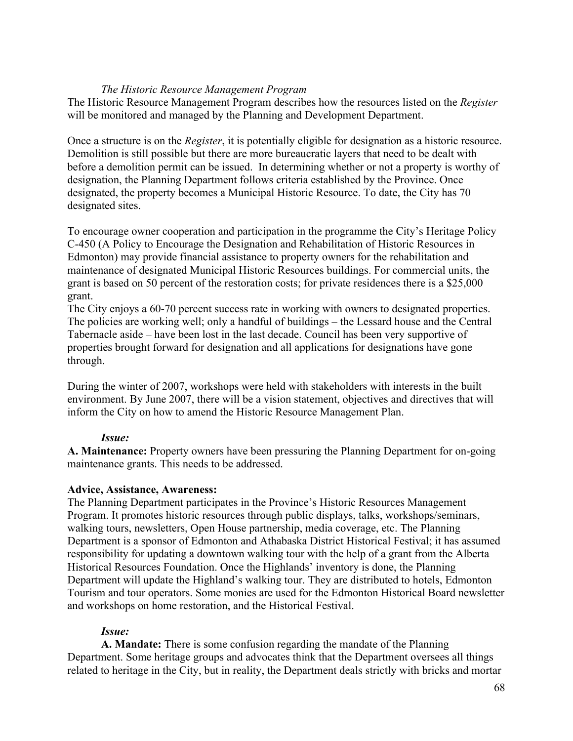# *The Historic Resource Management Program*

The Historic Resource Management Program describes how the resources listed on the *Register*  will be monitored and managed by the Planning and Development Department.

Once a structure is on the *Register*, it is potentially eligible for designation as a historic resource. Demolition is still possible but there are more bureaucratic layers that need to be dealt with before a demolition permit can be issued. In determining whether or not a property is worthy of designation, the Planning Department follows criteria established by the Province. Once designated, the property becomes a Municipal Historic Resource. To date, the City has 70 designated sites.

To encourage owner cooperation and participation in the programme the City's Heritage Policy C-450 (A Policy to Encourage the Designation and Rehabilitation of Historic Resources in Edmonton) may provide financial assistance to property owners for the rehabilitation and maintenance of designated Municipal Historic Resources buildings. For commercial units, the grant is based on 50 percent of the restoration costs; for private residences there is a \$25,000 grant.

The City enjoys a 60-70 percent success rate in working with owners to designated properties. The policies are working well; only a handful of buildings – the Lessard house and the Central Tabernacle aside – have been lost in the last decade. Council has been very supportive of properties brought forward for designation and all applications for designations have gone through.

During the winter of 2007, workshops were held with stakeholders with interests in the built environment. By June 2007, there will be a vision statement, objectives and directives that will inform the City on how to amend the Historic Resource Management Plan.

# *Issue:*

**A. Maintenance:** Property owners have been pressuring the Planning Department for on-going maintenance grants. This needs to be addressed.

## **Advice, Assistance, Awareness:**

The Planning Department participates in the Province's Historic Resources Management Program. It promotes historic resources through public displays, talks, workshops/seminars, walking tours, newsletters, Open House partnership, media coverage, etc. The Planning Department is a sponsor of Edmonton and Athabaska District Historical Festival; it has assumed responsibility for updating a downtown walking tour with the help of a grant from the Alberta Historical Resources Foundation. Once the Highlands' inventory is done, the Planning Department will update the Highland's walking tour. They are distributed to hotels, Edmonton Tourism and tour operators. Some monies are used for the Edmonton Historical Board newsletter and workshops on home restoration, and the Historical Festival.

# *Issue:*

**A. Mandate:** There is some confusion regarding the mandate of the Planning Department. Some heritage groups and advocates think that the Department oversees all things related to heritage in the City, but in reality, the Department deals strictly with bricks and mortar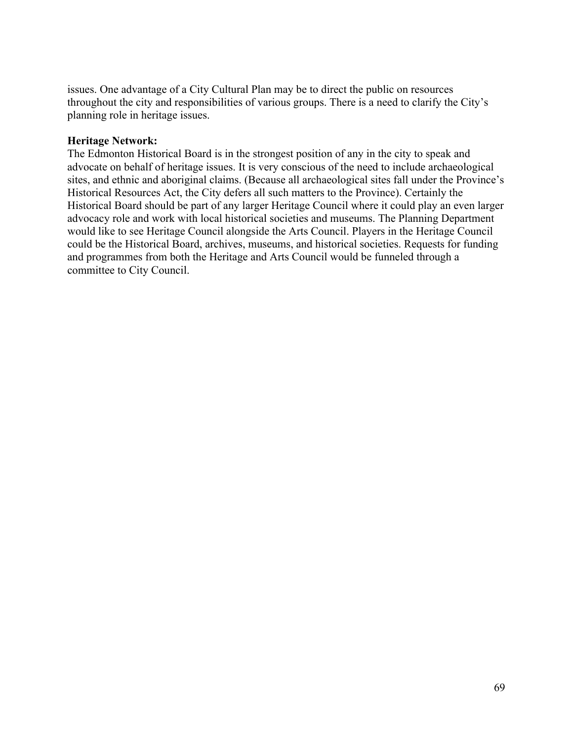issues. One advantage of a City Cultural Plan may be to direct the public on resources throughout the city and responsibilities of various groups. There is a need to clarify the City's planning role in heritage issues.

## **Heritage Network:**

The Edmonton Historical Board is in the strongest position of any in the city to speak and advocate on behalf of heritage issues. It is very conscious of the need to include archaeological sites, and ethnic and aboriginal claims. (Because all archaeological sites fall under the Province's Historical Resources Act, the City defers all such matters to the Province). Certainly the Historical Board should be part of any larger Heritage Council where it could play an even larger advocacy role and work with local historical societies and museums. The Planning Department would like to see Heritage Council alongside the Arts Council. Players in the Heritage Council could be the Historical Board, archives, museums, and historical societies. Requests for funding and programmes from both the Heritage and Arts Council would be funneled through a committee to City Council.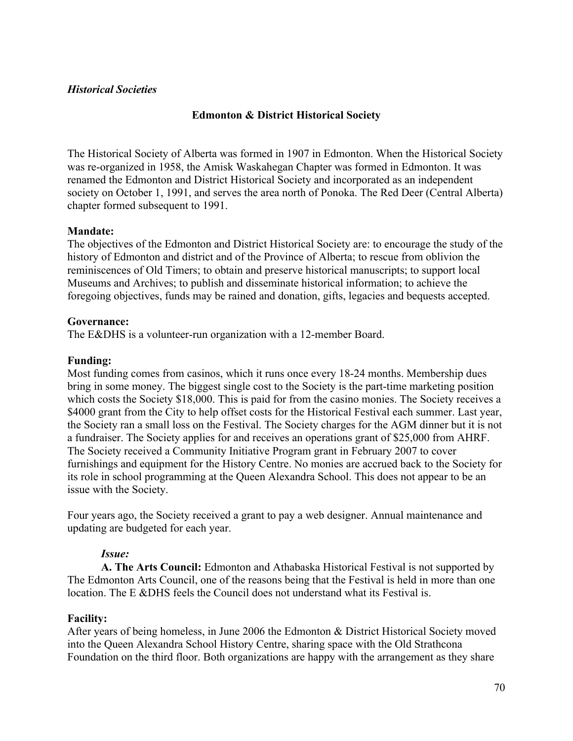# *Historical Societies*

# **Edmonton & District Historical Society**

The Historical Society of Alberta was formed in 1907 in Edmonton. When the Historical Society was re-organized in 1958, the Amisk Waskahegan Chapter was formed in Edmonton. It was renamed the Edmonton and District Historical Society and incorporated as an independent society on October 1, 1991, and serves the area north of Ponoka. The Red Deer (Central Alberta) chapter formed subsequent to 1991.

# **Mandate:**

The objectives of the Edmonton and District Historical Society are: to encourage the study of the history of Edmonton and district and of the Province of Alberta; to rescue from oblivion the reminiscences of Old Timers; to obtain and preserve historical manuscripts; to support local Museums and Archives; to publish and disseminate historical information; to achieve the foregoing objectives, funds may be rained and donation, gifts, legacies and bequests accepted.

## **Governance:**

The E&DHS is a volunteer-run organization with a 12-member Board.

# **Funding:**

Most funding comes from casinos, which it runs once every 18-24 months. Membership dues bring in some money. The biggest single cost to the Society is the part-time marketing position which costs the Society \$18,000. This is paid for from the casino monies. The Society receives a \$4000 grant from the City to help offset costs for the Historical Festival each summer. Last year, the Society ran a small loss on the Festival. The Society charges for the AGM dinner but it is not a fundraiser. The Society applies for and receives an operations grant of \$25,000 from AHRF. The Society received a Community Initiative Program grant in February 2007 to cover furnishings and equipment for the History Centre. No monies are accrued back to the Society for its role in school programming at the Queen Alexandra School. This does not appear to be an issue with the Society.

Four years ago, the Society received a grant to pay a web designer. Annual maintenance and updating are budgeted for each year.

# *Issue:*

**A. The Arts Council:** Edmonton and Athabaska Historical Festival is not supported by The Edmonton Arts Council, one of the reasons being that the Festival is held in more than one location. The E &DHS feels the Council does not understand what its Festival is.

## **Facility:**

After years of being homeless, in June 2006 the Edmonton & District Historical Society moved into the Queen Alexandra School History Centre, sharing space with the Old Strathcona Foundation on the third floor. Both organizations are happy with the arrangement as they share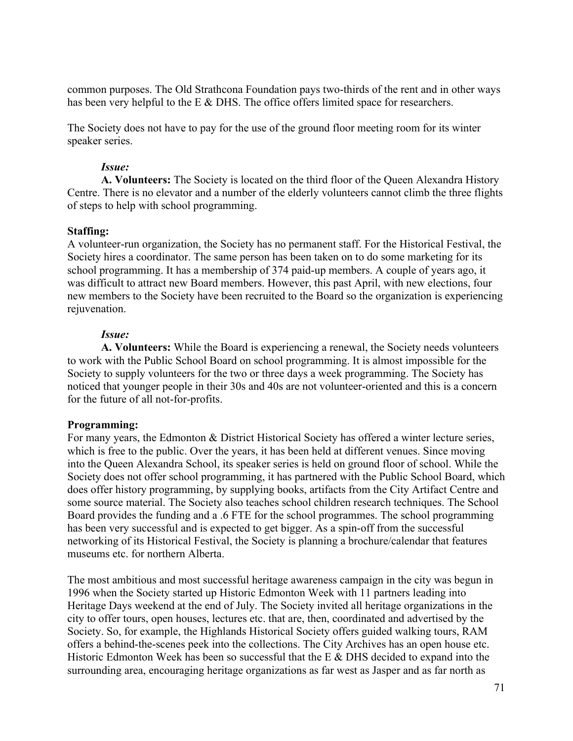common purposes. The Old Strathcona Foundation pays two-thirds of the rent and in other ways has been very helpful to the E & DHS. The office offers limited space for researchers.

The Society does not have to pay for the use of the ground floor meeting room for its winter speaker series.

# *Issue:*

**A. Volunteers:** The Society is located on the third floor of the Queen Alexandra History Centre. There is no elevator and a number of the elderly volunteers cannot climb the three flights of steps to help with school programming.

# **Staffing:**

A volunteer-run organization, the Society has no permanent staff. For the Historical Festival, the Society hires a coordinator. The same person has been taken on to do some marketing for its school programming. It has a membership of 374 paid-up members. A couple of years ago, it was difficult to attract new Board members. However, this past April, with new elections, four new members to the Society have been recruited to the Board so the organization is experiencing rejuvenation.

# *Issue:*

**A. Volunteers:** While the Board is experiencing a renewal, the Society needs volunteers to work with the Public School Board on school programming. It is almost impossible for the Society to supply volunteers for the two or three days a week programming. The Society has noticed that younger people in their 30s and 40s are not volunteer-oriented and this is a concern for the future of all not-for-profits.

# **Programming:**

For many years, the Edmonton & District Historical Society has offered a winter lecture series, which is free to the public. Over the years, it has been held at different venues. Since moving into the Queen Alexandra School, its speaker series is held on ground floor of school. While the Society does not offer school programming, it has partnered with the Public School Board, which does offer history programming, by supplying books, artifacts from the City Artifact Centre and some source material. The Society also teaches school children research techniques. The School Board provides the funding and a .6 FTE for the school programmes. The school programming has been very successful and is expected to get bigger. As a spin-off from the successful networking of its Historical Festival, the Society is planning a brochure/calendar that features museums etc. for northern Alberta.

The most ambitious and most successful heritage awareness campaign in the city was begun in 1996 when the Society started up Historic Edmonton Week with 11 partners leading into Heritage Days weekend at the end of July. The Society invited all heritage organizations in the city to offer tours, open houses, lectures etc. that are, then, coordinated and advertised by the Society. So, for example, the Highlands Historical Society offers guided walking tours, RAM offers a behind-the-scenes peek into the collections. The City Archives has an open house etc. Historic Edmonton Week has been so successful that the E & DHS decided to expand into the surrounding area, encouraging heritage organizations as far west as Jasper and as far north as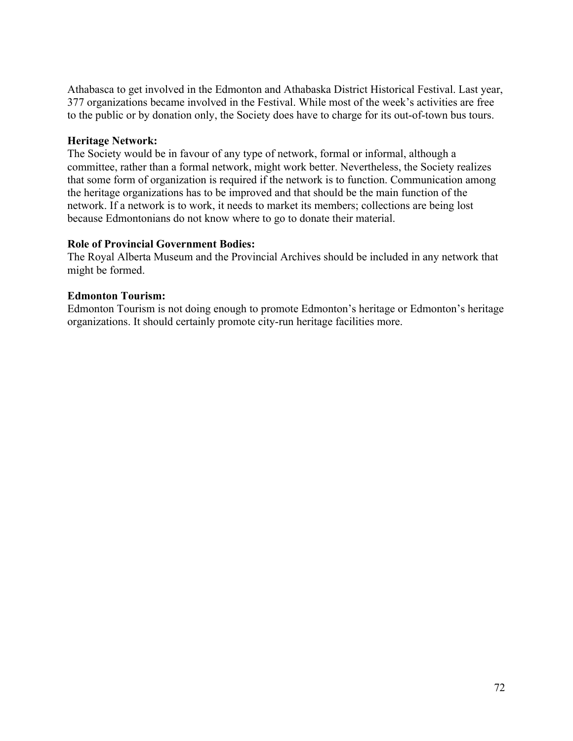Athabasca to get involved in the Edmonton and Athabaska District Historical Festival. Last year, 377 organizations became involved in the Festival. While most of the week's activities are free to the public or by donation only, the Society does have to charge for its out-of-town bus tours.

## **Heritage Network:**

The Society would be in favour of any type of network, formal or informal, although a committee, rather than a formal network, might work better. Nevertheless, the Society realizes that some form of organization is required if the network is to function. Communication among the heritage organizations has to be improved and that should be the main function of the network. If a network is to work, it needs to market its members; collections are being lost because Edmontonians do not know where to go to donate their material.

# **Role of Provincial Government Bodies:**

The Royal Alberta Museum and the Provincial Archives should be included in any network that might be formed.

# **Edmonton Tourism:**

Edmonton Tourism is not doing enough to promote Edmonton's heritage or Edmonton's heritage organizations. It should certainly promote city-run heritage facilities more.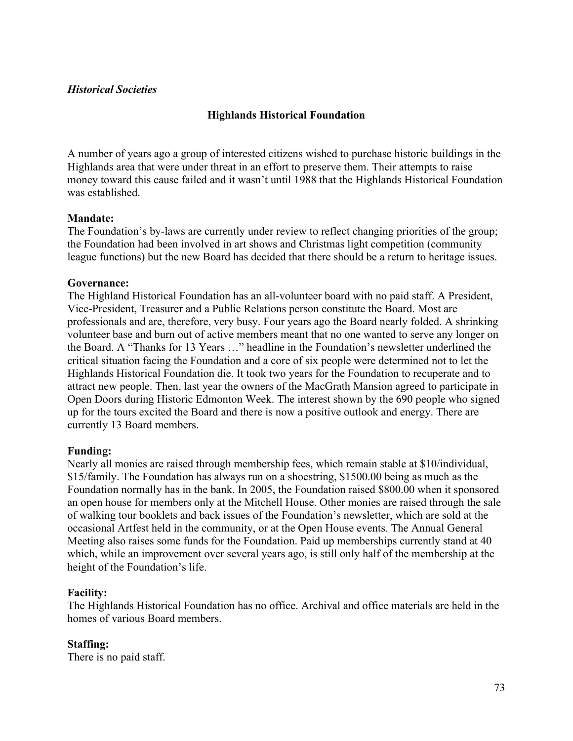## *Historical Societies*

# **Highlands Historical Foundation**

A number of years ago a group of interested citizens wished to purchase historic buildings in the Highlands area that were under threat in an effort to preserve them. Their attempts to raise money toward this cause failed and it wasn't until 1988 that the Highlands Historical Foundation was established.

## **Mandate:**

The Foundation's by-laws are currently under review to reflect changing priorities of the group; the Foundation had been involved in art shows and Christmas light competition (community league functions) but the new Board has decided that there should be a return to heritage issues.

### **Governance:**

The Highland Historical Foundation has an all-volunteer board with no paid staff. A President, Vice-President, Treasurer and a Public Relations person constitute the Board. Most are professionals and are, therefore, very busy. Four years ago the Board nearly folded. A shrinking volunteer base and burn out of active members meant that no one wanted to serve any longer on the Board. A "Thanks for 13 Years …" headline in the Foundation's newsletter underlined the critical situation facing the Foundation and a core of six people were determined not to let the Highlands Historical Foundation die. It took two years for the Foundation to recuperate and to attract new people. Then, last year the owners of the MacGrath Mansion agreed to participate in Open Doors during Historic Edmonton Week. The interest shown by the 690 people who signed up for the tours excited the Board and there is now a positive outlook and energy. There are currently 13 Board members.

## **Funding:**

Nearly all monies are raised through membership fees, which remain stable at \$10/individual, \$15/family. The Foundation has always run on a shoestring, \$1500.00 being as much as the Foundation normally has in the bank. In 2005, the Foundation raised \$800.00 when it sponsored an open house for members only at the Mitchell House. Other monies are raised through the sale of walking tour booklets and back issues of the Foundation's newsletter, which are sold at the occasional Artfest held in the community, or at the Open House events. The Annual General Meeting also raises some funds for the Foundation. Paid up memberships currently stand at 40 which, while an improvement over several years ago, is still only half of the membership at the height of the Foundation's life.

## **Facility:**

The Highlands Historical Foundation has no office. Archival and office materials are held in the homes of various Board members.

#### **Staffing:**  There is no paid staff.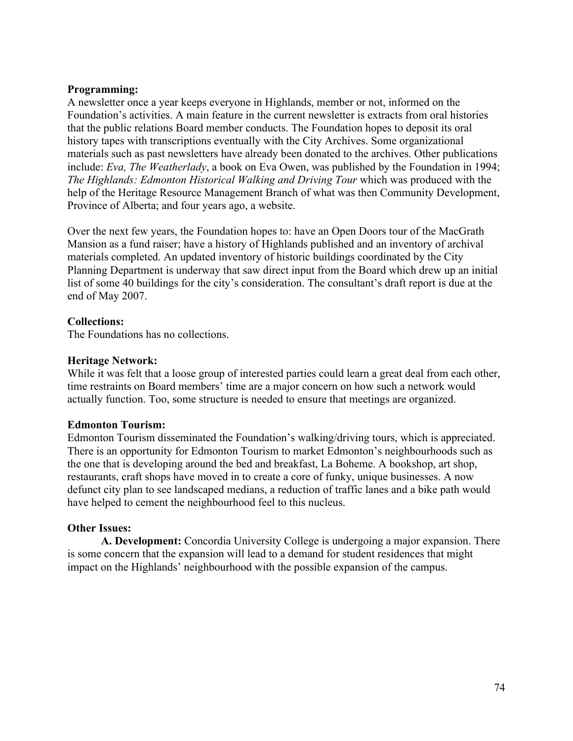## **Programming:**

A newsletter once a year keeps everyone in Highlands, member or not, informed on the Foundation's activities. A main feature in the current newsletter is extracts from oral histories that the public relations Board member conducts. The Foundation hopes to deposit its oral history tapes with transcriptions eventually with the City Archives. Some organizational materials such as past newsletters have already been donated to the archives. Other publications include: *Eva, The Weatherlady*, a book on Eva Owen, was published by the Foundation in 1994; *The Highlands: Edmonton Historical Walking and Driving Tour* which was produced with the help of the Heritage Resource Management Branch of what was then Community Development, Province of Alberta; and four years ago, a website.

Over the next few years, the Foundation hopes to: have an Open Doors tour of the MacGrath Mansion as a fund raiser; have a history of Highlands published and an inventory of archival materials completed. An updated inventory of historic buildings coordinated by the City Planning Department is underway that saw direct input from the Board which drew up an initial list of some 40 buildings for the city's consideration. The consultant's draft report is due at the end of May 2007.

## **Collections:**

The Foundations has no collections.

## **Heritage Network:**

While it was felt that a loose group of interested parties could learn a great deal from each other, time restraints on Board members' time are a major concern on how such a network would actually function. Too, some structure is needed to ensure that meetings are organized.

## **Edmonton Tourism:**

Edmonton Tourism disseminated the Foundation's walking/driving tours, which is appreciated. There is an opportunity for Edmonton Tourism to market Edmonton's neighbourhoods such as the one that is developing around the bed and breakfast, La Boheme. A bookshop, art shop, restaurants, craft shops have moved in to create a core of funky, unique businesses. A now defunct city plan to see landscaped medians, a reduction of traffic lanes and a bike path would have helped to cement the neighbourhood feel to this nucleus.

## **Other Issues:**

**A. Development:** Concordia University College is undergoing a major expansion. There is some concern that the expansion will lead to a demand for student residences that might impact on the Highlands' neighbourhood with the possible expansion of the campus.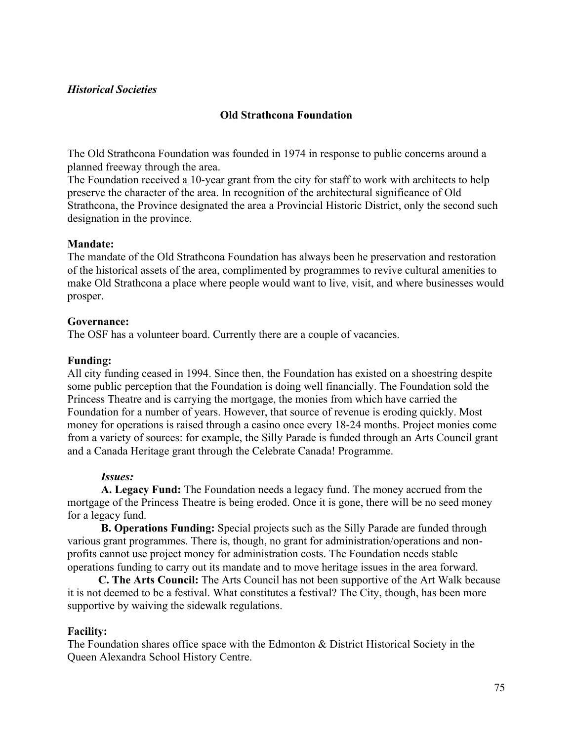## *Historical Societies*

## **Old Strathcona Foundation**

The Old Strathcona Foundation was founded in 1974 in response to public concerns around a planned freeway through the area.

The Foundation received a 10-year grant from the city for staff to work with architects to help preserve the character of the area. In recognition of the architectural significance of Old Strathcona, the Province designated the area a Provincial Historic District, only the second such designation in the province.

### **Mandate:**

The mandate of the Old Strathcona Foundation has always been he preservation and restoration of the historical assets of the area, complimented by programmes to revive cultural amenities to make Old Strathcona a place where people would want to live, visit, and where businesses would prosper.

### **Governance:**

The OSF has a volunteer board. Currently there are a couple of vacancies.

### **Funding:**

All city funding ceased in 1994. Since then, the Foundation has existed on a shoestring despite some public perception that the Foundation is doing well financially. The Foundation sold the Princess Theatre and is carrying the mortgage, the monies from which have carried the Foundation for a number of years. However, that source of revenue is eroding quickly. Most money for operations is raised through a casino once every 18-24 months. Project monies come from a variety of sources: for example, the Silly Parade is funded through an Arts Council grant and a Canada Heritage grant through the Celebrate Canada! Programme.

## *Issues:*

**A. Legacy Fund:** The Foundation needs a legacy fund. The money accrued from the mortgage of the Princess Theatre is being eroded. Once it is gone, there will be no seed money for a legacy fund.

**B. Operations Funding:** Special projects such as the Silly Parade are funded through various grant programmes. There is, though, no grant for administration/operations and nonprofits cannot use project money for administration costs. The Foundation needs stable operations funding to carry out its mandate and to move heritage issues in the area forward.

 **C. The Arts Council:** The Arts Council has not been supportive of the Art Walk because it is not deemed to be a festival. What constitutes a festival? The City, though, has been more supportive by waiving the sidewalk regulations.

## **Facility:**

The Foundation shares office space with the Edmonton & District Historical Society in the Queen Alexandra School History Centre.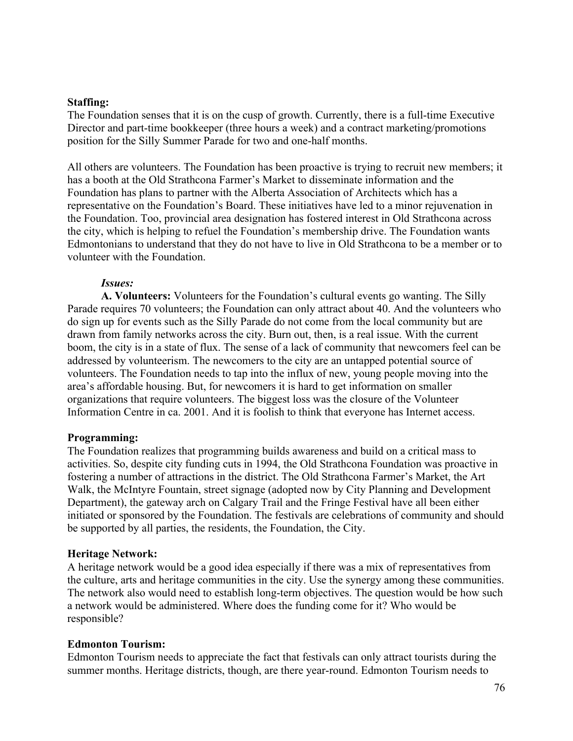### **Staffing:**

The Foundation senses that it is on the cusp of growth. Currently, there is a full-time Executive Director and part-time bookkeeper (three hours a week) and a contract marketing/promotions position for the Silly Summer Parade for two and one-half months.

All others are volunteers. The Foundation has been proactive is trying to recruit new members; it has a booth at the Old Strathcona Farmer's Market to disseminate information and the Foundation has plans to partner with the Alberta Association of Architects which has a representative on the Foundation's Board. These initiatives have led to a minor rejuvenation in the Foundation. Too, provincial area designation has fostered interest in Old Strathcona across the city, which is helping to refuel the Foundation's membership drive. The Foundation wants Edmontonians to understand that they do not have to live in Old Strathcona to be a member or to volunteer with the Foundation.

### *Issues:*

**A. Volunteers:** Volunteers for the Foundation's cultural events go wanting. The Silly Parade requires 70 volunteers; the Foundation can only attract about 40. And the volunteers who do sign up for events such as the Silly Parade do not come from the local community but are drawn from family networks across the city. Burn out, then, is a real issue. With the current boom, the city is in a state of flux. The sense of a lack of community that newcomers feel can be addressed by volunteerism. The newcomers to the city are an untapped potential source of volunteers. The Foundation needs to tap into the influx of new, young people moving into the area's affordable housing. But, for newcomers it is hard to get information on smaller organizations that require volunteers. The biggest loss was the closure of the Volunteer Information Centre in ca. 2001. And it is foolish to think that everyone has Internet access.

#### **Programming:**

The Foundation realizes that programming builds awareness and build on a critical mass to activities. So, despite city funding cuts in 1994, the Old Strathcona Foundation was proactive in fostering a number of attractions in the district. The Old Strathcona Farmer's Market, the Art Walk, the McIntyre Fountain, street signage (adopted now by City Planning and Development Department), the gateway arch on Calgary Trail and the Fringe Festival have all been either initiated or sponsored by the Foundation. The festivals are celebrations of community and should be supported by all parties, the residents, the Foundation, the City.

#### **Heritage Network:**

A heritage network would be a good idea especially if there was a mix of representatives from the culture, arts and heritage communities in the city. Use the synergy among these communities. The network also would need to establish long-term objectives. The question would be how such a network would be administered. Where does the funding come for it? Who would be responsible?

#### **Edmonton Tourism:**

Edmonton Tourism needs to appreciate the fact that festivals can only attract tourists during the summer months. Heritage districts, though, are there year-round. Edmonton Tourism needs to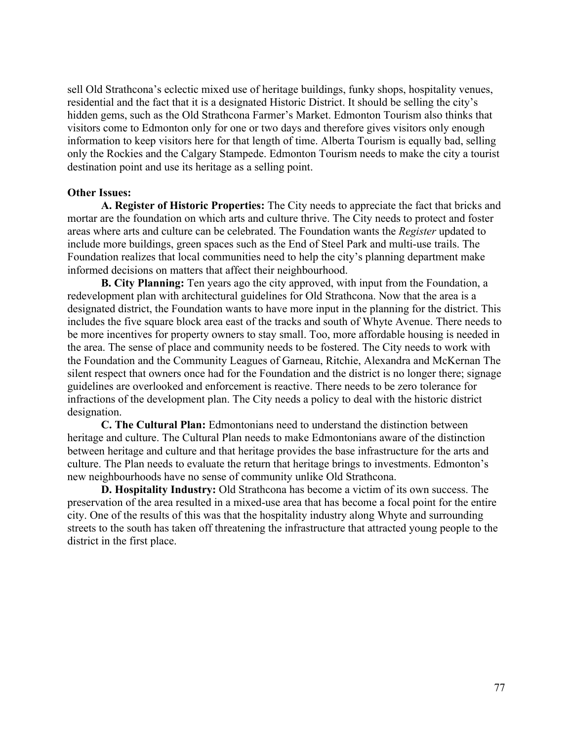sell Old Strathcona's eclectic mixed use of heritage buildings, funky shops, hospitality venues, residential and the fact that it is a designated Historic District. It should be selling the city's hidden gems, such as the Old Strathcona Farmer's Market. Edmonton Tourism also thinks that visitors come to Edmonton only for one or two days and therefore gives visitors only enough information to keep visitors here for that length of time. Alberta Tourism is equally bad, selling only the Rockies and the Calgary Stampede. Edmonton Tourism needs to make the city a tourist destination point and use its heritage as a selling point.

#### **Other Issues:**

**A. Register of Historic Properties:** The City needs to appreciate the fact that bricks and mortar are the foundation on which arts and culture thrive. The City needs to protect and foster areas where arts and culture can be celebrated. The Foundation wants the *Register* updated to include more buildings, green spaces such as the End of Steel Park and multi-use trails. The Foundation realizes that local communities need to help the city's planning department make informed decisions on matters that affect their neighbourhood.

**B. City Planning:** Ten years ago the city approved, with input from the Foundation, a redevelopment plan with architectural guidelines for Old Strathcona. Now that the area is a designated district, the Foundation wants to have more input in the planning for the district. This includes the five square block area east of the tracks and south of Whyte Avenue. There needs to be more incentives for property owners to stay small. Too, more affordable housing is needed in the area. The sense of place and community needs to be fostered. The City needs to work with the Foundation and the Community Leagues of Garneau, Ritchie, Alexandra and McKernan The silent respect that owners once had for the Foundation and the district is no longer there; signage guidelines are overlooked and enforcement is reactive. There needs to be zero tolerance for infractions of the development plan. The City needs a policy to deal with the historic district designation.

**C. The Cultural Plan:** Edmontonians need to understand the distinction between heritage and culture. The Cultural Plan needs to make Edmontonians aware of the distinction between heritage and culture and that heritage provides the base infrastructure for the arts and culture. The Plan needs to evaluate the return that heritage brings to investments. Edmonton's new neighbourhoods have no sense of community unlike Old Strathcona.

**D. Hospitality Industry:** Old Strathcona has become a victim of its own success. The preservation of the area resulted in a mixed-use area that has become a focal point for the entire city. One of the results of this was that the hospitality industry along Whyte and surrounding streets to the south has taken off threatening the infrastructure that attracted young people to the district in the first place.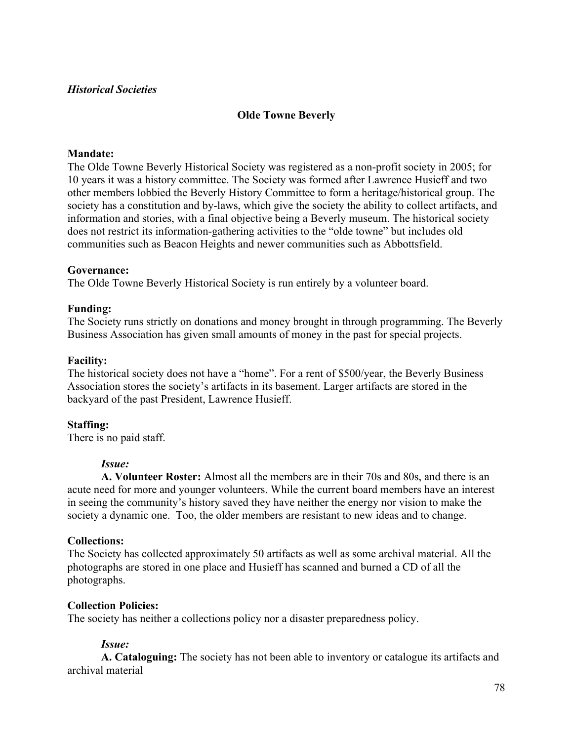## *Historical Societies*

# **Olde Towne Beverly**

## **Mandate:**

The Olde Towne Beverly Historical Society was registered as a non-profit society in 2005; for 10 years it was a history committee. The Society was formed after Lawrence Husieff and two other members lobbied the Beverly History Committee to form a heritage/historical group. The society has a constitution and by-laws, which give the society the ability to collect artifacts, and information and stories, with a final objective being a Beverly museum. The historical society does not restrict its information-gathering activities to the "olde towne" but includes old communities such as Beacon Heights and newer communities such as Abbottsfield.

## **Governance:**

The Olde Towne Beverly Historical Society is run entirely by a volunteer board.

## **Funding:**

The Society runs strictly on donations and money brought in through programming. The Beverly Business Association has given small amounts of money in the past for special projects.

## **Facility:**

The historical society does not have a "home". For a rent of \$500/year, the Beverly Business Association stores the society's artifacts in its basement. Larger artifacts are stored in the backyard of the past President, Lawrence Husieff.

## **Staffing:**

There is no paid staff.

# *Issue:*

**A. Volunteer Roster:** Almost all the members are in their 70s and 80s, and there is an acute need for more and younger volunteers. While the current board members have an interest in seeing the community's history saved they have neither the energy nor vision to make the society a dynamic one. Too, the older members are resistant to new ideas and to change.

## **Collections:**

The Society has collected approximately 50 artifacts as well as some archival material. All the photographs are stored in one place and Husieff has scanned and burned a CD of all the photographs.

## **Collection Policies:**

The society has neither a collections policy nor a disaster preparedness policy.

# *Issue:*

**A. Cataloguing:** The society has not been able to inventory or catalogue its artifacts and archival material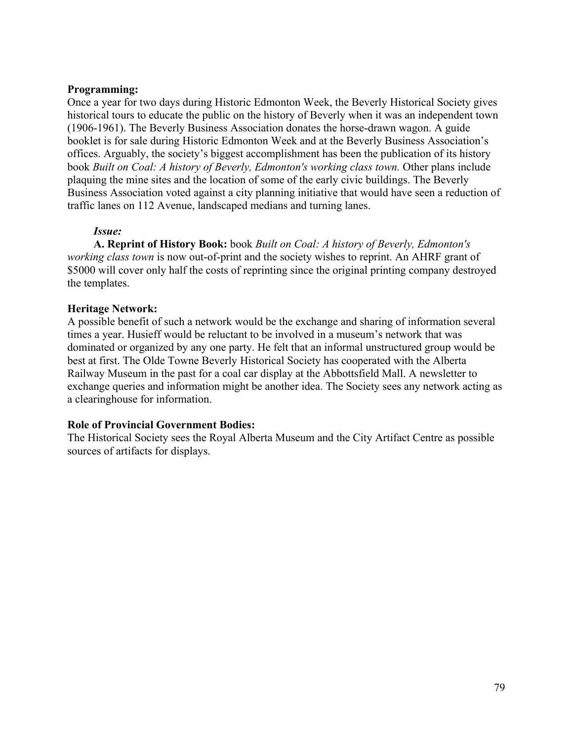# **Programming:**

Once a year for two days during Historic Edmonton Week, the Beverly Historical Society gives historical tours to educate the public on the history of Beverly when it was an independent town (1906-1961). The Beverly Business Association donates the horse-drawn wagon. A guide booklet is for sale during Historic Edmonton Week and at the Beverly Business Association's offices. Arguably, the society's biggest accomplishment has been the publication of its history book *Built on Coal: A history of Beverly, Edmonton's working class town.* Other plans include plaquing the mine sites and the location of some of the early civic buildings. The Beverly Business Association voted against a city planning initiative that would have seen a reduction of traffic lanes on 112 Avenue, landscaped medians and turning lanes.

## *Issue:*

**A. Reprint of History Book:** book *Built on Coal: A history of Beverly, Edmonton's working class town* is now out-of-print and the society wishes to reprint. An AHRF grant of \$5000 will cover only half the costs of reprinting since the original printing company destroyed the templates.

## **Heritage Network:**

A possible benefit of such a network would be the exchange and sharing of information several times a year. Husieff would be reluctant to be involved in a museum's network that was dominated or organized by any one party. He felt that an informal unstructured group would be best at first. The Olde Towne Beverly Historical Society has cooperated with the Alberta Railway Museum in the past for a coal car display at the Abbottsfield Mall. A newsletter to exchange queries and information might be another idea. The Society sees any network acting as a clearinghouse for information.

# **Role of Provincial Government Bodies:**

The Historical Society sees the Royal Alberta Museum and the City Artifact Centre as possible sources of artifacts for displays.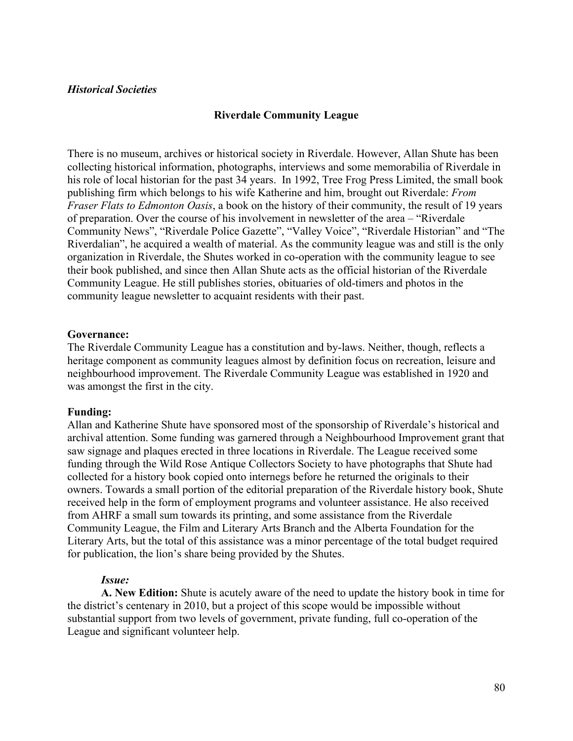### **Riverdale Community League**

There is no museum, archives or historical society in Riverdale. However, Allan Shute has been collecting historical information, photographs, interviews and some memorabilia of Riverdale in his role of local historian for the past 34 years. In 1992, Tree Frog Press Limited, the small book publishing firm which belongs to his wife Katherine and him, brought out Riverdale: *From Fraser Flats to Edmonton Oasis*, a book on the history of their community, the result of 19 years of preparation. Over the course of his involvement in newsletter of the area – "Riverdale Community News", "Riverdale Police Gazette", "Valley Voice", "Riverdale Historian" and "The Riverdalian", he acquired a wealth of material. As the community league was and still is the only organization in Riverdale, the Shutes worked in co-operation with the community league to see their book published, and since then Allan Shute acts as the official historian of the Riverdale Community League. He still publishes stories, obituaries of old-timers and photos in the community league newsletter to acquaint residents with their past.

#### **Governance:**

The Riverdale Community League has a constitution and by-laws. Neither, though, reflects a heritage component as community leagues almost by definition focus on recreation, leisure and neighbourhood improvement. The Riverdale Community League was established in 1920 and was amongst the first in the city.

#### **Funding:**

Allan and Katherine Shute have sponsored most of the sponsorship of Riverdale's historical and archival attention. Some funding was garnered through a Neighbourhood Improvement grant that saw signage and plaques erected in three locations in Riverdale. The League received some funding through the Wild Rose Antique Collectors Society to have photographs that Shute had collected for a history book copied onto internegs before he returned the originals to their owners. Towards a small portion of the editorial preparation of the Riverdale history book, Shute received help in the form of employment programs and volunteer assistance. He also received from AHRF a small sum towards its printing, and some assistance from the Riverdale Community League, the Film and Literary Arts Branch and the Alberta Foundation for the Literary Arts, but the total of this assistance was a minor percentage of the total budget required for publication, the lion's share being provided by the Shutes.

#### *Issue:*

**A. New Edition:** Shute is acutely aware of the need to update the history book in time for the district's centenary in 2010, but a project of this scope would be impossible without substantial support from two levels of government, private funding, full co-operation of the League and significant volunteer help.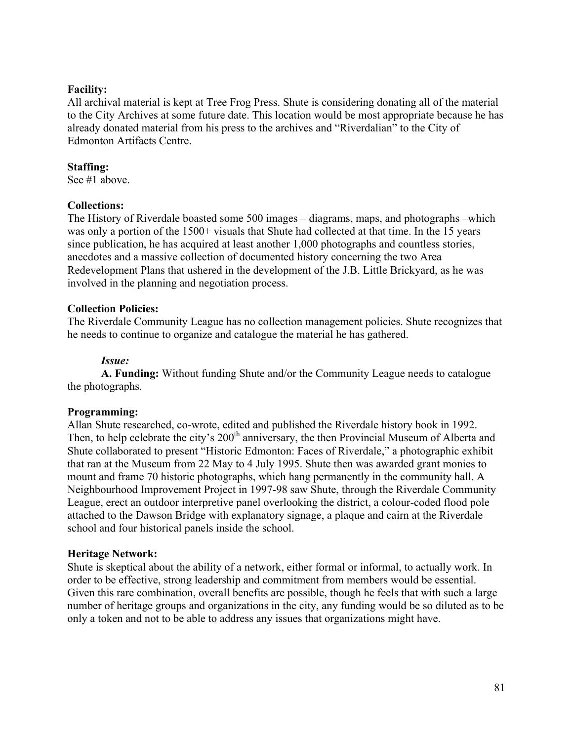## **Facility:**

All archival material is kept at Tree Frog Press. Shute is considering donating all of the material to the City Archives at some future date. This location would be most appropriate because he has already donated material from his press to the archives and "Riverdalian" to the City of Edmonton Artifacts Centre.

## **Staffing:**

See #1 above.

# **Collections:**

The History of Riverdale boasted some 500 images – diagrams, maps, and photographs –which was only a portion of the 1500+ visuals that Shute had collected at that time. In the 15 years since publication, he has acquired at least another 1,000 photographs and countless stories, anecdotes and a massive collection of documented history concerning the two Area Redevelopment Plans that ushered in the development of the J.B. Little Brickyard, as he was involved in the planning and negotiation process.

## **Collection Policies:**

The Riverdale Community League has no collection management policies. Shute recognizes that he needs to continue to organize and catalogue the material he has gathered.

## *Issue:*

**A. Funding:** Without funding Shute and/or the Community League needs to catalogue the photographs.

## **Programming:**

Allan Shute researched, co-wrote, edited and published the Riverdale history book in 1992. Then, to help celebrate the city's 200<sup>th</sup> anniversary, the then Provincial Museum of Alberta and Shute collaborated to present "Historic Edmonton: Faces of Riverdale," a photographic exhibit that ran at the Museum from 22 May to 4 July 1995. Shute then was awarded grant monies to mount and frame 70 historic photographs, which hang permanently in the community hall. A Neighbourhood Improvement Project in 1997-98 saw Shute, through the Riverdale Community League, erect an outdoor interpretive panel overlooking the district, a colour-coded flood pole attached to the Dawson Bridge with explanatory signage, a plaque and cairn at the Riverdale school and four historical panels inside the school.

## **Heritage Network:**

Shute is skeptical about the ability of a network, either formal or informal, to actually work. In order to be effective, strong leadership and commitment from members would be essential. Given this rare combination, overall benefits are possible, though he feels that with such a large number of heritage groups and organizations in the city, any funding would be so diluted as to be only a token and not to be able to address any issues that organizations might have.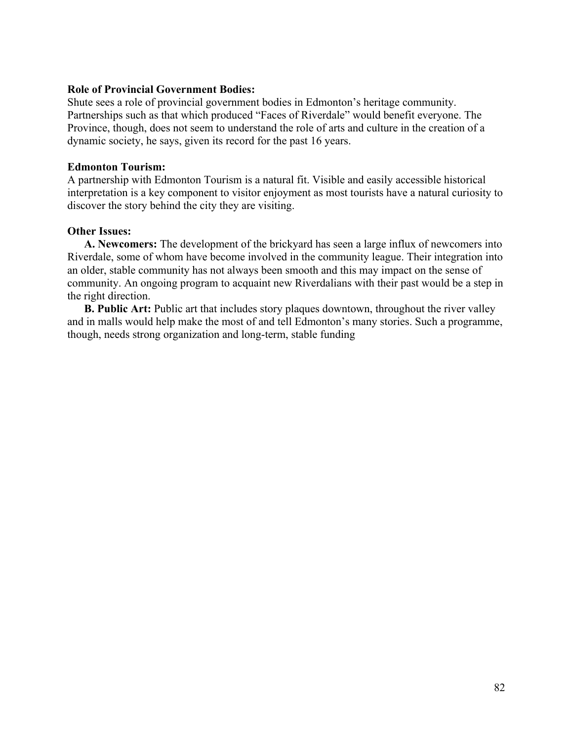## **Role of Provincial Government Bodies:**

Shute sees a role of provincial government bodies in Edmonton's heritage community. Partnerships such as that which produced "Faces of Riverdale" would benefit everyone. The Province, though, does not seem to understand the role of arts and culture in the creation of a dynamic society, he says, given its record for the past 16 years.

## **Edmonton Tourism:**

A partnership with Edmonton Tourism is a natural fit. Visible and easily accessible historical interpretation is a key component to visitor enjoyment as most tourists have a natural curiosity to discover the story behind the city they are visiting.

## **Other Issues:**

**A. Newcomers:** The development of the brickyard has seen a large influx of newcomers into Riverdale, some of whom have become involved in the community league. Their integration into an older, stable community has not always been smooth and this may impact on the sense of community. An ongoing program to acquaint new Riverdalians with their past would be a step in the right direction.

**B. Public Art:** Public art that includes story plaques downtown, throughout the river valley and in malls would help make the most of and tell Edmonton's many stories. Such a programme, though, needs strong organization and long-term, stable funding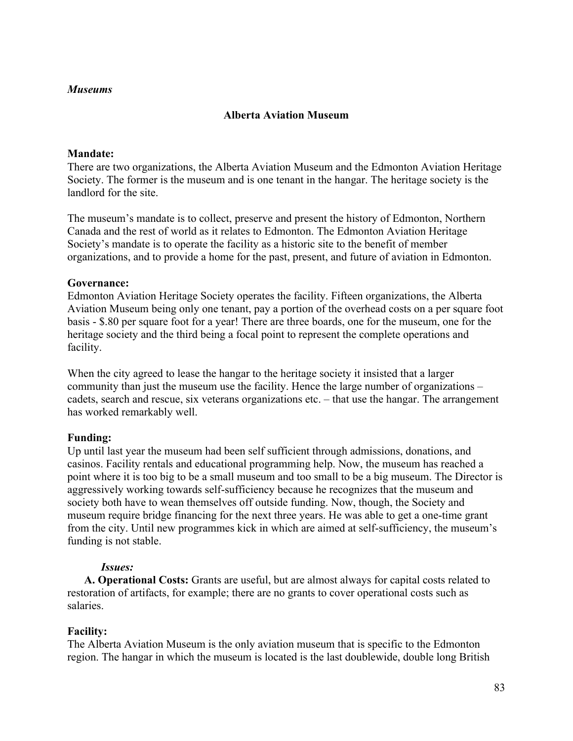# **Alberta Aviation Museum**

# **Mandate:**

There are two organizations, the Alberta Aviation Museum and the Edmonton Aviation Heritage Society. The former is the museum and is one tenant in the hangar. The heritage society is the landlord for the site.

The museum's mandate is to collect, preserve and present the history of Edmonton, Northern Canada and the rest of world as it relates to Edmonton. The Edmonton Aviation Heritage Society's mandate is to operate the facility as a historic site to the benefit of member organizations, and to provide a home for the past, present, and future of aviation in Edmonton.

## **Governance:**

Edmonton Aviation Heritage Society operates the facility. Fifteen organizations, the Alberta Aviation Museum being only one tenant, pay a portion of the overhead costs on a per square foot basis - \$.80 per square foot for a year! There are three boards, one for the museum, one for the heritage society and the third being a focal point to represent the complete operations and facility.

When the city agreed to lease the hangar to the heritage society it insisted that a larger community than just the museum use the facility. Hence the large number of organizations – cadets, search and rescue, six veterans organizations etc. – that use the hangar. The arrangement has worked remarkably well.

# **Funding:**

Up until last year the museum had been self sufficient through admissions, donations, and casinos. Facility rentals and educational programming help. Now, the museum has reached a point where it is too big to be a small museum and too small to be a big museum. The Director is aggressively working towards self-sufficiency because he recognizes that the museum and society both have to wean themselves off outside funding. Now, though, the Society and museum require bridge financing for the next three years. He was able to get a one-time grant from the city. Until new programmes kick in which are aimed at self-sufficiency, the museum's funding is not stable.

# *Issues:*

**A. Operational Costs:** Grants are useful, but are almost always for capital costs related to restoration of artifacts, for example; there are no grants to cover operational costs such as salaries.

# **Facility:**

The Alberta Aviation Museum is the only aviation museum that is specific to the Edmonton region. The hangar in which the museum is located is the last doublewide, double long British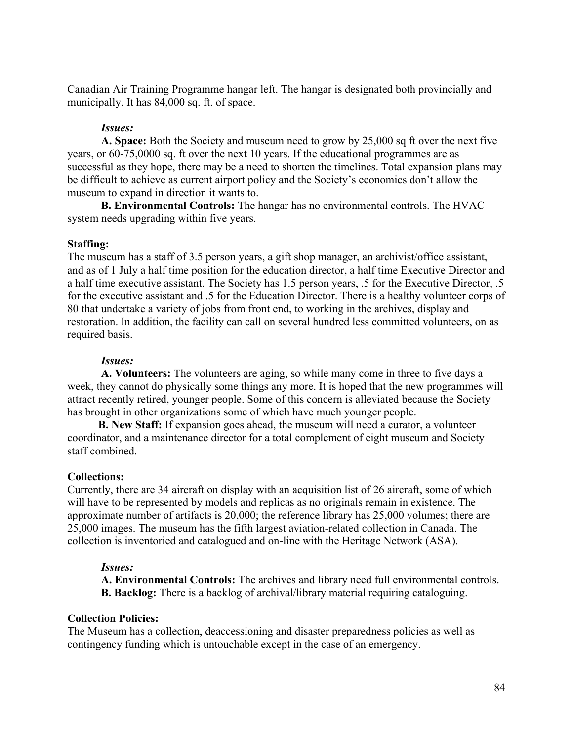Canadian Air Training Programme hangar left. The hangar is designated both provincially and municipally. It has 84,000 sq. ft. of space.

## *Issues:*

**A. Space:** Both the Society and museum need to grow by 25,000 sq ft over the next five years, or 60-75,0000 sq. ft over the next 10 years. If the educational programmes are as successful as they hope, there may be a need to shorten the timelines. Total expansion plans may be difficult to achieve as current airport policy and the Society's economics don't allow the museum to expand in direction it wants to.

 **B. Environmental Controls:** The hangar has no environmental controls. The HVAC system needs upgrading within five years.

## **Staffing:**

The museum has a staff of 3.5 person years, a gift shop manager, an archivist/office assistant, and as of 1 July a half time position for the education director, a half time Executive Director and a half time executive assistant. The Society has 1.5 person years, .5 for the Executive Director, .5 for the executive assistant and .5 for the Education Director. There is a healthy volunteer corps of 80 that undertake a variety of jobs from front end, to working in the archives, display and restoration. In addition, the facility can call on several hundred less committed volunteers, on as required basis.

## *Issues:*

**A. Volunteers:** The volunteers are aging, so while many come in three to five days a week, they cannot do physically some things any more. It is hoped that the new programmes will attract recently retired, younger people. Some of this concern is alleviated because the Society has brought in other organizations some of which have much younger people.

 **B. New Staff:** If expansion goes ahead, the museum will need a curator, a volunteer coordinator, and a maintenance director for a total complement of eight museum and Society staff combined.

## **Collections:**

Currently, there are 34 aircraft on display with an acquisition list of 26 aircraft, some of which will have to be represented by models and replicas as no originals remain in existence. The approximate number of artifacts is 20,000; the reference library has 25,000 volumes; there are 25,000 images. The museum has the fifth largest aviation-related collection in Canada. The collection is inventoried and catalogued and on-line with the Heritage Network (ASA).

## *Issues:*

**A. Environmental Controls:** The archives and library need full environmental controls. **B. Backlog:** There is a backlog of archival/library material requiring cataloguing.

## **Collection Policies:**

The Museum has a collection, deaccessioning and disaster preparedness policies as well as contingency funding which is untouchable except in the case of an emergency.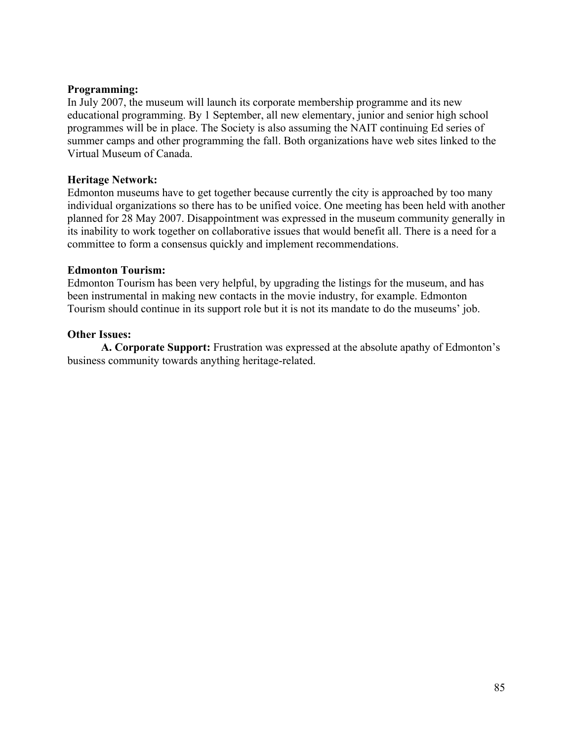## **Programming:**

In July 2007, the museum will launch its corporate membership programme and its new educational programming. By 1 September, all new elementary, junior and senior high school programmes will be in place. The Society is also assuming the NAIT continuing Ed series of summer camps and other programming the fall. Both organizations have web sites linked to the Virtual Museum of Canada.

## **Heritage Network:**

Edmonton museums have to get together because currently the city is approached by too many individual organizations so there has to be unified voice. One meeting has been held with another planned for 28 May 2007. Disappointment was expressed in the museum community generally in its inability to work together on collaborative issues that would benefit all. There is a need for a committee to form a consensus quickly and implement recommendations.

## **Edmonton Tourism:**

Edmonton Tourism has been very helpful, by upgrading the listings for the museum, and has been instrumental in making new contacts in the movie industry, for example. Edmonton Tourism should continue in its support role but it is not its mandate to do the museums' job.

## **Other Issues:**

**A. Corporate Support:** Frustration was expressed at the absolute apathy of Edmonton's business community towards anything heritage-related.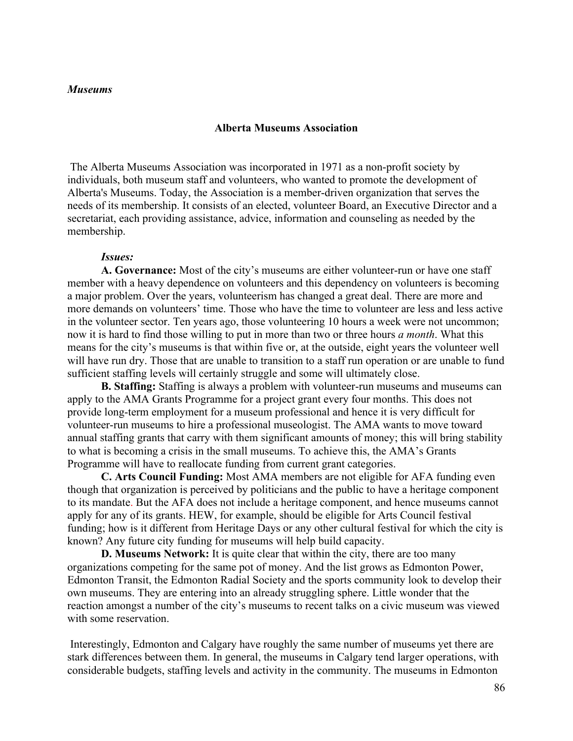#### **Alberta Museums Association**

 The Alberta Museums Association was incorporated in 1971 as a non-profit society by individuals, both museum staff and volunteers, who wanted to promote the development of Alberta's Museums. Today, the Association is a member-driven organization that serves the needs of its membership. It consists of an elected, volunteer Board, an Executive Director and a secretariat, each providing assistance, advice, information and counseling as needed by the membership.

#### *Issues:*

**A. Governance:** Most of the city's museums are either volunteer-run or have one staff member with a heavy dependence on volunteers and this dependency on volunteers is becoming a major problem. Over the years, volunteerism has changed a great deal. There are more and more demands on volunteers' time. Those who have the time to volunteer are less and less active in the volunteer sector. Ten years ago, those volunteering 10 hours a week were not uncommon; now it is hard to find those willing to put in more than two or three hours *a month*. What this means for the city's museums is that within five or, at the outside, eight years the volunteer well will have run dry. Those that are unable to transition to a staff run operation or are unable to fund sufficient staffing levels will certainly struggle and some will ultimately close.

**B. Staffing:** Staffing is always a problem with volunteer-run museums and museums can apply to the AMA Grants Programme for a project grant every four months. This does not provide long-term employment for a museum professional and hence it is very difficult for volunteer-run museums to hire a professional museologist. The AMA wants to move toward annual staffing grants that carry with them significant amounts of money; this will bring stability to what is becoming a crisis in the small museums. To achieve this, the AMA's Grants Programme will have to reallocate funding from current grant categories.

**C. Arts Council Funding:** Most AMA members are not eligible for AFA funding even though that organization is perceived by politicians and the public to have a heritage component to its mandate. But the AFA does not include a heritage component, and hence museums cannot apply for any of its grants. HEW, for example, should be eligible for Arts Council festival funding; how is it different from Heritage Days or any other cultural festival for which the city is known? Any future city funding for museums will help build capacity.

**D. Museums Network:** It is quite clear that within the city, there are too many organizations competing for the same pot of money. And the list grows as Edmonton Power, Edmonton Transit, the Edmonton Radial Society and the sports community look to develop their own museums. They are entering into an already struggling sphere. Little wonder that the reaction amongst a number of the city's museums to recent talks on a civic museum was viewed with some reservation.

 Interestingly, Edmonton and Calgary have roughly the same number of museums yet there are stark differences between them. In general, the museums in Calgary tend larger operations, with considerable budgets, staffing levels and activity in the community. The museums in Edmonton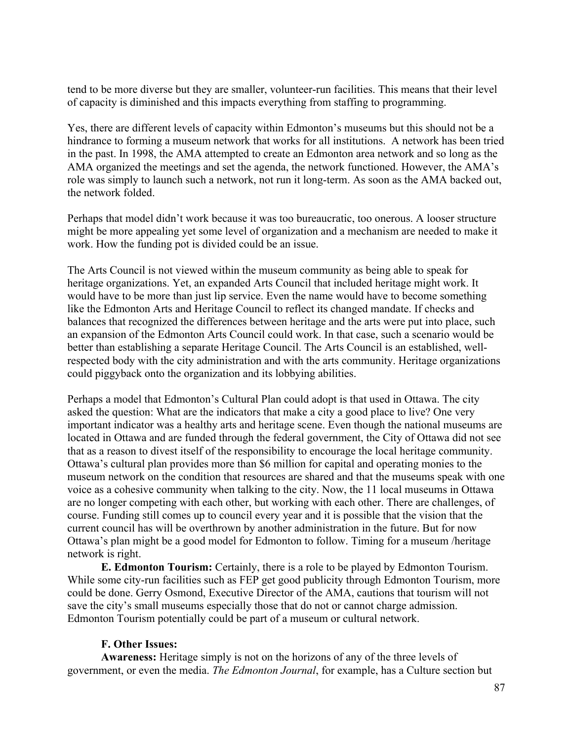tend to be more diverse but they are smaller, volunteer-run facilities. This means that their level of capacity is diminished and this impacts everything from staffing to programming.

Yes, there are different levels of capacity within Edmonton's museums but this should not be a hindrance to forming a museum network that works for all institutions. A network has been tried in the past. In 1998, the AMA attempted to create an Edmonton area network and so long as the AMA organized the meetings and set the agenda, the network functioned. However, the AMA's role was simply to launch such a network, not run it long-term. As soon as the AMA backed out, the network folded.

Perhaps that model didn't work because it was too bureaucratic, too onerous. A looser structure might be more appealing yet some level of organization and a mechanism are needed to make it work. How the funding pot is divided could be an issue.

The Arts Council is not viewed within the museum community as being able to speak for heritage organizations. Yet, an expanded Arts Council that included heritage might work. It would have to be more than just lip service. Even the name would have to become something like the Edmonton Arts and Heritage Council to reflect its changed mandate. If checks and balances that recognized the differences between heritage and the arts were put into place, such an expansion of the Edmonton Arts Council could work. In that case, such a scenario would be better than establishing a separate Heritage Council. The Arts Council is an established, wellrespected body with the city administration and with the arts community. Heritage organizations could piggyback onto the organization and its lobbying abilities.

Perhaps a model that Edmonton's Cultural Plan could adopt is that used in Ottawa. The city asked the question: What are the indicators that make a city a good place to live? One very important indicator was a healthy arts and heritage scene. Even though the national museums are located in Ottawa and are funded through the federal government, the City of Ottawa did not see that as a reason to divest itself of the responsibility to encourage the local heritage community. Ottawa's cultural plan provides more than \$6 million for capital and operating monies to the museum network on the condition that resources are shared and that the museums speak with one voice as a cohesive community when talking to the city. Now, the 11 local museums in Ottawa are no longer competing with each other, but working with each other. There are challenges, of course. Funding still comes up to council every year and it is possible that the vision that the current council has will be overthrown by another administration in the future. But for now Ottawa's plan might be a good model for Edmonton to follow. Timing for a museum /heritage network is right.

**E. Edmonton Tourism:** Certainly, there is a role to be played by Edmonton Tourism. While some city-run facilities such as FEP get good publicity through Edmonton Tourism, more could be done. Gerry Osmond, Executive Director of the AMA, cautions that tourism will not save the city's small museums especially those that do not or cannot charge admission. Edmonton Tourism potentially could be part of a museum or cultural network.

## **F. Other Issues:**

**Awareness:** Heritage simply is not on the horizons of any of the three levels of government, or even the media. *The Edmonton Journal*, for example, has a Culture section but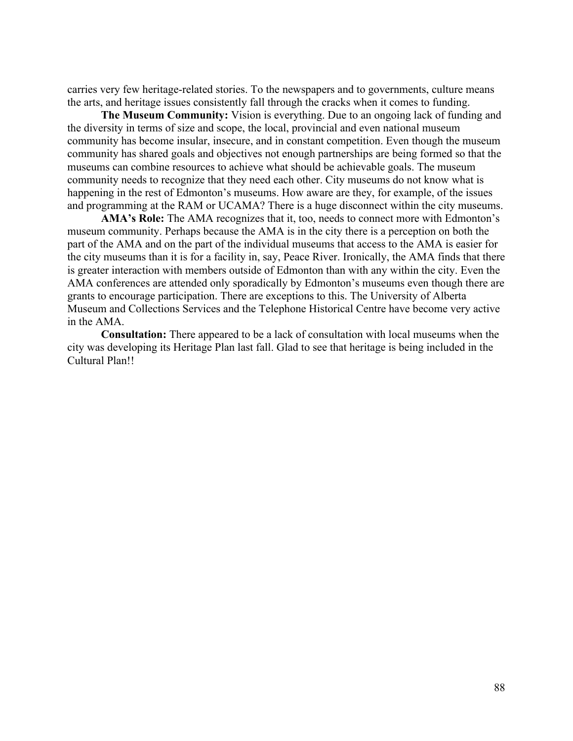carries very few heritage-related stories. To the newspapers and to governments, culture means the arts, and heritage issues consistently fall through the cracks when it comes to funding.

**The Museum Community:** Vision is everything. Due to an ongoing lack of funding and the diversity in terms of size and scope, the local, provincial and even national museum community has become insular, insecure, and in constant competition. Even though the museum community has shared goals and objectives not enough partnerships are being formed so that the museums can combine resources to achieve what should be achievable goals. The museum community needs to recognize that they need each other. City museums do not know what is happening in the rest of Edmonton's museums. How aware are they, for example, of the issues and programming at the RAM or UCAMA? There is a huge disconnect within the city museums.

**AMA's Role:** The AMA recognizes that it, too, needs to connect more with Edmonton's museum community. Perhaps because the AMA is in the city there is a perception on both the part of the AMA and on the part of the individual museums that access to the AMA is easier for the city museums than it is for a facility in, say, Peace River. Ironically, the AMA finds that there is greater interaction with members outside of Edmonton than with any within the city. Even the AMA conferences are attended only sporadically by Edmonton's museums even though there are grants to encourage participation. There are exceptions to this. The University of Alberta Museum and Collections Services and the Telephone Historical Centre have become very active in the AMA.

**Consultation:** There appeared to be a lack of consultation with local museums when the city was developing its Heritage Plan last fall. Glad to see that heritage is being included in the Cultural Plan!!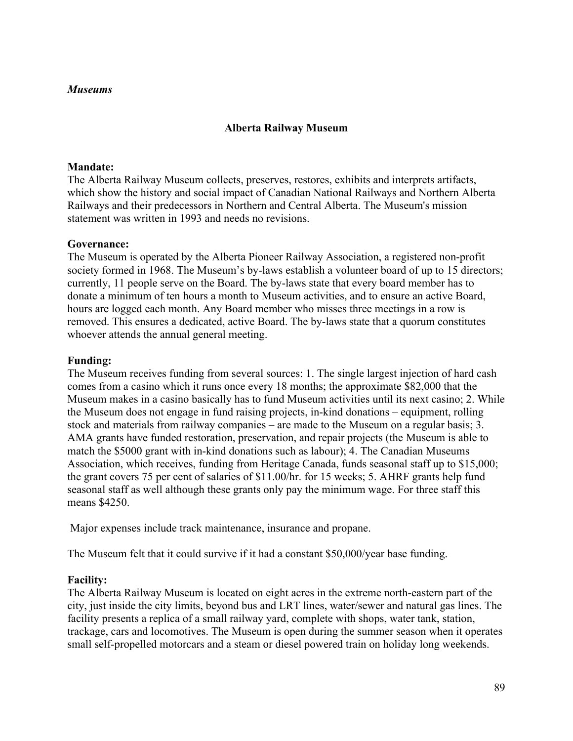## **Alberta Railway Museum**

## **Mandate:**

The Alberta Railway Museum collects, preserves, restores, exhibits and interprets artifacts, which show the history and social impact of Canadian National Railways and Northern Alberta Railways and their predecessors in Northern and Central Alberta. The Museum's mission statement was written in 1993 and needs no revisions.

## **Governance:**

The Museum is operated by the Alberta Pioneer Railway Association, a registered non-profit society formed in 1968. The Museum's by-laws establish a volunteer board of up to 15 directors; currently, 11 people serve on the Board. The by-laws state that every board member has to donate a minimum of ten hours a month to Museum activities, and to ensure an active Board, hours are logged each month. Any Board member who misses three meetings in a row is removed. This ensures a dedicated, active Board. The by-laws state that a quorum constitutes whoever attends the annual general meeting.

# **Funding:**

The Museum receives funding from several sources: 1. The single largest injection of hard cash comes from a casino which it runs once every 18 months; the approximate \$82,000 that the Museum makes in a casino basically has to fund Museum activities until its next casino; 2. While the Museum does not engage in fund raising projects, in-kind donations – equipment, rolling stock and materials from railway companies – are made to the Museum on a regular basis; 3. AMA grants have funded restoration, preservation, and repair projects (the Museum is able to match the \$5000 grant with in-kind donations such as labour); 4. The Canadian Museums Association, which receives, funding from Heritage Canada, funds seasonal staff up to \$15,000; the grant covers 75 per cent of salaries of \$11.00/hr. for 15 weeks; 5. AHRF grants help fund seasonal staff as well although these grants only pay the minimum wage. For three staff this means \$4250.

Major expenses include track maintenance, insurance and propane.

The Museum felt that it could survive if it had a constant \$50,000/year base funding.

# **Facility:**

The Alberta Railway Museum is located on eight acres in the extreme north-eastern part of the city, just inside the city limits, beyond bus and LRT lines, water/sewer and natural gas lines. The facility presents a replica of a small railway yard, complete with shops, water tank, station, trackage, cars and locomotives. The Museum is open during the summer season when it operates small self-propelled motorcars and a steam or diesel powered train on holiday long weekends.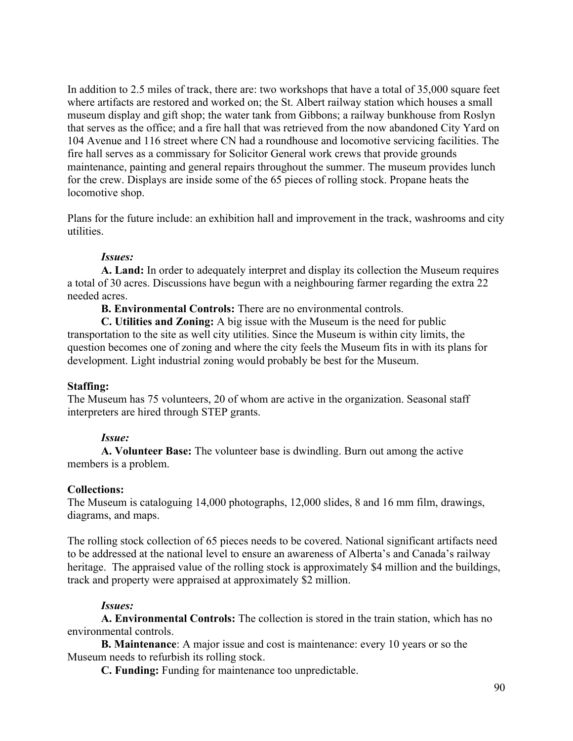In addition to 2.5 miles of track, there are: two workshops that have a total of 35,000 square feet where artifacts are restored and worked on; the St. Albert railway station which houses a small museum display and gift shop; the water tank from Gibbons; a railway bunkhouse from Roslyn that serves as the office; and a fire hall that was retrieved from the now abandoned City Yard on 104 Avenue and 116 street where CN had a roundhouse and locomotive servicing facilities. The fire hall serves as a commissary for Solicitor General work crews that provide grounds maintenance, painting and general repairs throughout the summer. The museum provides lunch for the crew. Displays are inside some of the 65 pieces of rolling stock. Propane heats the locomotive shop.

Plans for the future include: an exhibition hall and improvement in the track, washrooms and city utilities.

## *Issues:*

**A. Land:** In order to adequately interpret and display its collection the Museum requires a total of 30 acres. Discussions have begun with a neighbouring farmer regarding the extra 22 needed acres.

**B. Environmental Controls:** There are no environmental controls.

**C. Utilities and Zoning:** A big issue with the Museum is the need for public transportation to the site as well city utilities. Since the Museum is within city limits, the question becomes one of zoning and where the city feels the Museum fits in with its plans for development. Light industrial zoning would probably be best for the Museum.

# **Staffing:**

The Museum has 75 volunteers, 20 of whom are active in the organization. Seasonal staff interpreters are hired through STEP grants.

## *Issue:*

**A. Volunteer Base:** The volunteer base is dwindling. Burn out among the active members is a problem.

# **Collections:**

The Museum is cataloguing 14,000 photographs, 12,000 slides, 8 and 16 mm film, drawings, diagrams, and maps.

The rolling stock collection of 65 pieces needs to be covered. National significant artifacts need to be addressed at the national level to ensure an awareness of Alberta's and Canada's railway heritage. The appraised value of the rolling stock is approximately \$4 million and the buildings, track and property were appraised at approximately \$2 million.

# *Issues:*

**A. Environmental Controls:** The collection is stored in the train station, which has no environmental controls.

**B. Maintenance**: A major issue and cost is maintenance: every 10 years or so the Museum needs to refurbish its rolling stock.

**C. Funding:** Funding for maintenance too unpredictable.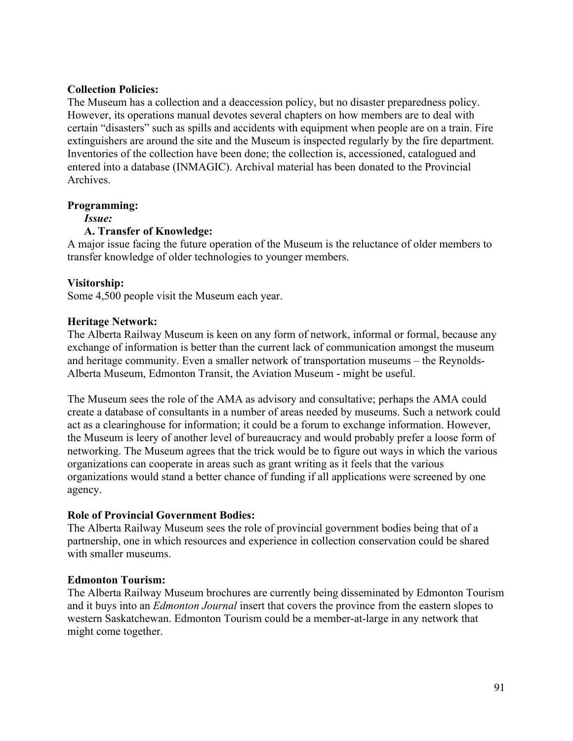## **Collection Policies:**

The Museum has a collection and a deaccession policy, but no disaster preparedness policy. However, its operations manual devotes several chapters on how members are to deal with certain "disasters" such as spills and accidents with equipment when people are on a train. Fire extinguishers are around the site and the Museum is inspected regularly by the fire department. Inventories of the collection have been done; the collection is, accessioned, catalogued and entered into a database (INMAGIC). Archival material has been donated to the Provincial **Archives** 

## **Programming:**

*Issue:*

# **A. Transfer of Knowledge:**

A major issue facing the future operation of the Museum is the reluctance of older members to transfer knowledge of older technologies to younger members.

## **Visitorship:**

Some 4,500 people visit the Museum each year.

## **Heritage Network:**

The Alberta Railway Museum is keen on any form of network, informal or formal, because any exchange of information is better than the current lack of communication amongst the museum and heritage community. Even a smaller network of transportation museums – the Reynolds-Alberta Museum, Edmonton Transit, the Aviation Museum - might be useful.

The Museum sees the role of the AMA as advisory and consultative; perhaps the AMA could create a database of consultants in a number of areas needed by museums. Such a network could act as a clearinghouse for information; it could be a forum to exchange information. However, the Museum is leery of another level of bureaucracy and would probably prefer a loose form of networking. The Museum agrees that the trick would be to figure out ways in which the various organizations can cooperate in areas such as grant writing as it feels that the various organizations would stand a better chance of funding if all applications were screened by one agency.

# **Role of Provincial Government Bodies:**

The Alberta Railway Museum sees the role of provincial government bodies being that of a partnership, one in which resources and experience in collection conservation could be shared with smaller museums.

## **Edmonton Tourism:**

The Alberta Railway Museum brochures are currently being disseminated by Edmonton Tourism and it buys into an *Edmonton Journal* insert that covers the province from the eastern slopes to western Saskatchewan. Edmonton Tourism could be a member-at-large in any network that might come together.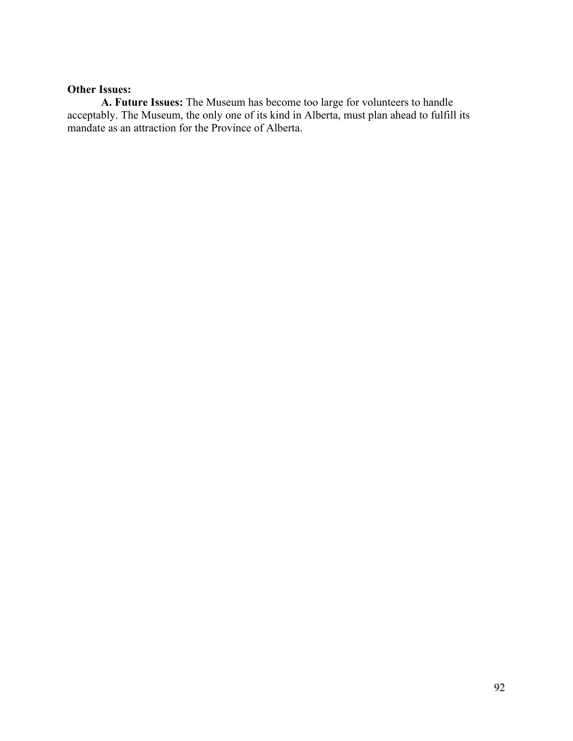# **Other Issues:**

**A. Future Issues:** The Museum has become too large for volunteers to handle acceptably. The Museum, the only one of its kind in Alberta, must plan ahead to fulfill its mandate as an attraction for the Province of Alberta.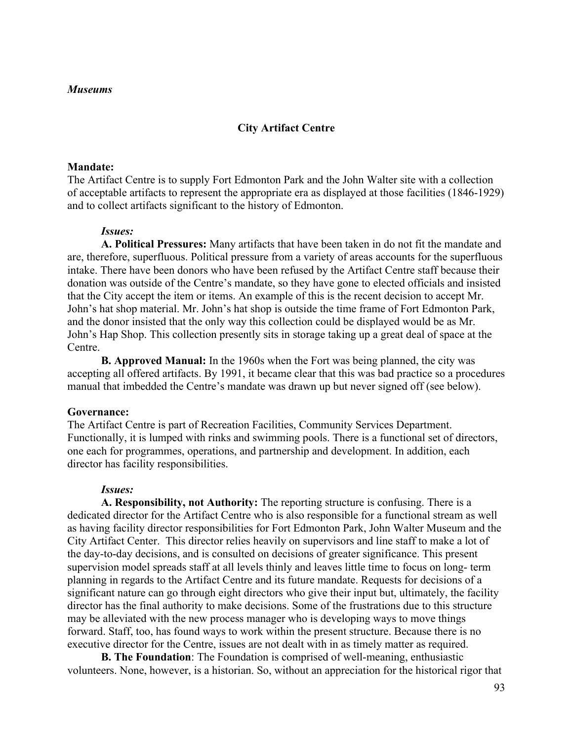### **City Artifact Centre**

#### **Mandate:**

The Artifact Centre is to supply Fort Edmonton Park and the John Walter site with a collection of acceptable artifacts to represent the appropriate era as displayed at those facilities (1846-1929) and to collect artifacts significant to the history of Edmonton.

#### *Issues:*

**A. Political Pressures:** Many artifacts that have been taken in do not fit the mandate and are, therefore, superfluous. Political pressure from a variety of areas accounts for the superfluous intake. There have been donors who have been refused by the Artifact Centre staff because their donation was outside of the Centre's mandate, so they have gone to elected officials and insisted that the City accept the item or items. An example of this is the recent decision to accept Mr. John's hat shop material. Mr. John's hat shop is outside the time frame of Fort Edmonton Park, and the donor insisted that the only way this collection could be displayed would be as Mr. John's Hap Shop. This collection presently sits in storage taking up a great deal of space at the Centre.

**B. Approved Manual:** In the 1960s when the Fort was being planned, the city was accepting all offered artifacts. By 1991, it became clear that this was bad practice so a procedures manual that imbedded the Centre's mandate was drawn up but never signed off (see below).

#### **Governance:**

The Artifact Centre is part of Recreation Facilities, Community Services Department. Functionally, it is lumped with rinks and swimming pools. There is a functional set of directors, one each for programmes, operations, and partnership and development. In addition, each director has facility responsibilities.

#### *Issues:*

**A. Responsibility, not Authority:** The reporting structure is confusing. There is a dedicated director for the Artifact Centre who is also responsible for a functional stream as well as having facility director responsibilities for Fort Edmonton Park, John Walter Museum and the City Artifact Center. This director relies heavily on supervisors and line staff to make a lot of the day-to-day decisions, and is consulted on decisions of greater significance. This present supervision model spreads staff at all levels thinly and leaves little time to focus on long- term planning in regards to the Artifact Centre and its future mandate. Requests for decisions of a significant nature can go through eight directors who give their input but, ultimately, the facility director has the final authority to make decisions. Some of the frustrations due to this structure may be alleviated with the new process manager who is developing ways to move things forward. Staff, too, has found ways to work within the present structure. Because there is no executive director for the Centre, issues are not dealt with in as timely matter as required.

**B. The Foundation**: The Foundation is comprised of well-meaning, enthusiastic volunteers. None, however, is a historian. So, without an appreciation for the historical rigor that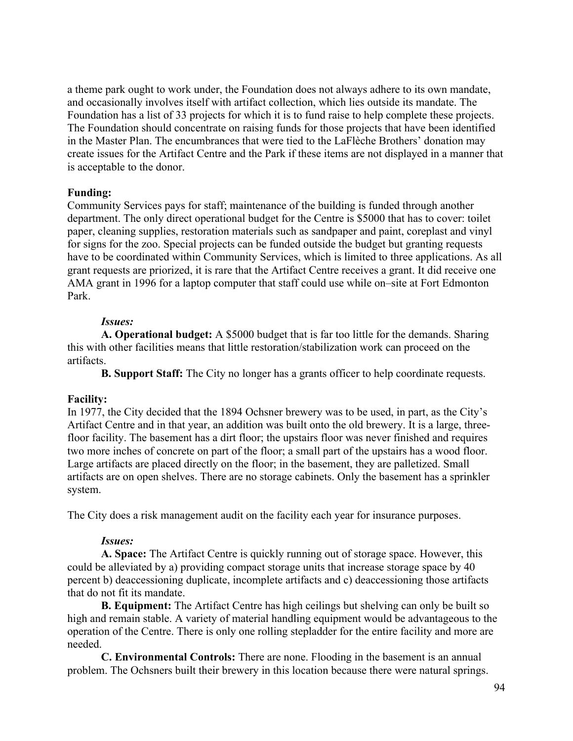a theme park ought to work under, the Foundation does not always adhere to its own mandate, and occasionally involves itself with artifact collection, which lies outside its mandate. The Foundation has a list of 33 projects for which it is to fund raise to help complete these projects. The Foundation should concentrate on raising funds for those projects that have been identified in the Master Plan. The encumbrances that were tied to the LaFlèche Brothers' donation may create issues for the Artifact Centre and the Park if these items are not displayed in a manner that is acceptable to the donor.

## **Funding:**

Community Services pays for staff; maintenance of the building is funded through another department. The only direct operational budget for the Centre is \$5000 that has to cover: toilet paper, cleaning supplies, restoration materials such as sandpaper and paint, coreplast and vinyl for signs for the zoo. Special projects can be funded outside the budget but granting requests have to be coordinated within Community Services, which is limited to three applications. As all grant requests are priorized, it is rare that the Artifact Centre receives a grant. It did receive one AMA grant in 1996 for a laptop computer that staff could use while on–site at Fort Edmonton Park.

## *Issues:*

**A. Operational budget:** A \$5000 budget that is far too little for the demands. Sharing this with other facilities means that little restoration/stabilization work can proceed on the artifacts.

**B. Support Staff:** The City no longer has a grants officer to help coordinate requests.

## **Facility:**

In 1977, the City decided that the 1894 Ochsner brewery was to be used, in part, as the City's Artifact Centre and in that year, an addition was built onto the old brewery. It is a large, threefloor facility. The basement has a dirt floor; the upstairs floor was never finished and requires two more inches of concrete on part of the floor; a small part of the upstairs has a wood floor. Large artifacts are placed directly on the floor; in the basement, they are palletized. Small artifacts are on open shelves. There are no storage cabinets. Only the basement has a sprinkler system.

The City does a risk management audit on the facility each year for insurance purposes.

## *Issues:*

**A. Space:** The Artifact Centre is quickly running out of storage space. However, this could be alleviated by a) providing compact storage units that increase storage space by 40 percent b) deaccessioning duplicate, incomplete artifacts and c) deaccessioning those artifacts that do not fit its mandate.

**B. Equipment:** The Artifact Centre has high ceilings but shelving can only be built so high and remain stable. A variety of material handling equipment would be advantageous to the operation of the Centre. There is only one rolling stepladder for the entire facility and more are needed.

**C. Environmental Controls:** There are none. Flooding in the basement is an annual problem. The Ochsners built their brewery in this location because there were natural springs.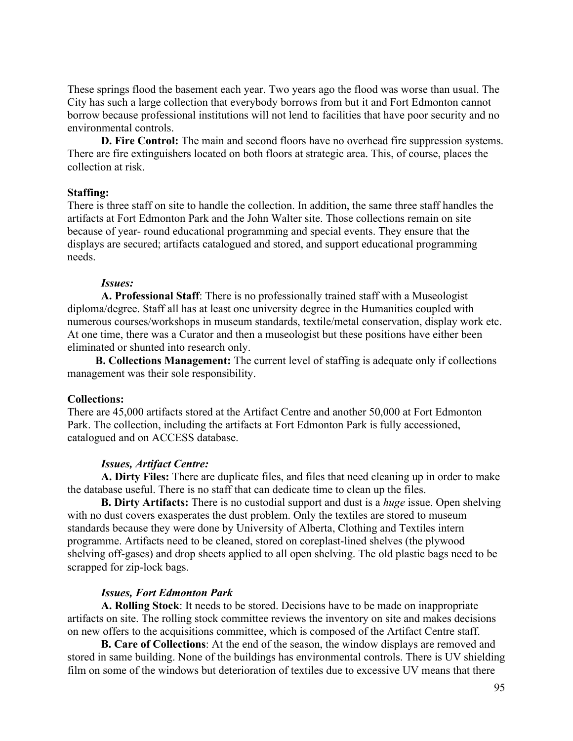These springs flood the basement each year. Two years ago the flood was worse than usual. The City has such a large collection that everybody borrows from but it and Fort Edmonton cannot borrow because professional institutions will not lend to facilities that have poor security and no environmental controls.

**D. Fire Control:** The main and second floors have no overhead fire suppression systems. There are fire extinguishers located on both floors at strategic area. This, of course, places the collection at risk.

#### **Staffing:**

There is three staff on site to handle the collection. In addition, the same three staff handles the artifacts at Fort Edmonton Park and the John Walter site. Those collections remain on site because of year- round educational programming and special events. They ensure that the displays are secured; artifacts catalogued and stored, and support educational programming needs.

#### *Issues:*

**A. Professional Staff**: There is no professionally trained staff with a Museologist diploma/degree. Staff all has at least one university degree in the Humanities coupled with numerous courses/workshops in museum standards, textile/metal conservation, display work etc. At one time, there was a Curator and then a museologist but these positions have either been eliminated or shunted into research only.

 **B. Collections Management:** The current level of staffing is adequate only if collections management was their sole responsibility.

#### **Collections:**

There are 45,000 artifacts stored at the Artifact Centre and another 50,000 at Fort Edmonton Park. The collection, including the artifacts at Fort Edmonton Park is fully accessioned, catalogued and on ACCESS database.

## *Issues, Artifact Centre:*

**A. Dirty Files:** There are duplicate files, and files that need cleaning up in order to make the database useful. There is no staff that can dedicate time to clean up the files.

**B. Dirty Artifacts:** There is no custodial support and dust is a *huge* issue. Open shelving with no dust covers exasperates the dust problem. Only the textiles are stored to museum standards because they were done by University of Alberta, Clothing and Textiles intern programme. Artifacts need to be cleaned, stored on coreplast-lined shelves (the plywood shelving off-gases) and drop sheets applied to all open shelving. The old plastic bags need to be scrapped for zip-lock bags.

#### *Issues, Fort Edmonton Park*

**A. Rolling Stock**: It needs to be stored. Decisions have to be made on inappropriate artifacts on site. The rolling stock committee reviews the inventory on site and makes decisions on new offers to the acquisitions committee, which is composed of the Artifact Centre staff.

**B. Care of Collections**: At the end of the season, the window displays are removed and stored in same building. None of the buildings has environmental controls. There is UV shielding film on some of the windows but deterioration of textiles due to excessive UV means that there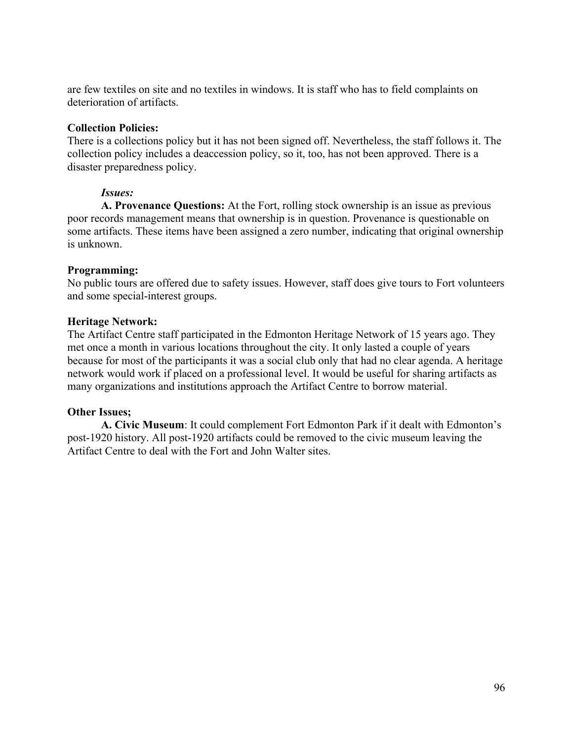are few textiles on site and no textiles in windows. It is staff who has to field complaints on deterioration of artifacts.

## **Collection Policies:**

There is a collections policy but it has not been signed off. Nevertheless, the staff follows it. The collection policy includes a deaccession policy, so it, too, has not been approved. There is a disaster preparedness policy.

## *Issues:*

**A. Provenance Questions:** At the Fort, rolling stock ownership is an issue as previous poor records management means that ownership is in question. Provenance is questionable on some artifacts. These items have been assigned a zero number, indicating that original ownership is unknown.

# **Programming:**

No public tours are offered due to safety issues. However, staff does give tours to Fort volunteers and some special-interest groups.

## **Heritage Network:**

The Artifact Centre staff participated in the Edmonton Heritage Network of 15 years ago. They met once a month in various locations throughout the city. It only lasted a couple of years because for most of the participants it was a social club only that had no clear agenda. A heritage network would work if placed on a professional level. It would be useful for sharing artifacts as many organizations and institutions approach the Artifact Centre to borrow material.

## **Other Issues;**

**A. Civic Museum**: It could complement Fort Edmonton Park if it dealt with Edmonton's post-1920 history. All post-1920 artifacts could be removed to the civic museum leaving the Artifact Centre to deal with the Fort and John Walter sites.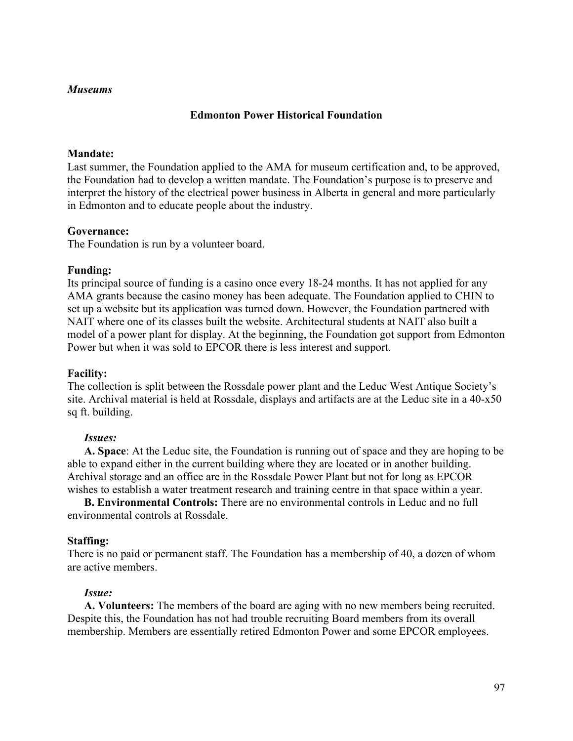## **Edmonton Power Historical Foundation**

### **Mandate:**

Last summer, the Foundation applied to the AMA for museum certification and, to be approved, the Foundation had to develop a written mandate. The Foundation's purpose is to preserve and interpret the history of the electrical power business in Alberta in general and more particularly in Edmonton and to educate people about the industry.

### **Governance:**

The Foundation is run by a volunteer board.

## **Funding:**

Its principal source of funding is a casino once every 18-24 months. It has not applied for any AMA grants because the casino money has been adequate. The Foundation applied to CHIN to set up a website but its application was turned down. However, the Foundation partnered with NAIT where one of its classes built the website. Architectural students at NAIT also built a model of a power plant for display. At the beginning, the Foundation got support from Edmonton Power but when it was sold to EPCOR there is less interest and support.

#### **Facility:**

The collection is split between the Rossdale power plant and the Leduc West Antique Society's site. Archival material is held at Rossdale, displays and artifacts are at the Leduc site in a 40-x50 sq ft. building.

#### *Issues:*

**A. Space**: At the Leduc site, the Foundation is running out of space and they are hoping to be able to expand either in the current building where they are located or in another building. Archival storage and an office are in the Rossdale Power Plant but not for long as EPCOR wishes to establish a water treatment research and training centre in that space within a year.

**B. Environmental Controls:** There are no environmental controls in Leduc and no full environmental controls at Rossdale.

#### **Staffing:**

There is no paid or permanent staff. The Foundation has a membership of 40, a dozen of whom are active members.

#### *Issue:*

**A. Volunteers:** The members of the board are aging with no new members being recruited. Despite this, the Foundation has not had trouble recruiting Board members from its overall membership. Members are essentially retired Edmonton Power and some EPCOR employees.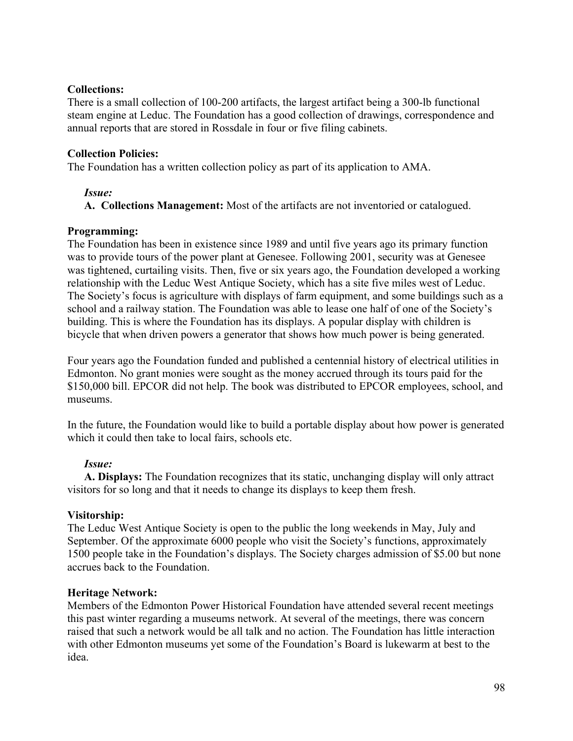## **Collections:**

There is a small collection of 100-200 artifacts, the largest artifact being a 300-lb functional steam engine at Leduc. The Foundation has a good collection of drawings, correspondence and annual reports that are stored in Rossdale in four or five filing cabinets.

## **Collection Policies:**

The Foundation has a written collection policy as part of its application to AMA.

## *Issue:*

**A. Collections Management:** Most of the artifacts are not inventoried or catalogued.

## **Programming:**

The Foundation has been in existence since 1989 and until five years ago its primary function was to provide tours of the power plant at Genesee. Following 2001, security was at Genesee was tightened, curtailing visits. Then, five or six years ago, the Foundation developed a working relationship with the Leduc West Antique Society, which has a site five miles west of Leduc. The Society's focus is agriculture with displays of farm equipment, and some buildings such as a school and a railway station. The Foundation was able to lease one half of one of the Society's building. This is where the Foundation has its displays. A popular display with children is bicycle that when driven powers a generator that shows how much power is being generated.

Four years ago the Foundation funded and published a centennial history of electrical utilities in Edmonton. No grant monies were sought as the money accrued through its tours paid for the \$150,000 bill. EPCOR did not help. The book was distributed to EPCOR employees, school, and museums.

In the future, the Foundation would like to build a portable display about how power is generated which it could then take to local fairs, schools etc.

# *Issue:*

**A. Displays:** The Foundation recognizes that its static, unchanging display will only attract visitors for so long and that it needs to change its displays to keep them fresh.

# **Visitorship:**

The Leduc West Antique Society is open to the public the long weekends in May, July and September. Of the approximate 6000 people who visit the Society's functions, approximately 1500 people take in the Foundation's displays. The Society charges admission of \$5.00 but none accrues back to the Foundation.

# **Heritage Network:**

Members of the Edmonton Power Historical Foundation have attended several recent meetings this past winter regarding a museums network. At several of the meetings, there was concern raised that such a network would be all talk and no action. The Foundation has little interaction with other Edmonton museums yet some of the Foundation's Board is lukewarm at best to the idea.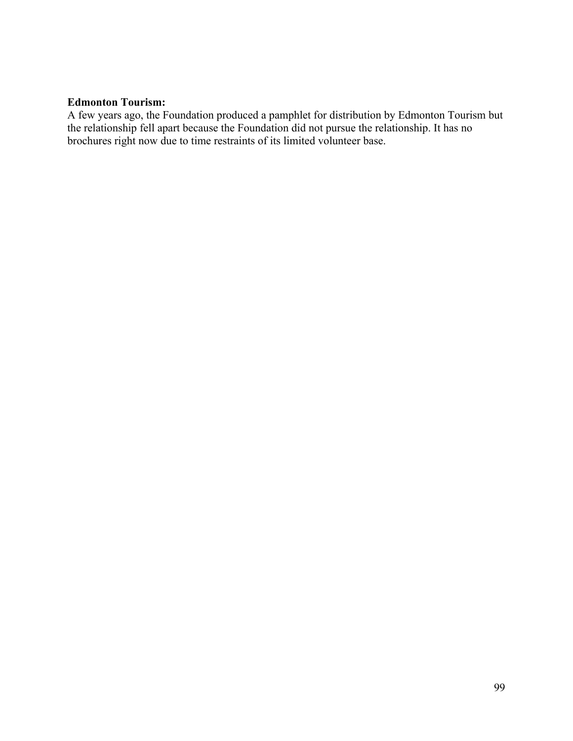## **Edmonton Tourism:**

A few years ago, the Foundation produced a pamphlet for distribution by Edmonton Tourism but the relationship fell apart because the Foundation did not pursue the relationship. It has no brochures right now due to time restraints of its limited volunteer base.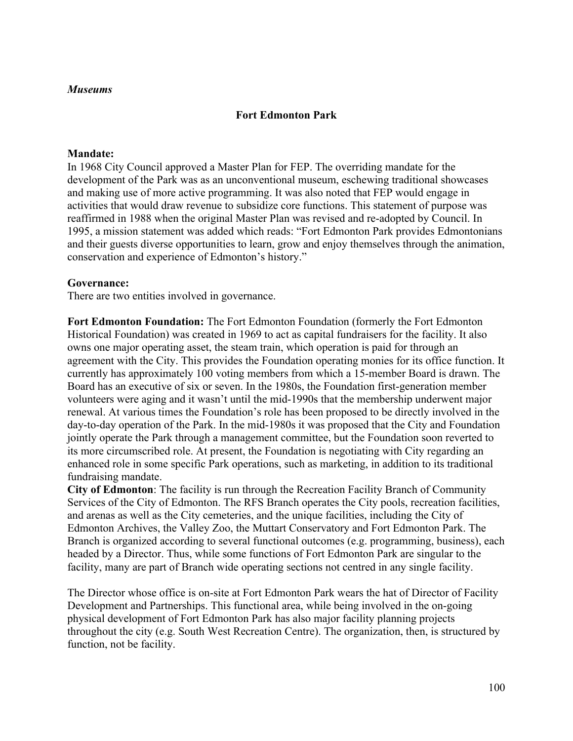## **Fort Edmonton Park**

#### **Mandate:**

In 1968 City Council approved a Master Plan for FEP. The overriding mandate for the development of the Park was as an unconventional museum, eschewing traditional showcases and making use of more active programming. It was also noted that FEP would engage in activities that would draw revenue to subsidize core functions. This statement of purpose was reaffirmed in 1988 when the original Master Plan was revised and re-adopted by Council. In 1995, a mission statement was added which reads: "Fort Edmonton Park provides Edmontonians and their guests diverse opportunities to learn, grow and enjoy themselves through the animation, conservation and experience of Edmonton's history."

### **Governance:**

There are two entities involved in governance.

**Fort Edmonton Foundation:** The Fort Edmonton Foundation (formerly the Fort Edmonton Historical Foundation) was created in 1969 to act as capital fundraisers for the facility. It also owns one major operating asset, the steam train, which operation is paid for through an agreement with the City. This provides the Foundation operating monies for its office function. It currently has approximately 100 voting members from which a 15-member Board is drawn. The Board has an executive of six or seven. In the 1980s, the Foundation first-generation member volunteers were aging and it wasn't until the mid-1990s that the membership underwent major renewal. At various times the Foundation's role has been proposed to be directly involved in the day-to-day operation of the Park. In the mid-1980s it was proposed that the City and Foundation jointly operate the Park through a management committee, but the Foundation soon reverted to its more circumscribed role. At present, the Foundation is negotiating with City regarding an enhanced role in some specific Park operations, such as marketing, in addition to its traditional fundraising mandate.

**City of Edmonton**: The facility is run through the Recreation Facility Branch of Community Services of the City of Edmonton. The RFS Branch operates the City pools, recreation facilities, and arenas as well as the City cemeteries, and the unique facilities, including the City of Edmonton Archives, the Valley Zoo, the Muttart Conservatory and Fort Edmonton Park. The Branch is organized according to several functional outcomes (e.g. programming, business), each headed by a Director. Thus, while some functions of Fort Edmonton Park are singular to the facility, many are part of Branch wide operating sections not centred in any single facility.

The Director whose office is on-site at Fort Edmonton Park wears the hat of Director of Facility Development and Partnerships. This functional area, while being involved in the on-going physical development of Fort Edmonton Park has also major facility planning projects throughout the city (e.g. South West Recreation Centre). The organization, then, is structured by function, not be facility.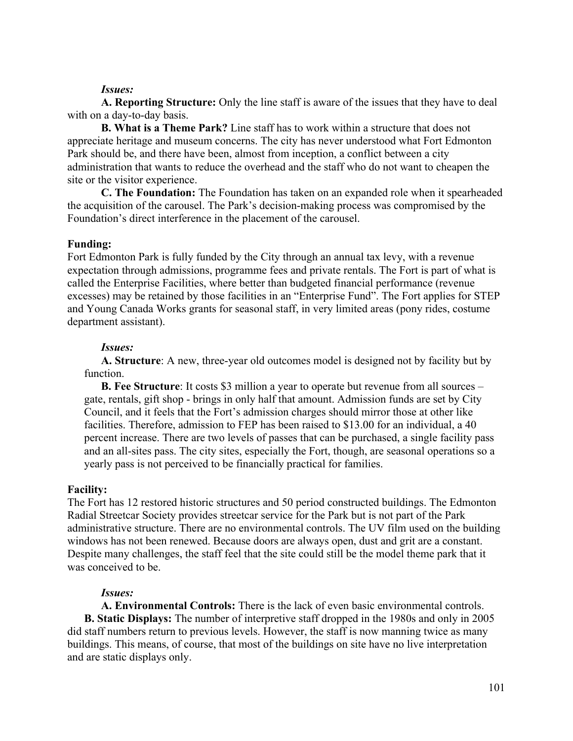### *Issues:*

**A. Reporting Structure:** Only the line staff is aware of the issues that they have to deal with on a day-to-day basis.

**B. What is a Theme Park?** Line staff has to work within a structure that does not appreciate heritage and museum concerns. The city has never understood what Fort Edmonton Park should be, and there have been, almost from inception, a conflict between a city administration that wants to reduce the overhead and the staff who do not want to cheapen the site or the visitor experience.

**C. The Foundation:** The Foundation has taken on an expanded role when it spearheaded the acquisition of the carousel. The Park's decision-making process was compromised by the Foundation's direct interference in the placement of the carousel.

### **Funding:**

Fort Edmonton Park is fully funded by the City through an annual tax levy, with a revenue expectation through admissions, programme fees and private rentals. The Fort is part of what is called the Enterprise Facilities, where better than budgeted financial performance (revenue excesses) may be retained by those facilities in an "Enterprise Fund". The Fort applies for STEP and Young Canada Works grants for seasonal staff, in very limited areas (pony rides, costume department assistant).

### *Issues:*

**A. Structure**: A new, three-year old outcomes model is designed not by facility but by function.

**B. Fee Structure**: It costs \$3 million a year to operate but revenue from all sources – gate, rentals, gift shop - brings in only half that amount. Admission funds are set by City Council, and it feels that the Fort's admission charges should mirror those at other like facilities. Therefore, admission to FEP has been raised to \$13.00 for an individual, a 40 percent increase. There are two levels of passes that can be purchased, a single facility pass and an all-sites pass. The city sites, especially the Fort, though, are seasonal operations so a yearly pass is not perceived to be financially practical for families.

## **Facility:**

The Fort has 12 restored historic structures and 50 period constructed buildings. The Edmonton Radial Streetcar Society provides streetcar service for the Park but is not part of the Park administrative structure. There are no environmental controls. The UV film used on the building windows has not been renewed. Because doors are always open, dust and grit are a constant. Despite many challenges, the staff feel that the site could still be the model theme park that it was conceived to be.

## *Issues:*

**A. Environmental Controls:** There is the lack of even basic environmental controls. **B. Static Displays:** The number of interpretive staff dropped in the 1980s and only in 2005 did staff numbers return to previous levels. However, the staff is now manning twice as many buildings. This means, of course, that most of the buildings on site have no live interpretation and are static displays only.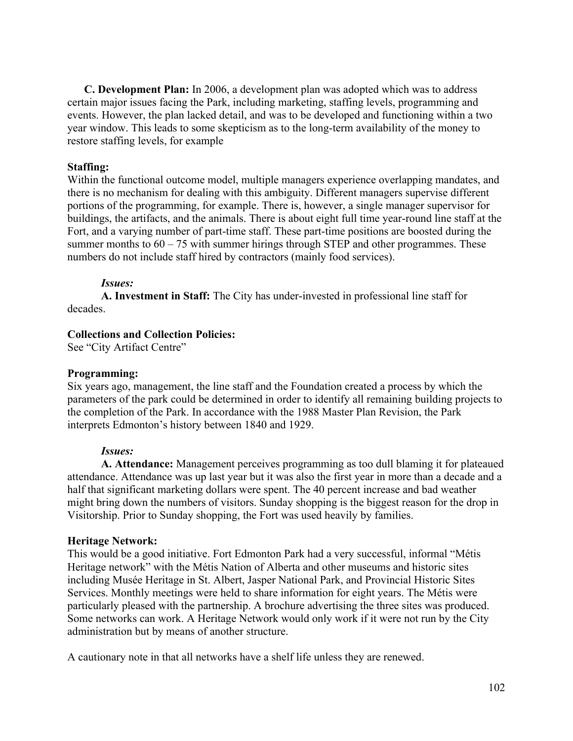**C. Development Plan:** In 2006, a development plan was adopted which was to address certain major issues facing the Park, including marketing, staffing levels, programming and events. However, the plan lacked detail, and was to be developed and functioning within a two year window. This leads to some skepticism as to the long-term availability of the money to restore staffing levels, for example

## **Staffing:**

Within the functional outcome model, multiple managers experience overlapping mandates, and there is no mechanism for dealing with this ambiguity. Different managers supervise different portions of the programming, for example. There is, however, a single manager supervisor for buildings, the artifacts, and the animals. There is about eight full time year-round line staff at the Fort, and a varying number of part-time staff. These part-time positions are boosted during the summer months to  $60 - 75$  with summer hirings through STEP and other programmes. These numbers do not include staff hired by contractors (mainly food services).

## *Issues:*

**A. Investment in Staff:** The City has under-invested in professional line staff for decades.

## **Collections and Collection Policies:**

See "City Artifact Centre"

## **Programming:**

Six years ago, management, the line staff and the Foundation created a process by which the parameters of the park could be determined in order to identify all remaining building projects to the completion of the Park. In accordance with the 1988 Master Plan Revision, the Park interprets Edmonton's history between 1840 and 1929.

## *Issues:*

**A. Attendance:** Management perceives programming as too dull blaming it for plateaued attendance. Attendance was up last year but it was also the first year in more than a decade and a half that significant marketing dollars were spent. The 40 percent increase and bad weather might bring down the numbers of visitors. Sunday shopping is the biggest reason for the drop in Visitorship. Prior to Sunday shopping, the Fort was used heavily by families.

# **Heritage Network:**

This would be a good initiative. Fort Edmonton Park had a very successful, informal "Métis Heritage network" with the Métis Nation of Alberta and other museums and historic sites including Musée Heritage in St. Albert, Jasper National Park, and Provincial Historic Sites Services. Monthly meetings were held to share information for eight years. The Métis were particularly pleased with the partnership. A brochure advertising the three sites was produced. Some networks can work. A Heritage Network would only work if it were not run by the City administration but by means of another structure.

A cautionary note in that all networks have a shelf life unless they are renewed.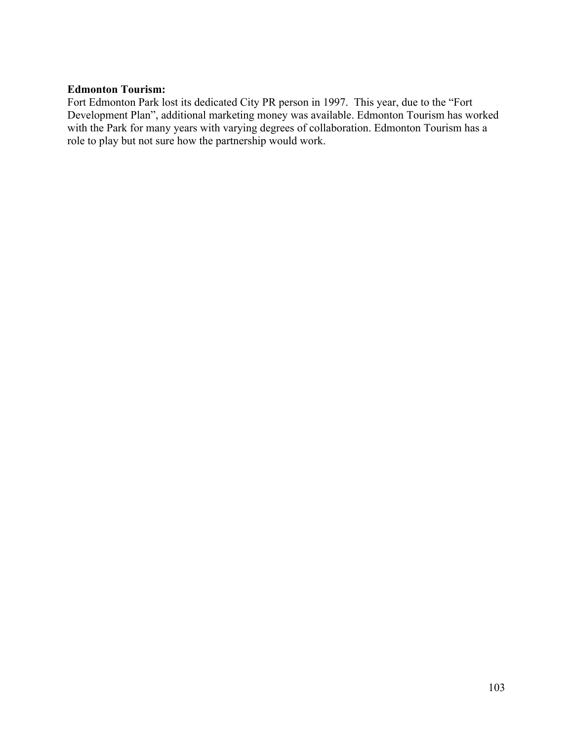# **Edmonton Tourism:**

Fort Edmonton Park lost its dedicated City PR person in 1997. This year, due to the "Fort Development Plan", additional marketing money was available. Edmonton Tourism has worked with the Park for many years with varying degrees of collaboration. Edmonton Tourism has a role to play but not sure how the partnership would work.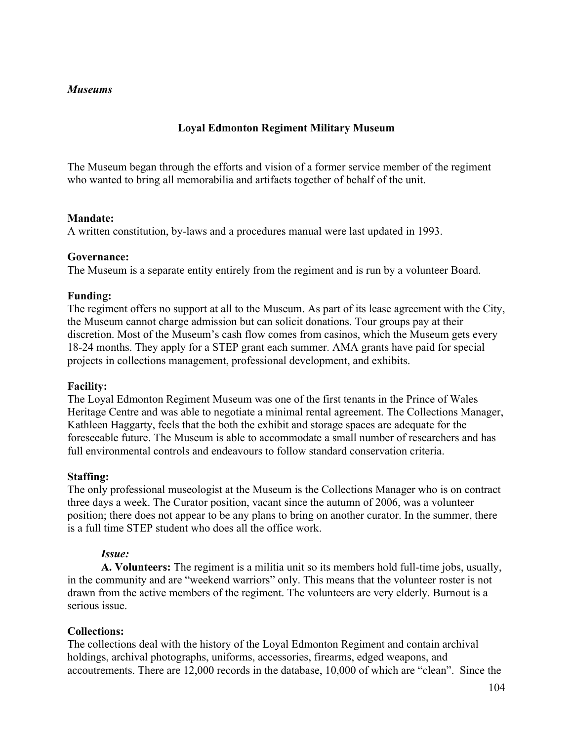# **Loyal Edmonton Regiment Military Museum**

The Museum began through the efforts and vision of a former service member of the regiment who wanted to bring all memorabilia and artifacts together of behalf of the unit.

## **Mandate:**

A written constitution, by-laws and a procedures manual were last updated in 1993.

### **Governance:**

The Museum is a separate entity entirely from the regiment and is run by a volunteer Board.

### **Funding:**

The regiment offers no support at all to the Museum. As part of its lease agreement with the City, the Museum cannot charge admission but can solicit donations. Tour groups pay at their discretion. Most of the Museum's cash flow comes from casinos, which the Museum gets every 18-24 months. They apply for a STEP grant each summer. AMA grants have paid for special projects in collections management, professional development, and exhibits.

#### **Facility:**

The Loyal Edmonton Regiment Museum was one of the first tenants in the Prince of Wales Heritage Centre and was able to negotiate a minimal rental agreement. The Collections Manager, Kathleen Haggarty, feels that the both the exhibit and storage spaces are adequate for the foreseeable future. The Museum is able to accommodate a small number of researchers and has full environmental controls and endeavours to follow standard conservation criteria.

## **Staffing:**

The only professional museologist at the Museum is the Collections Manager who is on contract three days a week. The Curator position, vacant since the autumn of 2006, was a volunteer position; there does not appear to be any plans to bring on another curator. In the summer, there is a full time STEP student who does all the office work.

## *Issue:*

**A. Volunteers:** The regiment is a militia unit so its members hold full-time jobs, usually, in the community and are "weekend warriors" only. This means that the volunteer roster is not drawn from the active members of the regiment. The volunteers are very elderly. Burnout is a serious issue.

## **Collections:**

The collections deal with the history of the Loyal Edmonton Regiment and contain archival holdings, archival photographs, uniforms, accessories, firearms, edged weapons, and accoutrements. There are 12,000 records in the database, 10,000 of which are "clean". Since the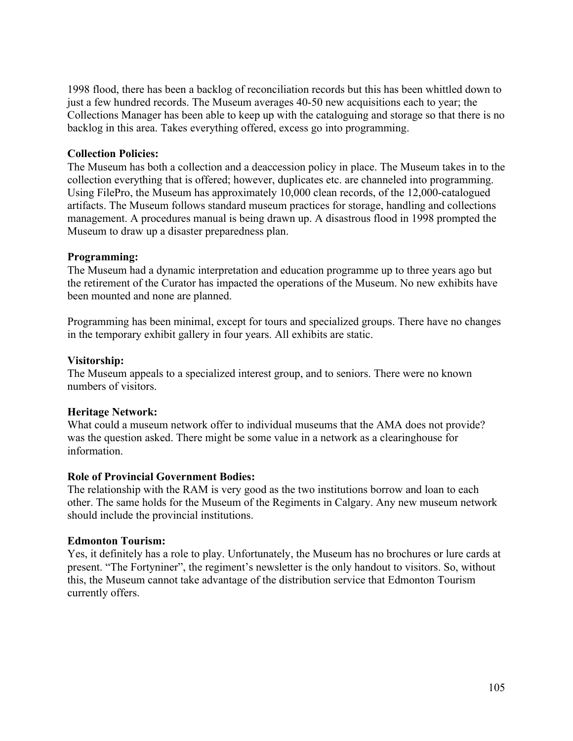1998 flood, there has been a backlog of reconciliation records but this has been whittled down to just a few hundred records. The Museum averages 40-50 new acquisitions each to year; the Collections Manager has been able to keep up with the cataloguing and storage so that there is no backlog in this area. Takes everything offered, excess go into programming.

## **Collection Policies:**

The Museum has both a collection and a deaccession policy in place. The Museum takes in to the collection everything that is offered; however, duplicates etc. are channeled into programming. Using FilePro, the Museum has approximately 10,000 clean records, of the 12,000-catalogued artifacts. The Museum follows standard museum practices for storage, handling and collections management. A procedures manual is being drawn up. A disastrous flood in 1998 prompted the Museum to draw up a disaster preparedness plan.

## **Programming:**

The Museum had a dynamic interpretation and education programme up to three years ago but the retirement of the Curator has impacted the operations of the Museum. No new exhibits have been mounted and none are planned.

Programming has been minimal, except for tours and specialized groups. There have no changes in the temporary exhibit gallery in four years. All exhibits are static.

## **Visitorship:**

The Museum appeals to a specialized interest group, and to seniors. There were no known numbers of visitors.

# **Heritage Network:**

What could a museum network offer to individual museums that the AMA does not provide? was the question asked. There might be some value in a network as a clearinghouse for information.

# **Role of Provincial Government Bodies:**

The relationship with the RAM is very good as the two institutions borrow and loan to each other. The same holds for the Museum of the Regiments in Calgary. Any new museum network should include the provincial institutions.

## **Edmonton Tourism:**

Yes, it definitely has a role to play. Unfortunately, the Museum has no brochures or lure cards at present. "The Fortyniner", the regiment's newsletter is the only handout to visitors. So, without this, the Museum cannot take advantage of the distribution service that Edmonton Tourism currently offers.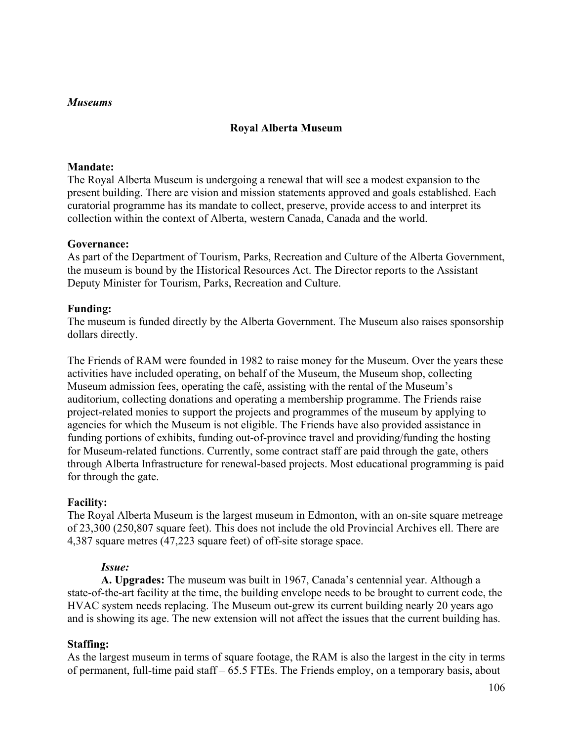### **Royal Alberta Museum**

#### **Mandate:**

The Royal Alberta Museum is undergoing a renewal that will see a modest expansion to the present building. There are vision and mission statements approved and goals established. Each curatorial programme has its mandate to collect, preserve, provide access to and interpret its collection within the context of Alberta, western Canada, Canada and the world.

### **Governance:**

As part of the Department of Tourism, Parks, Recreation and Culture of the Alberta Government, the museum is bound by the Historical Resources Act. The Director reports to the Assistant Deputy Minister for Tourism, Parks, Recreation and Culture.

### **Funding:**

The museum is funded directly by the Alberta Government. The Museum also raises sponsorship dollars directly.

The Friends of RAM were founded in 1982 to raise money for the Museum. Over the years these activities have included operating, on behalf of the Museum, the Museum shop, collecting Museum admission fees, operating the café, assisting with the rental of the Museum's auditorium, collecting donations and operating a membership programme. The Friends raise project-related monies to support the projects and programmes of the museum by applying to agencies for which the Museum is not eligible. The Friends have also provided assistance in funding portions of exhibits, funding out-of-province travel and providing/funding the hosting for Museum-related functions. Currently, some contract staff are paid through the gate, others through Alberta Infrastructure for renewal-based projects. Most educational programming is paid for through the gate.

#### **Facility:**

The Royal Alberta Museum is the largest museum in Edmonton, with an on-site square metreage of 23,300 (250,807 square feet). This does not include the old Provincial Archives ell. There are 4,387 square metres (47,223 square feet) of off-site storage space.

#### *Issue:*

**A. Upgrades:** The museum was built in 1967, Canada's centennial year. Although a state-of-the-art facility at the time, the building envelope needs to be brought to current code, the HVAC system needs replacing. The Museum out-grew its current building nearly 20 years ago and is showing its age. The new extension will not affect the issues that the current building has.

## **Staffing:**

As the largest museum in terms of square footage, the RAM is also the largest in the city in terms of permanent, full-time paid staff – 65.5 FTEs. The Friends employ, on a temporary basis, about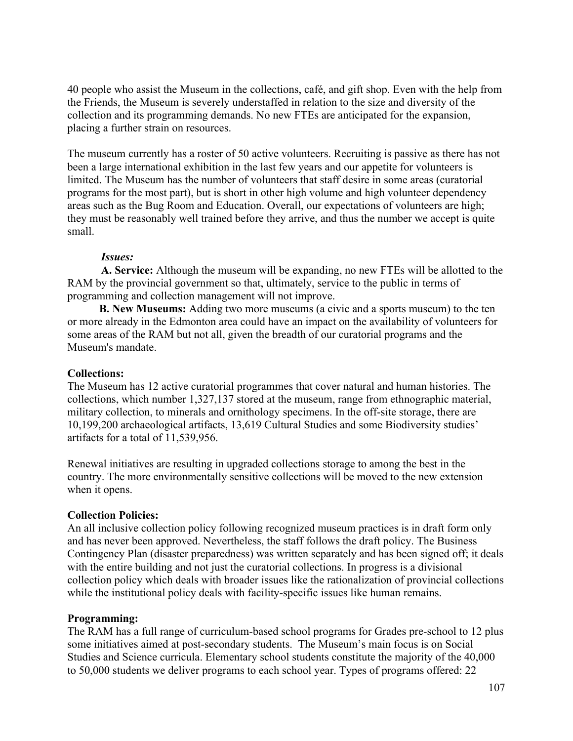40 people who assist the Museum in the collections, café, and gift shop. Even with the help from the Friends, the Museum is severely understaffed in relation to the size and diversity of the collection and its programming demands. No new FTEs are anticipated for the expansion, placing a further strain on resources.

The museum currently has a roster of 50 active volunteers. Recruiting is passive as there has not been a large international exhibition in the last few years and our appetite for volunteers is limited. The Museum has the number of volunteers that staff desire in some areas (curatorial programs for the most part), but is short in other high volume and high volunteer dependency areas such as the Bug Room and Education. Overall, our expectations of volunteers are high; they must be reasonably well trained before they arrive, and thus the number we accept is quite small.

### *Issues:*

**A. Service:** Although the museum will be expanding, no new FTEs will be allotted to the RAM by the provincial government so that, ultimately, service to the public in terms of programming and collection management will not improve.

 **B. New Museums:** Adding two more museums (a civic and a sports museum) to the ten or more already in the Edmonton area could have an impact on the availability of volunteers for some areas of the RAM but not all, given the breadth of our curatorial programs and the Museum's mandate.

#### **Collections:**

The Museum has 12 active curatorial programmes that cover natural and human histories. The collections, which number 1,327,137 stored at the museum, range from ethnographic material, military collection, to minerals and ornithology specimens. In the off-site storage, there are 10,199,200 archaeological artifacts, 13,619 Cultural Studies and some Biodiversity studies' artifacts for a total of 11,539,956.

Renewal initiatives are resulting in upgraded collections storage to among the best in the country. The more environmentally sensitive collections will be moved to the new extension when it opens.

#### **Collection Policies:**

An all inclusive collection policy following recognized museum practices is in draft form only and has never been approved. Nevertheless, the staff follows the draft policy. The Business Contingency Plan (disaster preparedness) was written separately and has been signed off; it deals with the entire building and not just the curatorial collections. In progress is a divisional collection policy which deals with broader issues like the rationalization of provincial collections while the institutional policy deals with facility-specific issues like human remains.

#### **Programming:**

The RAM has a full range of curriculum-based school programs for Grades pre-school to 12 plus some initiatives aimed at post-secondary students. The Museum's main focus is on Social Studies and Science curricula. Elementary school students constitute the majority of the 40,000 to 50,000 students we deliver programs to each school year. Types of programs offered: 22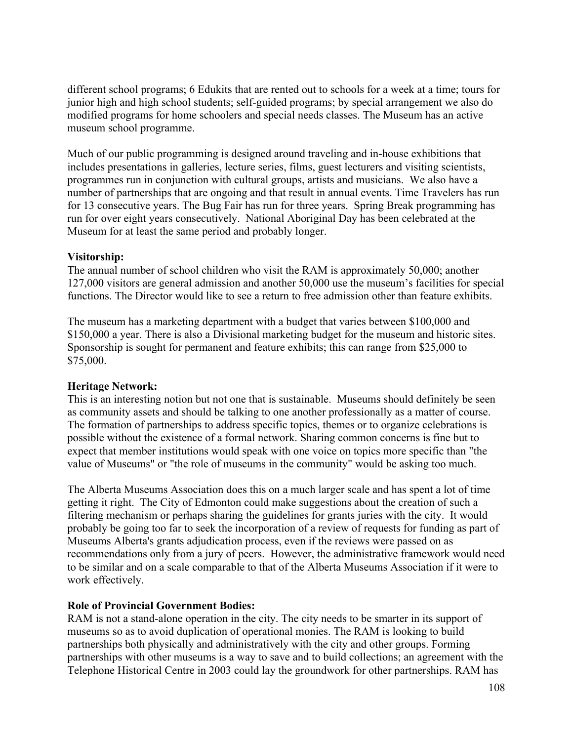different school programs; 6 Edukits that are rented out to schools for a week at a time; tours for junior high and high school students; self-guided programs; by special arrangement we also do modified programs for home schoolers and special needs classes. The Museum has an active museum school programme.

Much of our public programming is designed around traveling and in-house exhibitions that includes presentations in galleries, lecture series, films, guest lecturers and visiting scientists, programmes run in conjunction with cultural groups, artists and musicians. We also have a number of partnerships that are ongoing and that result in annual events. Time Travelers has run for 13 consecutive years. The Bug Fair has run for three years. Spring Break programming has run for over eight years consecutively. National Aboriginal Day has been celebrated at the Museum for at least the same period and probably longer.

## **Visitorship:**

The annual number of school children who visit the RAM is approximately 50,000; another 127,000 visitors are general admission and another 50,000 use the museum's facilities for special functions. The Director would like to see a return to free admission other than feature exhibits.

The museum has a marketing department with a budget that varies between \$100,000 and \$150,000 a year. There is also a Divisional marketing budget for the museum and historic sites. Sponsorship is sought for permanent and feature exhibits; this can range from \$25,000 to \$75,000.

## **Heritage Network:**

This is an interesting notion but not one that is sustainable. Museums should definitely be seen as community assets and should be talking to one another professionally as a matter of course. The formation of partnerships to address specific topics, themes or to organize celebrations is possible without the existence of a formal network. Sharing common concerns is fine but to expect that member institutions would speak with one voice on topics more specific than "the value of Museums" or "the role of museums in the community" would be asking too much.

The Alberta Museums Association does this on a much larger scale and has spent a lot of time getting it right. The City of Edmonton could make suggestions about the creation of such a filtering mechanism or perhaps sharing the guidelines for grants juries with the city. It would probably be going too far to seek the incorporation of a review of requests for funding as part of Museums Alberta's grants adjudication process, even if the reviews were passed on as recommendations only from a jury of peers. However, the administrative framework would need to be similar and on a scale comparable to that of the Alberta Museums Association if it were to work effectively.

# **Role of Provincial Government Bodies:**

RAM is not a stand-alone operation in the city. The city needs to be smarter in its support of museums so as to avoid duplication of operational monies. The RAM is looking to build partnerships both physically and administratively with the city and other groups. Forming partnerships with other museums is a way to save and to build collections; an agreement with the Telephone Historical Centre in 2003 could lay the groundwork for other partnerships. RAM has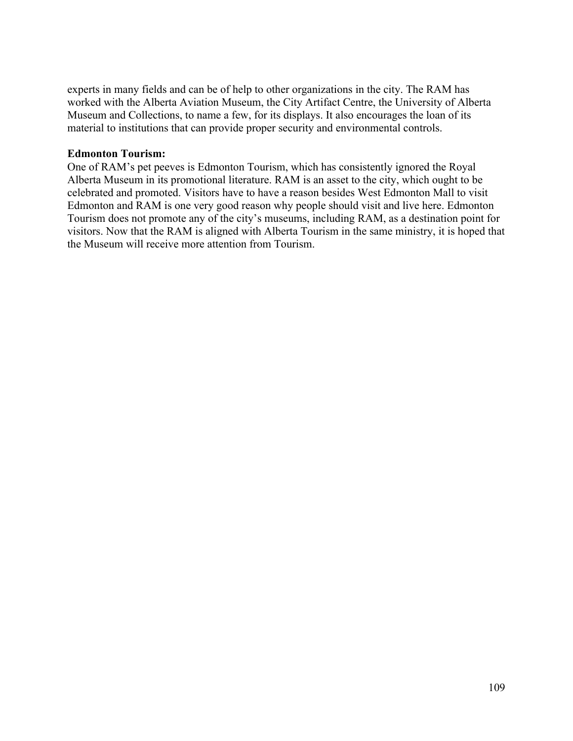experts in many fields and can be of help to other organizations in the city. The RAM has worked with the Alberta Aviation Museum, the City Artifact Centre, the University of Alberta Museum and Collections, to name a few, for its displays. It also encourages the loan of its material to institutions that can provide proper security and environmental controls.

#### **Edmonton Tourism:**

One of RAM's pet peeves is Edmonton Tourism, which has consistently ignored the Royal Alberta Museum in its promotional literature. RAM is an asset to the city, which ought to be celebrated and promoted. Visitors have to have a reason besides West Edmonton Mall to visit Edmonton and RAM is one very good reason why people should visit and live here. Edmonton Tourism does not promote any of the city's museums, including RAM, as a destination point for visitors. Now that the RAM is aligned with Alberta Tourism in the same ministry, it is hoped that the Museum will receive more attention from Tourism.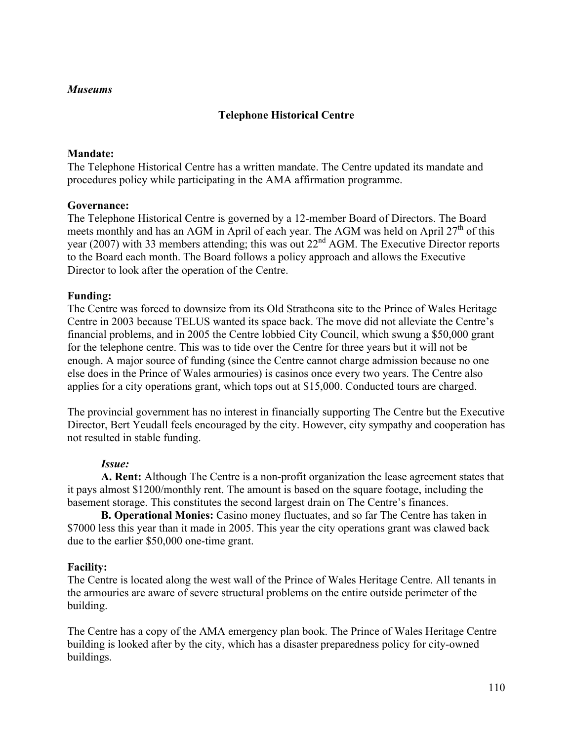#### *Museums*

## **Telephone Historical Centre**

### **Mandate:**

The Telephone Historical Centre has a written mandate. The Centre updated its mandate and procedures policy while participating in the AMA affirmation programme.

#### **Governance:**

The Telephone Historical Centre is governed by a 12-member Board of Directors. The Board meets monthly and has an AGM in April of each year. The AGM was held on April  $27<sup>th</sup>$  of this year (2007) with 33 members attending; this was out 22<sup>nd</sup> AGM. The Executive Director reports to the Board each month. The Board follows a policy approach and allows the Executive Director to look after the operation of the Centre.

#### **Funding:**

The Centre was forced to downsize from its Old Strathcona site to the Prince of Wales Heritage Centre in 2003 because TELUS wanted its space back. The move did not alleviate the Centre's financial problems, and in 2005 the Centre lobbied City Council, which swung a \$50,000 grant for the telephone centre. This was to tide over the Centre for three years but it will not be enough. A major source of funding (since the Centre cannot charge admission because no one else does in the Prince of Wales armouries) is casinos once every two years. The Centre also applies for a city operations grant, which tops out at \$15,000. Conducted tours are charged.

The provincial government has no interest in financially supporting The Centre but the Executive Director, Bert Yeudall feels encouraged by the city. However, city sympathy and cooperation has not resulted in stable funding.

#### *Issue:*

**A. Rent:** Although The Centre is a non-profit organization the lease agreement states that it pays almost \$1200/monthly rent. The amount is based on the square footage, including the basement storage. This constitutes the second largest drain on The Centre's finances.

**B. Operational Monies:** Casino money fluctuates, and so far The Centre has taken in \$7000 less this year than it made in 2005. This year the city operations grant was clawed back due to the earlier \$50,000 one-time grant.

#### **Facility:**

The Centre is located along the west wall of the Prince of Wales Heritage Centre. All tenants in the armouries are aware of severe structural problems on the entire outside perimeter of the building.

The Centre has a copy of the AMA emergency plan book. The Prince of Wales Heritage Centre building is looked after by the city, which has a disaster preparedness policy for city-owned buildings.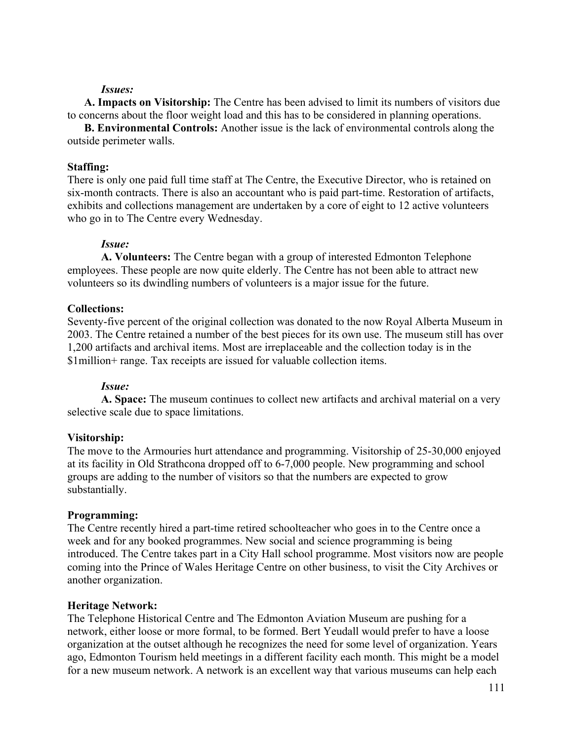#### *Issues:*

**A. Impacts on Visitorship:** The Centre has been advised to limit its numbers of visitors due to concerns about the floor weight load and this has to be considered in planning operations.

**B. Environmental Controls:** Another issue is the lack of environmental controls along the outside perimeter walls.

#### **Staffing:**

There is only one paid full time staff at The Centre, the Executive Director, who is retained on six-month contracts. There is also an accountant who is paid part-time. Restoration of artifacts, exhibits and collections management are undertaken by a core of eight to 12 active volunteers who go in to The Centre every Wednesday.

#### *Issue:*

**A. Volunteers:** The Centre began with a group of interested Edmonton Telephone employees. These people are now quite elderly. The Centre has not been able to attract new volunteers so its dwindling numbers of volunteers is a major issue for the future.

#### **Collections:**

Seventy-five percent of the original collection was donated to the now Royal Alberta Museum in 2003. The Centre retained a number of the best pieces for its own use. The museum still has over 1,200 artifacts and archival items. Most are irreplaceable and the collection today is in the \$1million+ range. Tax receipts are issued for valuable collection items.

#### *Issue:*

**A. Space:** The museum continues to collect new artifacts and archival material on a very selective scale due to space limitations.

#### **Visitorship:**

The move to the Armouries hurt attendance and programming. Visitorship of 25-30,000 enjoyed at its facility in Old Strathcona dropped off to 6-7,000 people. New programming and school groups are adding to the number of visitors so that the numbers are expected to grow substantially.

#### **Programming:**

The Centre recently hired a part-time retired schoolteacher who goes in to the Centre once a week and for any booked programmes. New social and science programming is being introduced. The Centre takes part in a City Hall school programme. Most visitors now are people coming into the Prince of Wales Heritage Centre on other business, to visit the City Archives or another organization.

#### **Heritage Network:**

The Telephone Historical Centre and The Edmonton Aviation Museum are pushing for a network, either loose or more formal, to be formed. Bert Yeudall would prefer to have a loose organization at the outset although he recognizes the need for some level of organization. Years ago, Edmonton Tourism held meetings in a different facility each month. This might be a model for a new museum network. A network is an excellent way that various museums can help each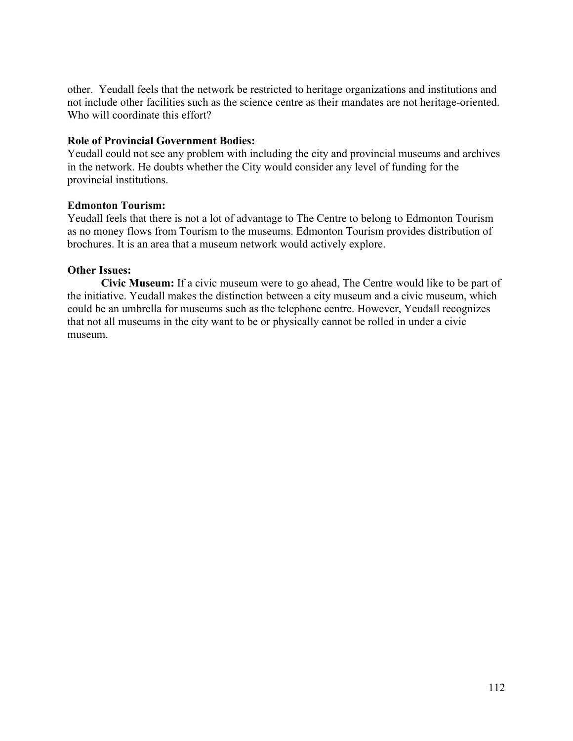other. Yeudall feels that the network be restricted to heritage organizations and institutions and not include other facilities such as the science centre as their mandates are not heritage-oriented. Who will coordinate this effort?

### **Role of Provincial Government Bodies:**

Yeudall could not see any problem with including the city and provincial museums and archives in the network. He doubts whether the City would consider any level of funding for the provincial institutions.

### **Edmonton Tourism:**

Yeudall feels that there is not a lot of advantage to The Centre to belong to Edmonton Tourism as no money flows from Tourism to the museums. Edmonton Tourism provides distribution of brochures. It is an area that a museum network would actively explore.

#### **Other Issues:**

**Civic Museum:** If a civic museum were to go ahead, The Centre would like to be part of the initiative. Yeudall makes the distinction between a city museum and a civic museum, which could be an umbrella for museums such as the telephone centre. However, Yeudall recognizes that not all museums in the city want to be or physically cannot be rolled in under a civic museum.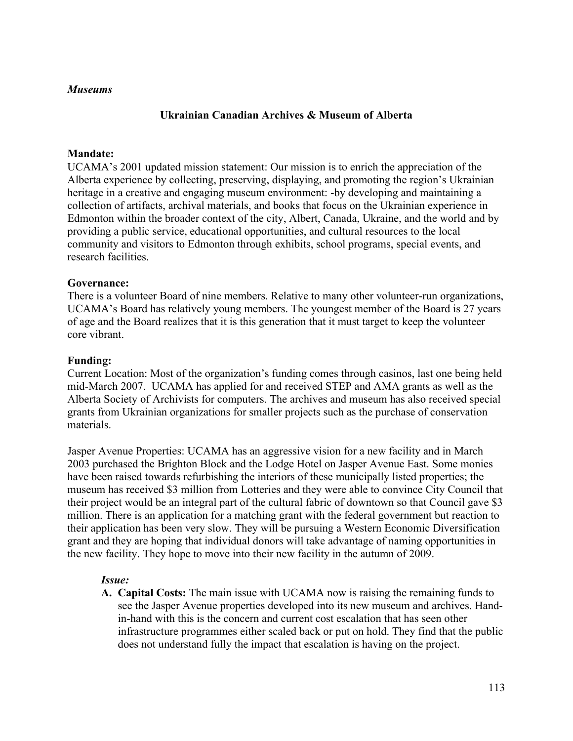#### *Museums*

#### **Ukrainian Canadian Archives & Museum of Alberta**

#### **Mandate:**

UCAMA's 2001 updated mission statement: Our mission is to enrich the appreciation of the Alberta experience by collecting, preserving, displaying, and promoting the region's Ukrainian heritage in a creative and engaging museum environment: -by developing and maintaining a collection of artifacts, archival materials, and books that focus on the Ukrainian experience in Edmonton within the broader context of the city, Albert, Canada, Ukraine, and the world and by providing a public service, educational opportunities, and cultural resources to the local community and visitors to Edmonton through exhibits, school programs, special events, and research facilities.

#### **Governance:**

There is a volunteer Board of nine members. Relative to many other volunteer-run organizations, UCAMA's Board has relatively young members. The youngest member of the Board is 27 years of age and the Board realizes that it is this generation that it must target to keep the volunteer core vibrant.

#### **Funding:**

Current Location: Most of the organization's funding comes through casinos, last one being held mid-March 2007. UCAMA has applied for and received STEP and AMA grants as well as the Alberta Society of Archivists for computers. The archives and museum has also received special grants from Ukrainian organizations for smaller projects such as the purchase of conservation materials.

Jasper Avenue Properties: UCAMA has an aggressive vision for a new facility and in March 2003 purchased the Brighton Block and the Lodge Hotel on Jasper Avenue East. Some monies have been raised towards refurbishing the interiors of these municipally listed properties; the museum has received \$3 million from Lotteries and they were able to convince City Council that their project would be an integral part of the cultural fabric of downtown so that Council gave \$3 million. There is an application for a matching grant with the federal government but reaction to their application has been very slow. They will be pursuing a Western Economic Diversification grant and they are hoping that individual donors will take advantage of naming opportunities in the new facility. They hope to move into their new facility in the autumn of 2009.

#### *Issue:*

**A. Capital Costs:** The main issue with UCAMA now is raising the remaining funds to see the Jasper Avenue properties developed into its new museum and archives. Handin-hand with this is the concern and current cost escalation that has seen other infrastructure programmes either scaled back or put on hold. They find that the public does not understand fully the impact that escalation is having on the project.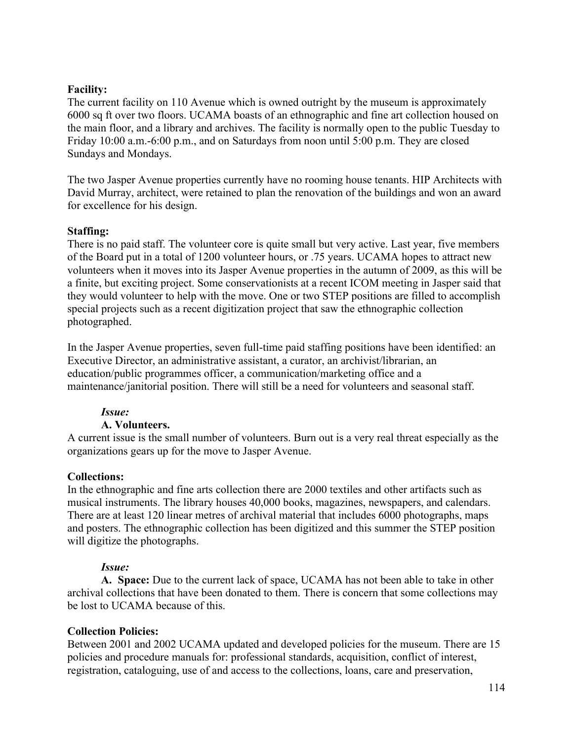## **Facility:**

The current facility on 110 Avenue which is owned outright by the museum is approximately 6000 sq ft over two floors. UCAMA boasts of an ethnographic and fine art collection housed on the main floor, and a library and archives. The facility is normally open to the public Tuesday to Friday 10:00 a.m.-6:00 p.m., and on Saturdays from noon until 5:00 p.m. They are closed Sundays and Mondays.

The two Jasper Avenue properties currently have no rooming house tenants. HIP Architects with David Murray, architect, were retained to plan the renovation of the buildings and won an award for excellence for his design.

### **Staffing:**

There is no paid staff. The volunteer core is quite small but very active. Last year, five members of the Board put in a total of 1200 volunteer hours, or .75 years. UCAMA hopes to attract new volunteers when it moves into its Jasper Avenue properties in the autumn of 2009, as this will be a finite, but exciting project. Some conservationists at a recent ICOM meeting in Jasper said that they would volunteer to help with the move. One or two STEP positions are filled to accomplish special projects such as a recent digitization project that saw the ethnographic collection photographed.

In the Jasper Avenue properties, seven full-time paid staffing positions have been identified: an Executive Director, an administrative assistant, a curator, an archivist/librarian, an education/public programmes officer, a communication/marketing office and a maintenance/janitorial position. There will still be a need for volunteers and seasonal staff.

## *Issue:*

## **A. Volunteers.**

A current issue is the small number of volunteers. Burn out is a very real threat especially as the organizations gears up for the move to Jasper Avenue.

#### **Collections:**

In the ethnographic and fine arts collection there are 2000 textiles and other artifacts such as musical instruments. The library houses 40,000 books, magazines, newspapers, and calendars. There are at least 120 linear metres of archival material that includes 6000 photographs, maps and posters. The ethnographic collection has been digitized and this summer the STEP position will digitize the photographs.

#### *Issue:*

**A. Space:** Due to the current lack of space, UCAMA has not been able to take in other archival collections that have been donated to them. There is concern that some collections may be lost to UCAMA because of this.

## **Collection Policies:**

Between 2001 and 2002 UCAMA updated and developed policies for the museum. There are 15 policies and procedure manuals for: professional standards, acquisition, conflict of interest, registration, cataloguing, use of and access to the collections, loans, care and preservation,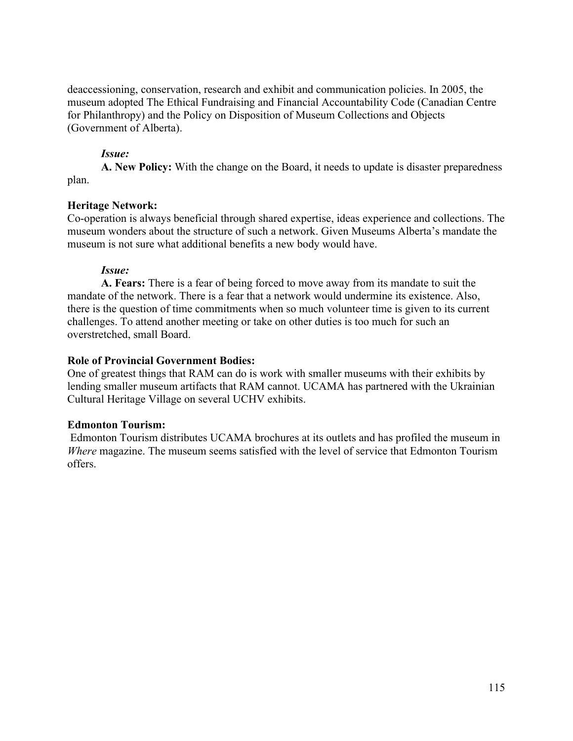deaccessioning, conservation, research and exhibit and communication policies. In 2005, the museum adopted The Ethical Fundraising and Financial Accountability Code (Canadian Centre for Philanthropy) and the Policy on Disposition of Museum Collections and Objects (Government of Alberta).

## *Issue:*

**A. New Policy:** With the change on the Board, it needs to update is disaster preparedness plan.

## **Heritage Network:**

Co-operation is always beneficial through shared expertise, ideas experience and collections. The museum wonders about the structure of such a network. Given Museums Alberta's mandate the museum is not sure what additional benefits a new body would have.

### *Issue:*

**A. Fears:** There is a fear of being forced to move away from its mandate to suit the mandate of the network. There is a fear that a network would undermine its existence. Also, there is the question of time commitments when so much volunteer time is given to its current challenges. To attend another meeting or take on other duties is too much for such an overstretched, small Board.

### **Role of Provincial Government Bodies:**

One of greatest things that RAM can do is work with smaller museums with their exhibits by lending smaller museum artifacts that RAM cannot. UCAMA has partnered with the Ukrainian Cultural Heritage Village on several UCHV exhibits.

#### **Edmonton Tourism:**

 Edmonton Tourism distributes UCAMA brochures at its outlets and has profiled the museum in *Where* magazine. The museum seems satisfied with the level of service that Edmonton Tourism offers.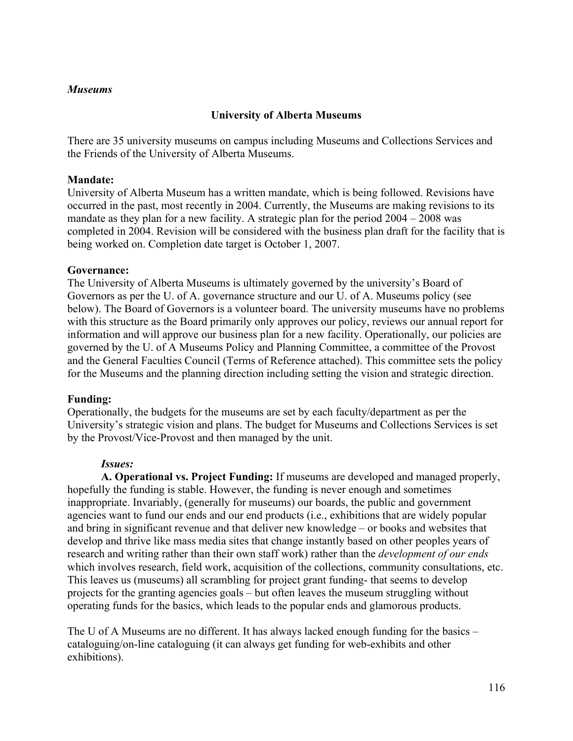### *Museums*

## **University of Alberta Museums**

There are 35 university museums on campus including Museums and Collections Services and the Friends of the University of Alberta Museums.

#### **Mandate:**

University of Alberta Museum has a written mandate, which is being followed. Revisions have occurred in the past, most recently in 2004. Currently, the Museums are making revisions to its mandate as they plan for a new facility. A strategic plan for the period  $2004 - 2008$  was completed in 2004. Revision will be considered with the business plan draft for the facility that is being worked on. Completion date target is October 1, 2007.

### **Governance:**

The University of Alberta Museums is ultimately governed by the university's Board of Governors as per the U. of A. governance structure and our U. of A. Museums policy (see below). The Board of Governors is a volunteer board. The university museums have no problems with this structure as the Board primarily only approves our policy, reviews our annual report for information and will approve our business plan for a new facility. Operationally, our policies are governed by the U. of A Museums Policy and Planning Committee, a committee of the Provost and the General Faculties Council (Terms of Reference attached). This committee sets the policy for the Museums and the planning direction including setting the vision and strategic direction.

## **Funding:**

Operationally, the budgets for the museums are set by each faculty/department as per the University's strategic vision and plans. The budget for Museums and Collections Services is set by the Provost/Vice-Provost and then managed by the unit.

## *Issues:*

**A. Operational vs. Project Funding:** If museums are developed and managed properly, hopefully the funding is stable. However, the funding is never enough and sometimes inappropriate. Invariably, (generally for museums) our boards, the public and government agencies want to fund our ends and our end products (i.e., exhibitions that are widely popular and bring in significant revenue and that deliver new knowledge – or books and websites that develop and thrive like mass media sites that change instantly based on other peoples years of research and writing rather than their own staff work) rather than the *development of our ends* which involves research, field work, acquisition of the collections, community consultations, etc. This leaves us (museums) all scrambling for project grant funding- that seems to develop projects for the granting agencies goals – but often leaves the museum struggling without operating funds for the basics, which leads to the popular ends and glamorous products.

The U of A Museums are no different. It has always lacked enough funding for the basics – cataloguing/on-line cataloguing (it can always get funding for web-exhibits and other exhibitions).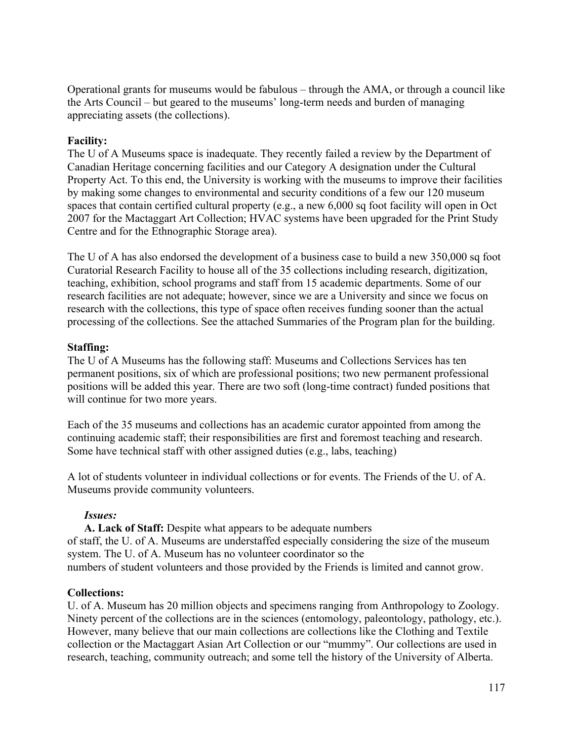Operational grants for museums would be fabulous – through the AMA, or through a council like the Arts Council – but geared to the museums' long-term needs and burden of managing appreciating assets (the collections).

### **Facility:**

The U of A Museums space is inadequate. They recently failed a review by the Department of Canadian Heritage concerning facilities and our Category A designation under the Cultural Property Act. To this end, the University is working with the museums to improve their facilities by making some changes to environmental and security conditions of a few our 120 museum spaces that contain certified cultural property (e.g., a new 6,000 sq foot facility will open in Oct 2007 for the Mactaggart Art Collection; HVAC systems have been upgraded for the Print Study Centre and for the Ethnographic Storage area).

The U of A has also endorsed the development of a business case to build a new 350,000 sq foot Curatorial Research Facility to house all of the 35 collections including research, digitization, teaching, exhibition, school programs and staff from 15 academic departments. Some of our research facilities are not adequate; however, since we are a University and since we focus on research with the collections, this type of space often receives funding sooner than the actual processing of the collections. See the attached Summaries of the Program plan for the building.

### **Staffing:**

The U of A Museums has the following staff: Museums and Collections Services has ten permanent positions, six of which are professional positions; two new permanent professional positions will be added this year. There are two soft (long-time contract) funded positions that will continue for two more years.

Each of the 35 museums and collections has an academic curator appointed from among the continuing academic staff; their responsibilities are first and foremost teaching and research. Some have technical staff with other assigned duties (e.g., labs, teaching)

A lot of students volunteer in individual collections or for events. The Friends of the U. of A. Museums provide community volunteers.

#### *Issues:*

**A. Lack of Staff:** Despite what appears to be adequate numbers of staff, the U. of A. Museums are understaffed especially considering the size of the museum system. The U. of A. Museum has no volunteer coordinator so the numbers of student volunteers and those provided by the Friends is limited and cannot grow.

## **Collections:**

U. of A. Museum has 20 million objects and specimens ranging from Anthropology to Zoology. Ninety percent of the collections are in the sciences (entomology, paleontology, pathology, etc.). However, many believe that our main collections are collections like the Clothing and Textile collection or the Mactaggart Asian Art Collection or our "mummy". Our collections are used in research, teaching, community outreach; and some tell the history of the University of Alberta.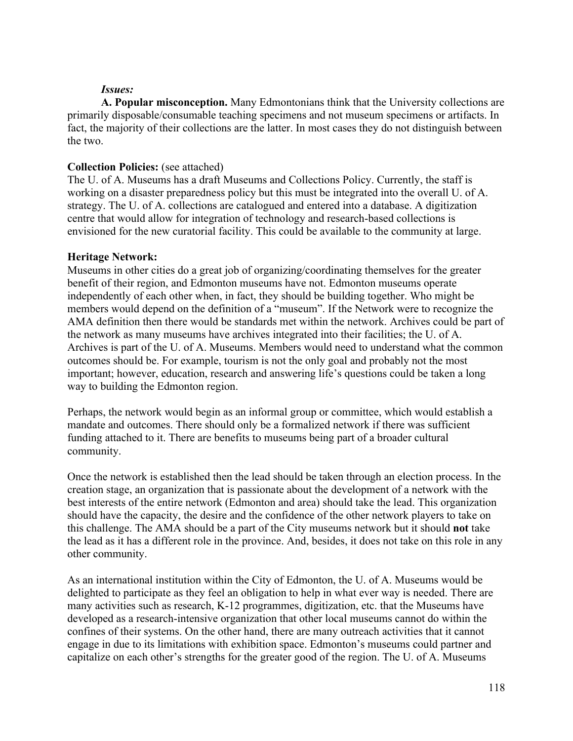#### *Issues:*

**A. Popular misconception.** Many Edmontonians think that the University collections are primarily disposable/consumable teaching specimens and not museum specimens or artifacts. In fact, the majority of their collections are the latter. In most cases they do not distinguish between the two.

## **Collection Policies:** (see attached)

The U. of A. Museums has a draft Museums and Collections Policy. Currently, the staff is working on a disaster preparedness policy but this must be integrated into the overall U. of A. strategy. The U. of A. collections are catalogued and entered into a database. A digitization centre that would allow for integration of technology and research-based collections is envisioned for the new curatorial facility. This could be available to the community at large.

## **Heritage Network:**

Museums in other cities do a great job of organizing/coordinating themselves for the greater benefit of their region, and Edmonton museums have not. Edmonton museums operate independently of each other when, in fact, they should be building together. Who might be members would depend on the definition of a "museum". If the Network were to recognize the AMA definition then there would be standards met within the network. Archives could be part of the network as many museums have archives integrated into their facilities; the U. of A. Archives is part of the U. of A. Museums. Members would need to understand what the common outcomes should be. For example, tourism is not the only goal and probably not the most important; however, education, research and answering life's questions could be taken a long way to building the Edmonton region.

Perhaps, the network would begin as an informal group or committee, which would establish a mandate and outcomes. There should only be a formalized network if there was sufficient funding attached to it. There are benefits to museums being part of a broader cultural community.

Once the network is established then the lead should be taken through an election process. In the creation stage, an organization that is passionate about the development of a network with the best interests of the entire network (Edmonton and area) should take the lead. This organization should have the capacity, the desire and the confidence of the other network players to take on this challenge. The AMA should be a part of the City museums network but it should **not** take the lead as it has a different role in the province. And, besides, it does not take on this role in any other community.

As an international institution within the City of Edmonton, the U. of A. Museums would be delighted to participate as they feel an obligation to help in what ever way is needed. There are many activities such as research, K-12 programmes, digitization, etc. that the Museums have developed as a research-intensive organization that other local museums cannot do within the confines of their systems. On the other hand, there are many outreach activities that it cannot engage in due to its limitations with exhibition space. Edmonton's museums could partner and capitalize on each other's strengths for the greater good of the region. The U. of A. Museums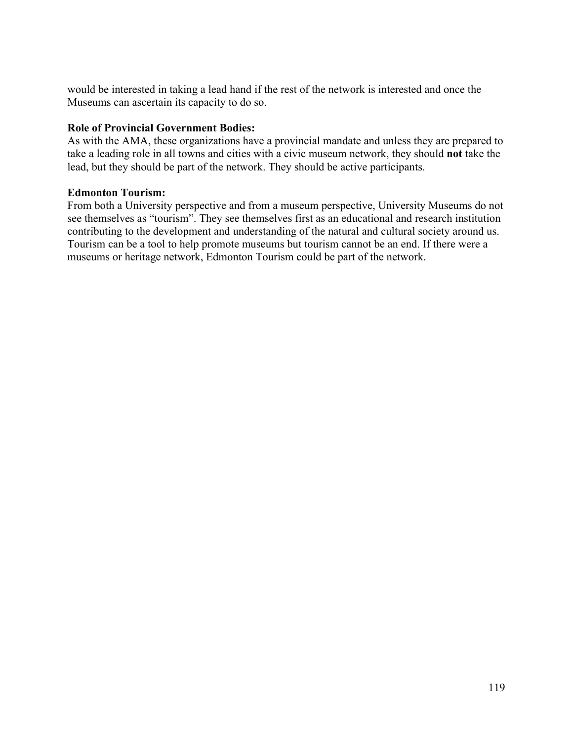would be interested in taking a lead hand if the rest of the network is interested and once the Museums can ascertain its capacity to do so.

## **Role of Provincial Government Bodies:**

As with the AMA, these organizations have a provincial mandate and unless they are prepared to take a leading role in all towns and cities with a civic museum network, they should **not** take the lead, but they should be part of the network. They should be active participants.

## **Edmonton Tourism:**

From both a University perspective and from a museum perspective, University Museums do not see themselves as "tourism". They see themselves first as an educational and research institution contributing to the development and understanding of the natural and cultural society around us. Tourism can be a tool to help promote museums but tourism cannot be an end. If there were a museums or heritage network, Edmonton Tourism could be part of the network.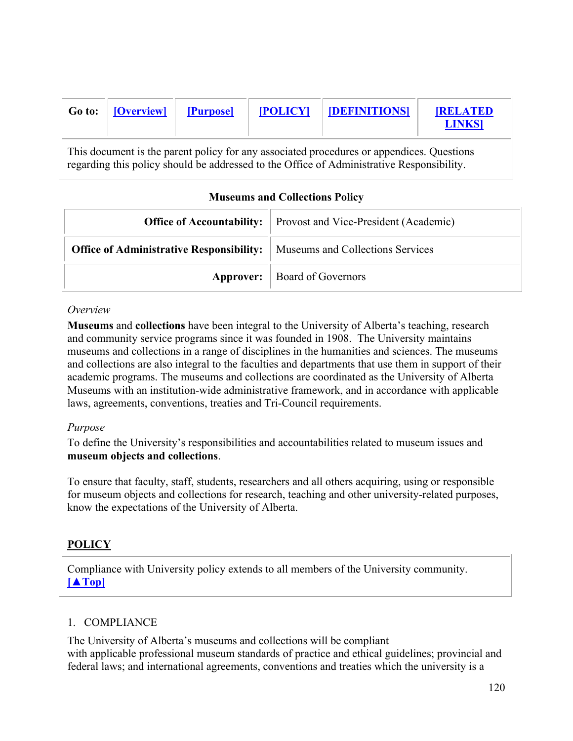| Go to:                                                                                                                                                                                 | [Overview] | [Purpose] | <b>[POLICY]</b> | <b>DEFINITIONS</b> | <b>RELATED</b><br><b>LINKS</b> |  |
|----------------------------------------------------------------------------------------------------------------------------------------------------------------------------------------|------------|-----------|-----------------|--------------------|--------------------------------|--|
| This document is the parent policy for any associated procedures or appendices. Questions<br>regarding this policy should be addressed to the Office of Administrative Responsibility. |            |           |                 |                    |                                |  |

## **Museums and Collections Policy**

|                                                                                    | <b>Office of Accountability:</b> Provost and Vice-President (Academic) |
|------------------------------------------------------------------------------------|------------------------------------------------------------------------|
| <b>Office of Administrative Responsibility:</b>   Museums and Collections Services |                                                                        |
|                                                                                    | <b>Approver:</b>   Board of Governors                                  |

### *Overview*

**Museums** and **collections** have been integral to the University of Alberta's teaching, research and community service programs since it was founded in 1908. The University maintains museums and collections in a range of disciplines in the humanities and sciences. The museums and collections are also integral to the faculties and departments that use them in support of their academic programs. The museums and collections are coordinated as the University of Alberta Museums with an institution-wide administrative framework, and in accordance with applicable laws, agreements, conventions, treaties and Tri-Council requirements.

## *Purpose*

To define the University's responsibilities and accountabilities related to museum issues and **museum objects and collections**.

To ensure that faculty, staff, students, researchers and all others acquiring, using or responsible for museum objects and collections for research, teaching and other university-related purposes, know the expectations of the University of Alberta.

## **POLICY**

Compliance with University policy extends to all members of the University community. **[▲Top]**

## 1. COMPLIANCE

The University of Alberta's museums and collections will be compliant with applicable professional museum standards of practice and ethical guidelines; provincial and federal laws; and international agreements, conventions and treaties which the university is a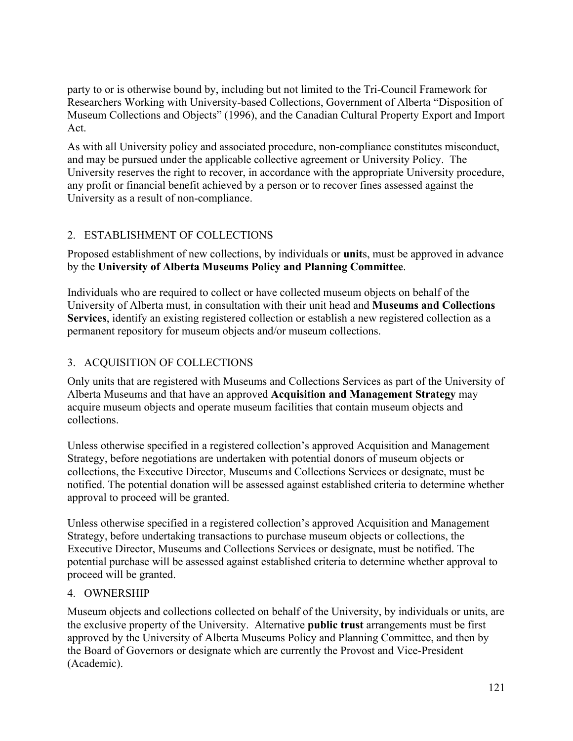party to or is otherwise bound by, including but not limited to the Tri-Council Framework for Researchers Working with University-based Collections, Government of Alberta "Disposition of Museum Collections and Objects" (1996), and the Canadian Cultural Property Export and Import Act.

As with all University policy and associated procedure, non-compliance constitutes misconduct, and may be pursued under the applicable collective agreement or University Policy. The University reserves the right to recover, in accordance with the appropriate University procedure, any profit or financial benefit achieved by a person or to recover fines assessed against the University as a result of non-compliance.

## 2. ESTABLISHMENT OF COLLECTIONS

Proposed establishment of new collections, by individuals or **unit**s, must be approved in advance by the **University of Alberta Museums Policy and Planning Committee**.

Individuals who are required to collect or have collected museum objects on behalf of the University of Alberta must, in consultation with their unit head and **Museums and Collections Services**, identify an existing registered collection or establish a new registered collection as a permanent repository for museum objects and/or museum collections.

## 3. ACQUISITION OF COLLECTIONS

Only units that are registered with Museums and Collections Services as part of the University of Alberta Museums and that have an approved **Acquisition and Management Strategy** may acquire museum objects and operate museum facilities that contain museum objects and collections.

Unless otherwise specified in a registered collection's approved Acquisition and Management Strategy, before negotiations are undertaken with potential donors of museum objects or collections, the Executive Director, Museums and Collections Services or designate, must be notified. The potential donation will be assessed against established criteria to determine whether approval to proceed will be granted.

Unless otherwise specified in a registered collection's approved Acquisition and Management Strategy, before undertaking transactions to purchase museum objects or collections, the Executive Director, Museums and Collections Services or designate, must be notified. The potential purchase will be assessed against established criteria to determine whether approval to proceed will be granted.

## 4. OWNERSHIP

Museum objects and collections collected on behalf of the University, by individuals or units, are the exclusive property of the University. Alternative **public trust** arrangements must be first approved by the University of Alberta Museums Policy and Planning Committee, and then by the Board of Governors or designate which are currently the Provost and Vice-President (Academic).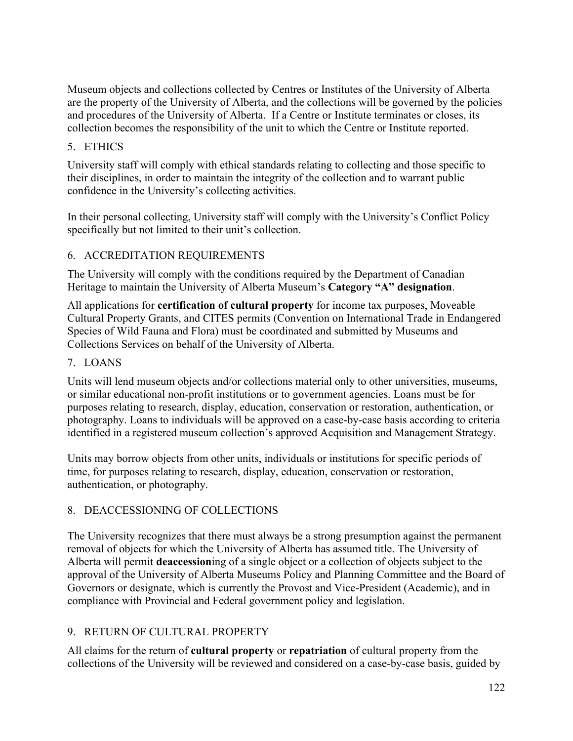Museum objects and collections collected by Centres or Institutes of the University of Alberta are the property of the University of Alberta, and the collections will be governed by the policies and procedures of the University of Alberta. If a Centre or Institute terminates or closes, its collection becomes the responsibility of the unit to which the Centre or Institute reported.

## 5. ETHICS

University staff will comply with ethical standards relating to collecting and those specific to their disciplines, in order to maintain the integrity of the collection and to warrant public confidence in the University's collecting activities.

In their personal collecting, University staff will comply with the University's Conflict Policy specifically but not limited to their unit's collection.

## 6. ACCREDITATION REQUIREMENTS

The University will comply with the conditions required by the Department of Canadian Heritage to maintain the University of Alberta Museum's **Category "A" designation**.

All applications for **certification of cultural property** for income tax purposes, Moveable Cultural Property Grants, and CITES permits (Convention on International Trade in Endangered Species of Wild Fauna and Flora) must be coordinated and submitted by Museums and Collections Services on behalf of the University of Alberta.

## 7. LOANS

Units will lend museum objects and/or collections material only to other universities, museums, or similar educational non-profit institutions or to government agencies. Loans must be for purposes relating to research, display, education, conservation or restoration, authentication, or photography. Loans to individuals will be approved on a case-by-case basis according to criteria identified in a registered museum collection's approved Acquisition and Management Strategy.

Units may borrow objects from other units, individuals or institutions for specific periods of time, for purposes relating to research, display, education, conservation or restoration, authentication, or photography.

## 8. DEACCESSIONING OF COLLECTIONS

The University recognizes that there must always be a strong presumption against the permanent removal of objects for which the University of Alberta has assumed title. The University of Alberta will permit **deaccession**ing of a single object or a collection of objects subject to the approval of the University of Alberta Museums Policy and Planning Committee and the Board of Governors or designate, which is currently the Provost and Vice-President (Academic), and in compliance with Provincial and Federal government policy and legislation.

## 9. RETURN OF CULTURAL PROPERTY

All claims for the return of **cultural property** or **repatriation** of cultural property from the collections of the University will be reviewed and considered on a case-by-case basis, guided by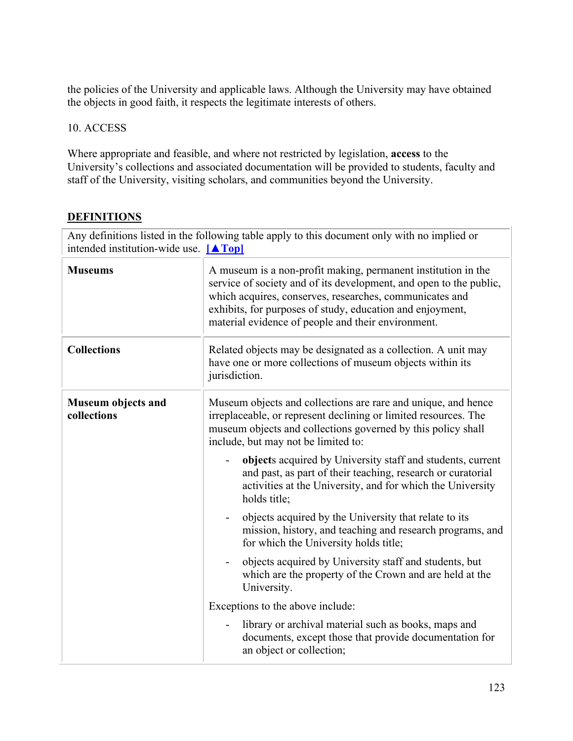the policies of the University and applicable laws. Although the University may have obtained the objects in good faith, it respects the legitimate interests of others.

## 10. ACCESS

Where appropriate and feasible, and where not restricted by legislation, **access** to the University's collections and associated documentation will be provided to students, faculty and staff of the University, visiting scholars, and communities beyond the University.

## **DEFINITIONS**

| Any definitions listed in the following table apply to this document only with no implied or<br>intended institution-wide use. $[A \text{Top}]$ |                                                                                                                                                                                                                                                                                                                   |  |
|-------------------------------------------------------------------------------------------------------------------------------------------------|-------------------------------------------------------------------------------------------------------------------------------------------------------------------------------------------------------------------------------------------------------------------------------------------------------------------|--|
| <b>Museums</b>                                                                                                                                  | A museum is a non-profit making, permanent institution in the<br>service of society and of its development, and open to the public,<br>which acquires, conserves, researches, communicates and<br>exhibits, for purposes of study, education and enjoyment,<br>material evidence of people and their environment. |  |
| <b>Collections</b>                                                                                                                              | Related objects may be designated as a collection. A unit may<br>have one or more collections of museum objects within its<br>jurisdiction.                                                                                                                                                                       |  |
| Museum objects and<br>collections                                                                                                               | Museum objects and collections are rare and unique, and hence<br>irreplaceable, or represent declining or limited resources. The<br>museum objects and collections governed by this policy shall<br>include, but may not be limited to:                                                                           |  |
|                                                                                                                                                 | objects acquired by University staff and students, current<br>and past, as part of their teaching, research or curatorial<br>activities at the University, and for which the University<br>holds title;                                                                                                           |  |
|                                                                                                                                                 | objects acquired by the University that relate to its<br>$\qquad \qquad \blacksquare$<br>mission, history, and teaching and research programs, and<br>for which the University holds title;                                                                                                                       |  |
|                                                                                                                                                 | objects acquired by University staff and students, but<br>which are the property of the Crown and are held at the<br>University.                                                                                                                                                                                  |  |
|                                                                                                                                                 | Exceptions to the above include:                                                                                                                                                                                                                                                                                  |  |
|                                                                                                                                                 | library or archival material such as books, maps and<br>documents, except those that provide documentation for<br>an object or collection;                                                                                                                                                                        |  |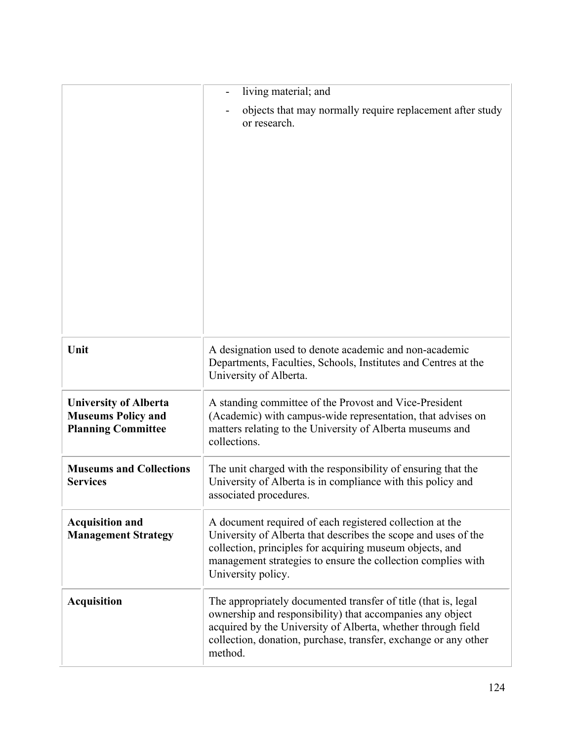|                                                                                        | living material; and                                                                                                                                                                                                                                                         |
|----------------------------------------------------------------------------------------|------------------------------------------------------------------------------------------------------------------------------------------------------------------------------------------------------------------------------------------------------------------------------|
|                                                                                        | objects that may normally require replacement after study<br>or research.                                                                                                                                                                                                    |
| Unit                                                                                   | A designation used to denote academic and non-academic<br>Departments, Faculties, Schools, Institutes and Centres at the<br>University of Alberta.                                                                                                                           |
| <b>University of Alberta</b><br><b>Museums Policy and</b><br><b>Planning Committee</b> | A standing committee of the Provost and Vice-President<br>(Academic) with campus-wide representation, that advises on<br>matters relating to the University of Alberta museums and<br>collections.                                                                           |
| <b>Museums and Collections</b><br><b>Services</b>                                      | The unit charged with the responsibility of ensuring that the<br>University of Alberta is in compliance with this policy and<br>associated procedures.                                                                                                                       |
| <b>Acquisition and</b><br><b>Management Strategy</b>                                   | A document required of each registered collection at the<br>University of Alberta that describes the scope and uses of the<br>collection, principles for acquiring museum objects, and<br>management strategies to ensure the collection complies with<br>University policy. |
| <b>Acquisition</b>                                                                     | The appropriately documented transfer of title (that is, legal<br>ownership and responsibility) that accompanies any object<br>acquired by the University of Alberta, whether through field<br>collection, donation, purchase, transfer, exchange or any other<br>method.    |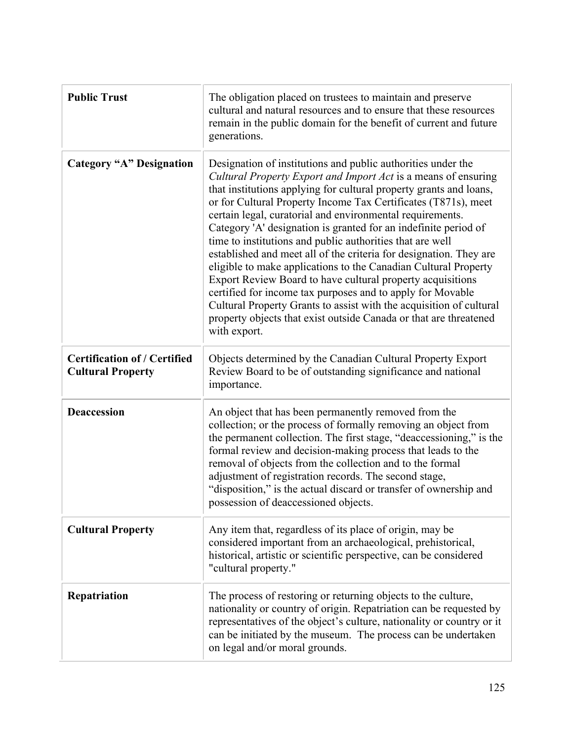| <b>Public Trust</b>                                             | The obligation placed on trustees to maintain and preserve<br>cultural and natural resources and to ensure that these resources<br>remain in the public domain for the benefit of current and future<br>generations.                                                                                                                                                                                                                                                                                                                                                                                                                                                                                                                                                                                                                                                                                 |  |
|-----------------------------------------------------------------|------------------------------------------------------------------------------------------------------------------------------------------------------------------------------------------------------------------------------------------------------------------------------------------------------------------------------------------------------------------------------------------------------------------------------------------------------------------------------------------------------------------------------------------------------------------------------------------------------------------------------------------------------------------------------------------------------------------------------------------------------------------------------------------------------------------------------------------------------------------------------------------------------|--|
| <b>Category "A" Designation</b>                                 | Designation of institutions and public authorities under the<br>Cultural Property Export and Import Act is a means of ensuring<br>that institutions applying for cultural property grants and loans,<br>or for Cultural Property Income Tax Certificates (T871s), meet<br>certain legal, curatorial and environmental requirements.<br>Category 'A' designation is granted for an indefinite period of<br>time to institutions and public authorities that are well<br>established and meet all of the criteria for designation. They are<br>eligible to make applications to the Canadian Cultural Property<br>Export Review Board to have cultural property acquisitions<br>certified for income tax purposes and to apply for Movable<br>Cultural Property Grants to assist with the acquisition of cultural<br>property objects that exist outside Canada or that are threatened<br>with export. |  |
| <b>Certification of / Certified</b><br><b>Cultural Property</b> | Objects determined by the Canadian Cultural Property Export<br>Review Board to be of outstanding significance and national<br>importance.                                                                                                                                                                                                                                                                                                                                                                                                                                                                                                                                                                                                                                                                                                                                                            |  |
| <b>Deaccession</b>                                              | An object that has been permanently removed from the<br>collection; or the process of formally removing an object from<br>the permanent collection. The first stage, "deaccessioning," is the<br>formal review and decision-making process that leads to the<br>removal of objects from the collection and to the formal<br>adjustment of registration records. The second stage,<br>"disposition," is the actual discard or transfer of ownership and<br>possession of deaccessioned objects.                                                                                                                                                                                                                                                                                                                                                                                                       |  |
| <b>Cultural Property</b>                                        | Any item that, regardless of its place of origin, may be<br>considered important from an archaeological, prehistorical,<br>historical, artistic or scientific perspective, can be considered<br>"cultural property."                                                                                                                                                                                                                                                                                                                                                                                                                                                                                                                                                                                                                                                                                 |  |
| Repatriation                                                    | The process of restoring or returning objects to the culture,<br>nationality or country of origin. Repatriation can be requested by<br>representatives of the object's culture, nationality or country or it<br>can be initiated by the museum. The process can be undertaken<br>on legal and/or moral grounds.                                                                                                                                                                                                                                                                                                                                                                                                                                                                                                                                                                                      |  |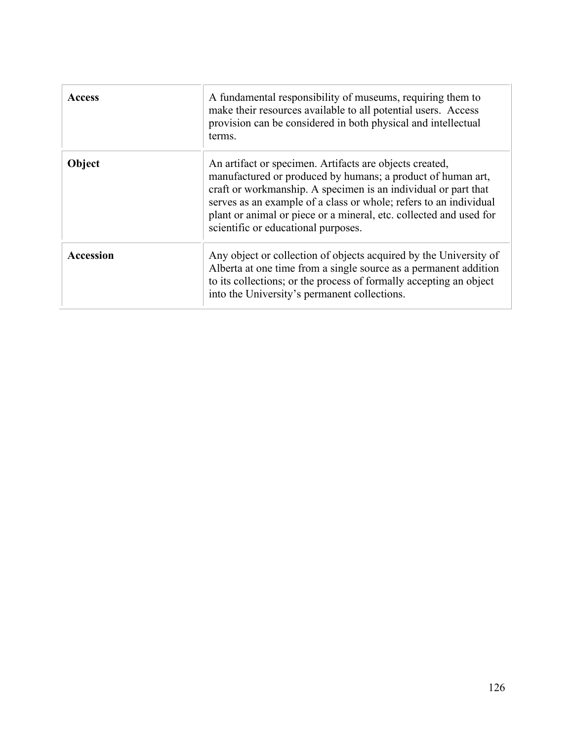| <b>Access</b> | A fundamental responsibility of museums, requiring them to<br>make their resources available to all potential users. Access<br>provision can be considered in both physical and intellectual<br>terms.                                                                                                                                                                     |
|---------------|----------------------------------------------------------------------------------------------------------------------------------------------------------------------------------------------------------------------------------------------------------------------------------------------------------------------------------------------------------------------------|
| Object        | An artifact or specimen. Artifacts are objects created,<br>manufactured or produced by humans; a product of human art,<br>craft or workmanship. A specimen is an individual or part that<br>serves as an example of a class or whole; refers to an individual<br>plant or animal or piece or a mineral, etc. collected and used for<br>scientific or educational purposes. |
| Accession     | Any object or collection of objects acquired by the University of<br>Alberta at one time from a single source as a permanent addition<br>to its collections; or the process of formally accepting an object<br>into the University's permanent collections.                                                                                                                |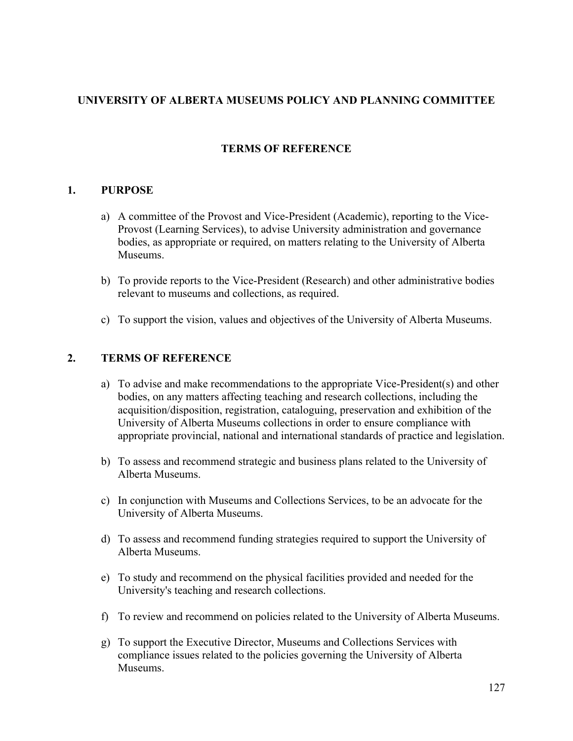## **UNIVERSITY OF ALBERTA MUSEUMS POLICY AND PLANNING COMMITTEE**

## **TERMS OF REFERENCE**

### **1. PURPOSE**

- a) A committee of the Provost and Vice-President (Academic), reporting to the Vice-Provost (Learning Services), to advise University administration and governance bodies, as appropriate or required, on matters relating to the University of Alberta Museums.
- b) To provide reports to the Vice-President (Research) and other administrative bodies relevant to museums and collections, as required.
- c) To support the vision, values and objectives of the University of Alberta Museums.

## **2. TERMS OF REFERENCE**

- a) To advise and make recommendations to the appropriate Vice-President(s) and other bodies, on any matters affecting teaching and research collections, including the acquisition/disposition, registration, cataloguing, preservation and exhibition of the University of Alberta Museums collections in order to ensure compliance with appropriate provincial, national and international standards of practice and legislation.
- b) To assess and recommend strategic and business plans related to the University of Alberta Museums.
- c) In conjunction with Museums and Collections Services, to be an advocate for the University of Alberta Museums.
- d) To assess and recommend funding strategies required to support the University of Alberta Museums.
- e) To study and recommend on the physical facilities provided and needed for the University's teaching and research collections.
- f) To review and recommend on policies related to the University of Alberta Museums.
- g) To support the Executive Director, Museums and Collections Services with compliance issues related to the policies governing the University of Alberta **Museums**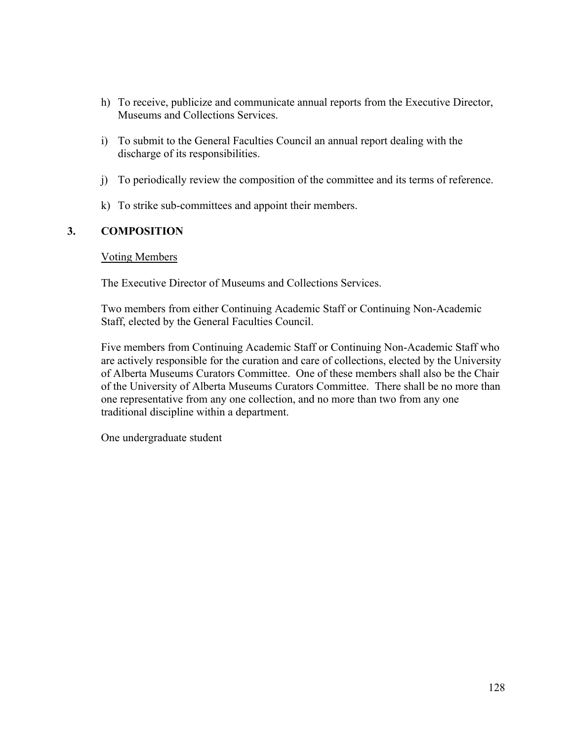- h) To receive, publicize and communicate annual reports from the Executive Director, Museums and Collections Services.
- i) To submit to the General Faculties Council an annual report dealing with the discharge of its responsibilities.
- j) To periodically review the composition of the committee and its terms of reference.
- k) To strike sub-committees and appoint their members.

## **3. COMPOSITION**

### Voting Members

The Executive Director of Museums and Collections Services.

Two members from either Continuing Academic Staff or Continuing Non-Academic Staff, elected by the General Faculties Council.

Five members from Continuing Academic Staff or Continuing Non-Academic Staff who are actively responsible for the curation and care of collections, elected by the University of Alberta Museums Curators Committee. One of these members shall also be the Chair of the University of Alberta Museums Curators Committee. There shall be no more than one representative from any one collection, and no more than two from any one traditional discipline within a department.

One undergraduate student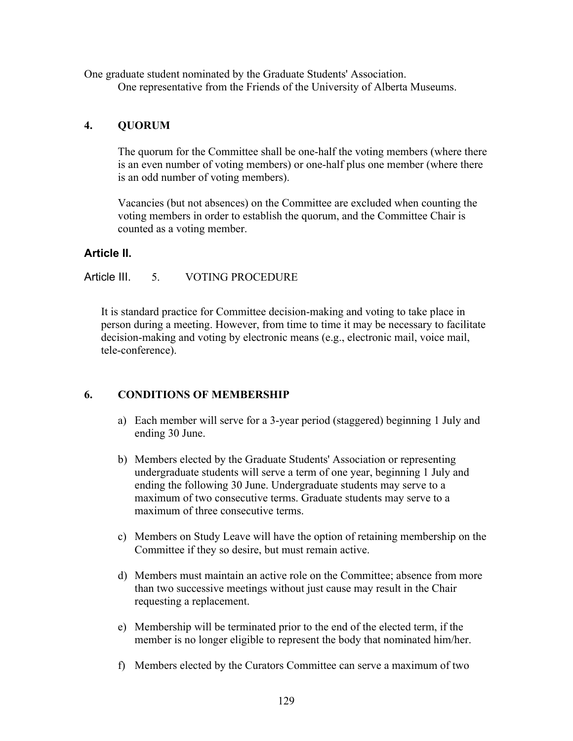One graduate student nominated by the Graduate Students' Association. One representative from the Friends of the University of Alberta Museums.

## **4. QUORUM**

The quorum for the Committee shall be one-half the voting members (where there is an even number of voting members) or one-half plus one member (where there is an odd number of voting members).

Vacancies (but not absences) on the Committee are excluded when counting the voting members in order to establish the quorum, and the Committee Chair is counted as a voting member.

## **Article II.**

## Article III. 5. VOTING PROCEDURE

It is standard practice for Committee decision-making and voting to take place in person during a meeting. However, from time to time it may be necessary to facilitate decision-making and voting by electronic means (e.g., electronic mail, voice mail, tele-conference).

## **6. CONDITIONS OF MEMBERSHIP**

- a) Each member will serve for a 3-year period (staggered) beginning 1 July and ending 30 June.
- b) Members elected by the Graduate Students' Association or representing undergraduate students will serve a term of one year, beginning 1 July and ending the following 30 June. Undergraduate students may serve to a maximum of two consecutive terms. Graduate students may serve to a maximum of three consecutive terms.
- c) Members on Study Leave will have the option of retaining membership on the Committee if they so desire, but must remain active.
- d) Members must maintain an active role on the Committee; absence from more than two successive meetings without just cause may result in the Chair requesting a replacement.
- e) Membership will be terminated prior to the end of the elected term, if the member is no longer eligible to represent the body that nominated him/her.
- f) Members elected by the Curators Committee can serve a maximum of two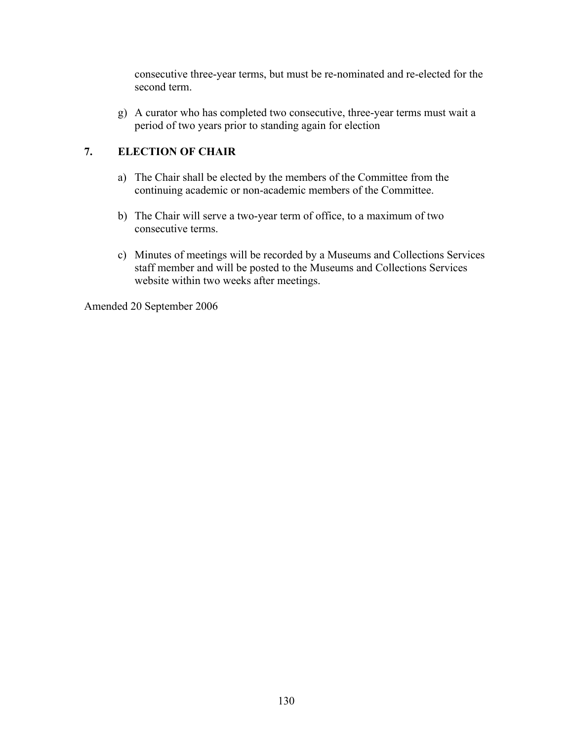consecutive three-year terms, but must be re-nominated and re-elected for the second term.

g) A curator who has completed two consecutive, three-year terms must wait a period of two years prior to standing again for election

## **7. ELECTION OF CHAIR**

- a) The Chair shall be elected by the members of the Committee from the continuing academic or non-academic members of the Committee.
- b) The Chair will serve a two-year term of office, to a maximum of two consecutive terms.
- c) Minutes of meetings will be recorded by a Museums and Collections Services staff member and will be posted to the Museums and Collections Services website within two weeks after meetings.

Amended 20 September 2006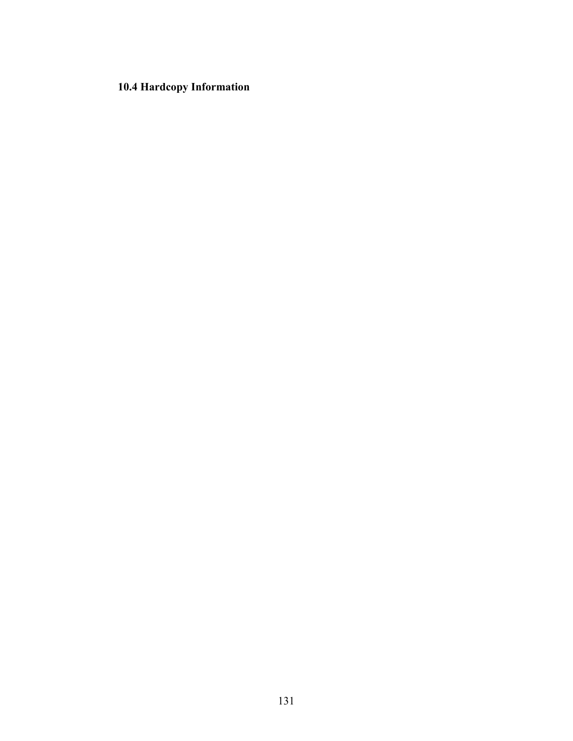# **10.4 Hardcopy Information**